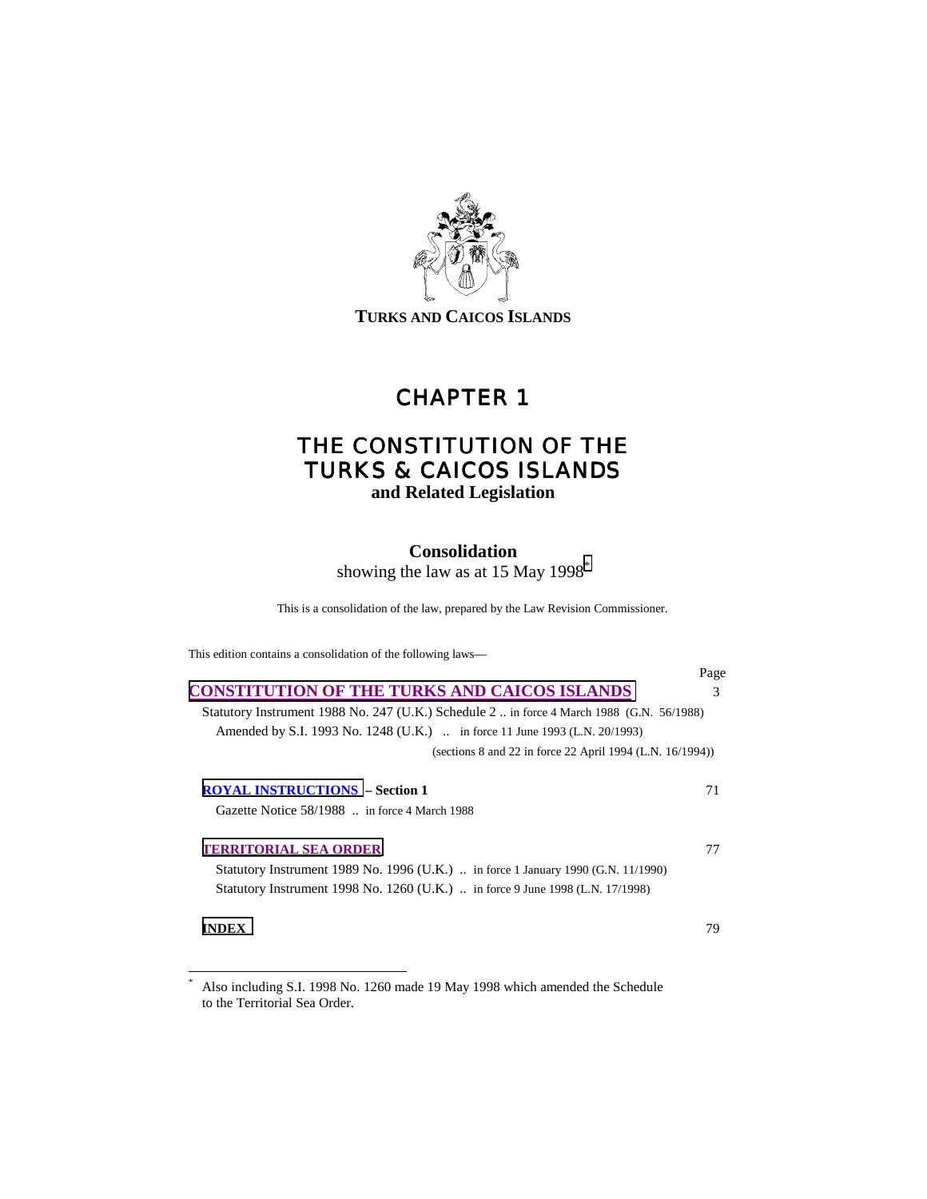

**TURKS AND CAICOS ISLANDS**

# **CHAPTER 1**

# THE CONSTITUTION OF THE **TURKS & CAICOS ISLANDS and Related Legislation**

## **Consolidation**

showing the law as at 15 May 1998\*

This is a consolidation of the law, prepared by the Law Revision Commissioner.

This edition contains a consolidation of the following laws—

 $\overline{a}$ 

|                                                                                          | Page |
|------------------------------------------------------------------------------------------|------|
| <b>CONSTITUTION OF THE TURKS AND CAICOS ISLANDS</b>                                      | 3    |
| Statutory Instrument 1988 No. 247 (U.K.) Schedule 2 in force 4 March 1988 (G.N. 56/1988) |      |
| Amended by S.I. 1993 No. 1248 (U.K.)  in force 11 June 1993 (L.N. 20/1993)               |      |
| (sections 8 and 22 in force 22 April 1994 (L.N. $16/1994$ ))                             |      |
| <b>ROYAL INSTRUCTIONS</b> – Section 1                                                    | 71   |
| Gazette Notice 58/1988  in force 4 March 1988                                            |      |
| <b>TERRITORIAL SEA ORDER</b>                                                             | 77   |
| Statutory Instrument 1989 No. 1996 (U.K.)  in force 1 January 1990 (G.N. $11/1990$ )     |      |
| Statutory Instrument 1998 No. 1260 (U.K.)  in force 9 June 1998 (L.N. 17/1998)           |      |
|                                                                                          | 79   |

<sup>\*</sup> Also including S.I. 1998 No. 1260 made 19 May 1998 which amended the Schedule to the Territorial Sea Order.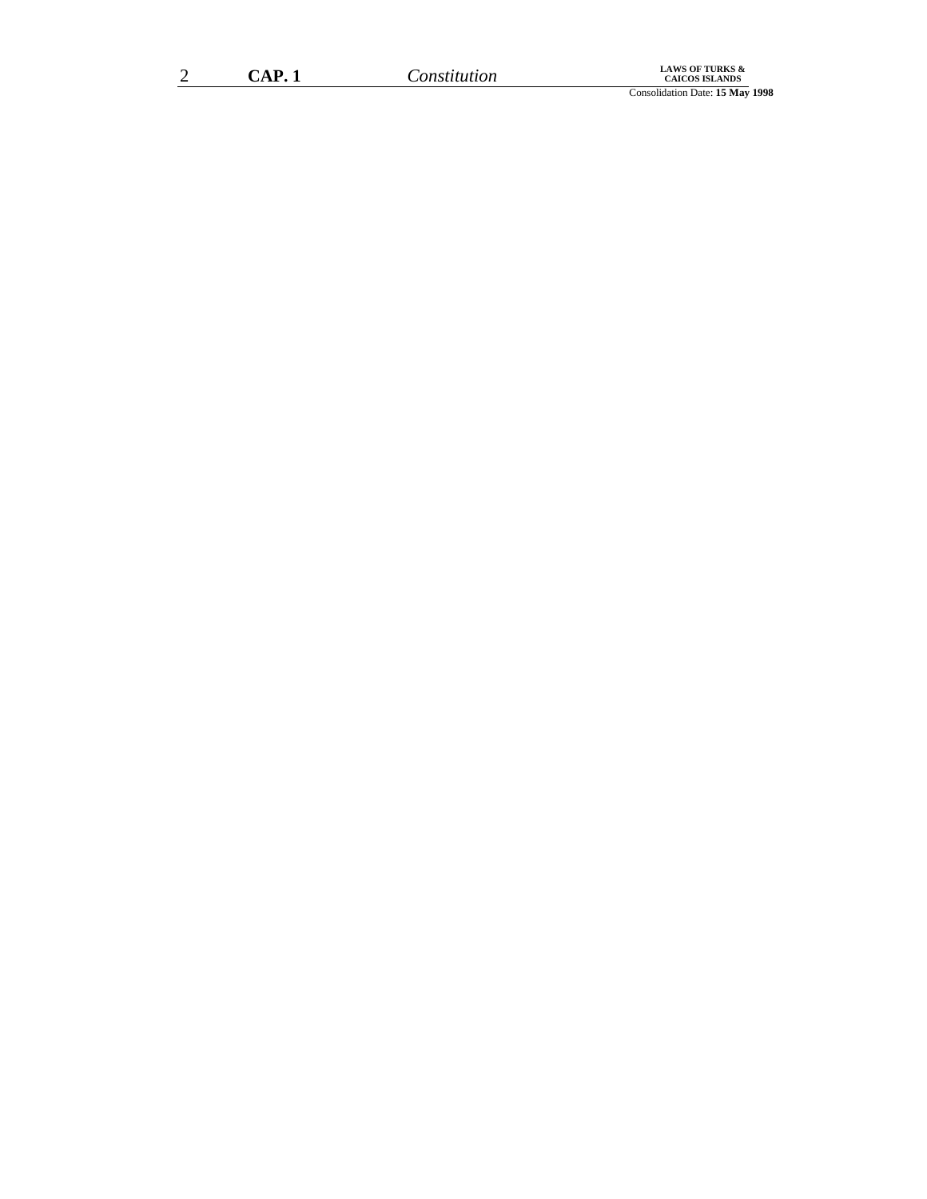| $\neg$ a p | Constitution | <b>LAWS OF TURKS &amp;</b><br><b>CAICOS ISLANDS</b> |
|------------|--------------|-----------------------------------------------------|
|            |              | Consolidation Date: 15 May 1998                     |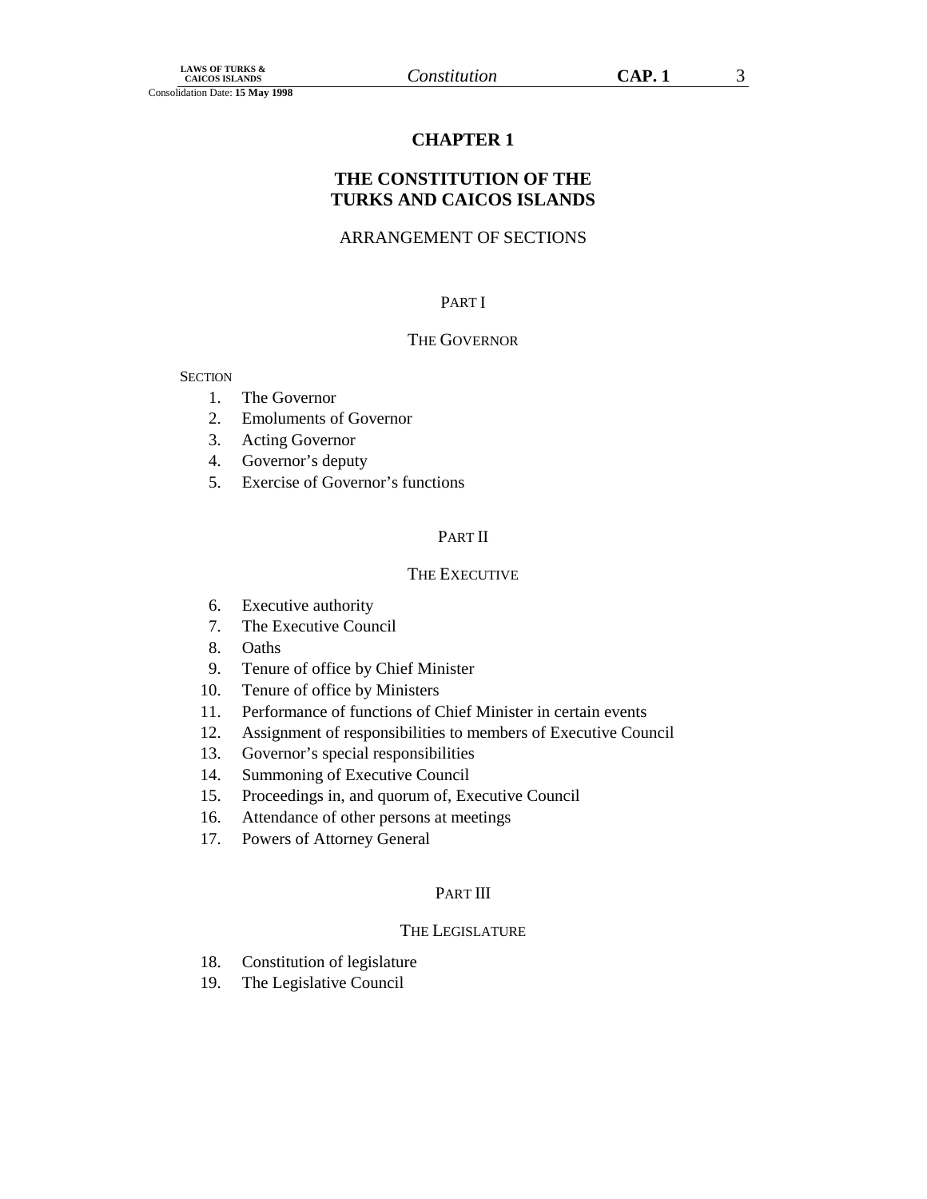## **CHAPTER 1**

## **THE CONSTITUTION OF THE TURKS AND CAICOS ISLANDS**

## ARRANGEMENT OF SECTIONS

### PART I

### THE GOVERNOR

**SECTION** 

- 1. The Governor
- 2. Emoluments of Governor
- 3. Acting Governor
- 4. Governor's deputy
- 5. Exercise of Governor's functions

### PART II

### THE EXECUTIVE

- 6. Executive authority
- 7. The Executive Council
- 8. Oaths
- 9. Tenure of office by Chief Minister
- 10. Tenure of office by Ministers
- 11. Performance of functions of Chief Minister in certain events
- 12. Assignment of responsibilities to members of Executive Council
- 13. Governor's special responsibilities
- 14. Summoning of Executive Council
- 15. Proceedings in, and quorum of, Executive Council
- 16. Attendance of other persons at meetings
- 17. Powers of Attorney General

### PART III

#### THE LEGISLATURE

- 18. Constitution of legislature
- 19. The Legislative Council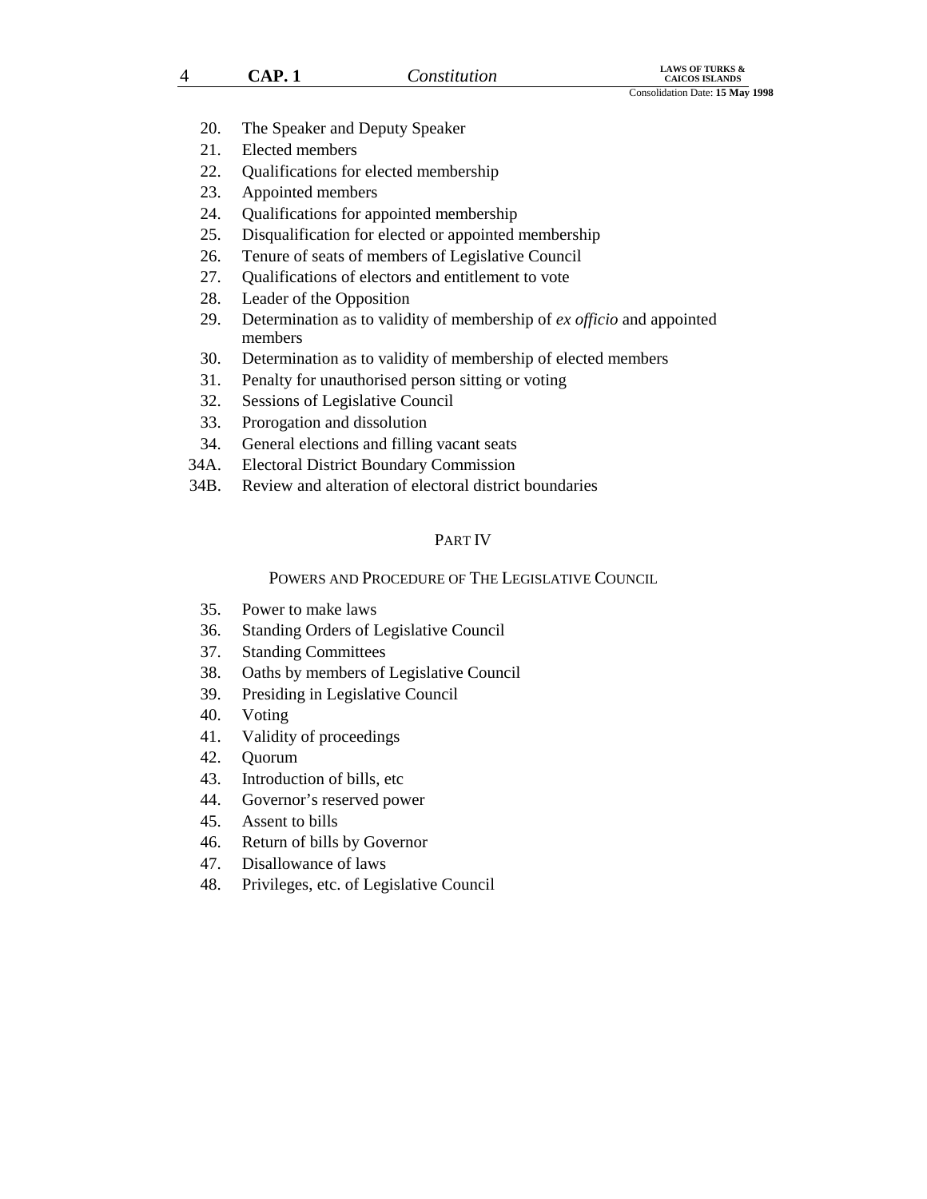- 20. The Speaker and Deputy Speaker
- 21. Elected members
- 22. Qualifications for elected membership
- 23. Appointed members
- 24. Qualifications for appointed membership
- 25. Disqualification for elected or appointed membership
- 26. Tenure of seats of members of Legislative Council
- 27. Qualifications of electors and entitlement to vote
- 28. Leader of the Opposition
- 29. Determination as to validity of membership of *ex officio* and appointed members
- 30. Determination as to validity of membership of elected members
- 31. Penalty for unauthorised person sitting or voting
- 32. Sessions of Legislative Council
- 33. Prorogation and dissolution
- 34. General elections and filling vacant seats
- 34A. Electoral District Boundary Commission
- 34B. Review and alteration of electoral district boundaries

## PART IV

## POWERS AND PROCEDURE OF THE LEGISLATIVE COUNCIL

- 35. Power to make laws
- 36. Standing Orders of Legislative Council
- 37. Standing Committees
- 38. Oaths by members of Legislative Council
- 39. Presiding in Legislative Council
- 40. Voting
- 41. Validity of proceedings
- 42. Quorum
- 43. Introduction of bills, etc
- 44. Governor's reserved power
- 45. Assent to bills
- 46. Return of bills by Governor
- 47. Disallowance of laws
- 48. Privileges, etc. of Legislative Council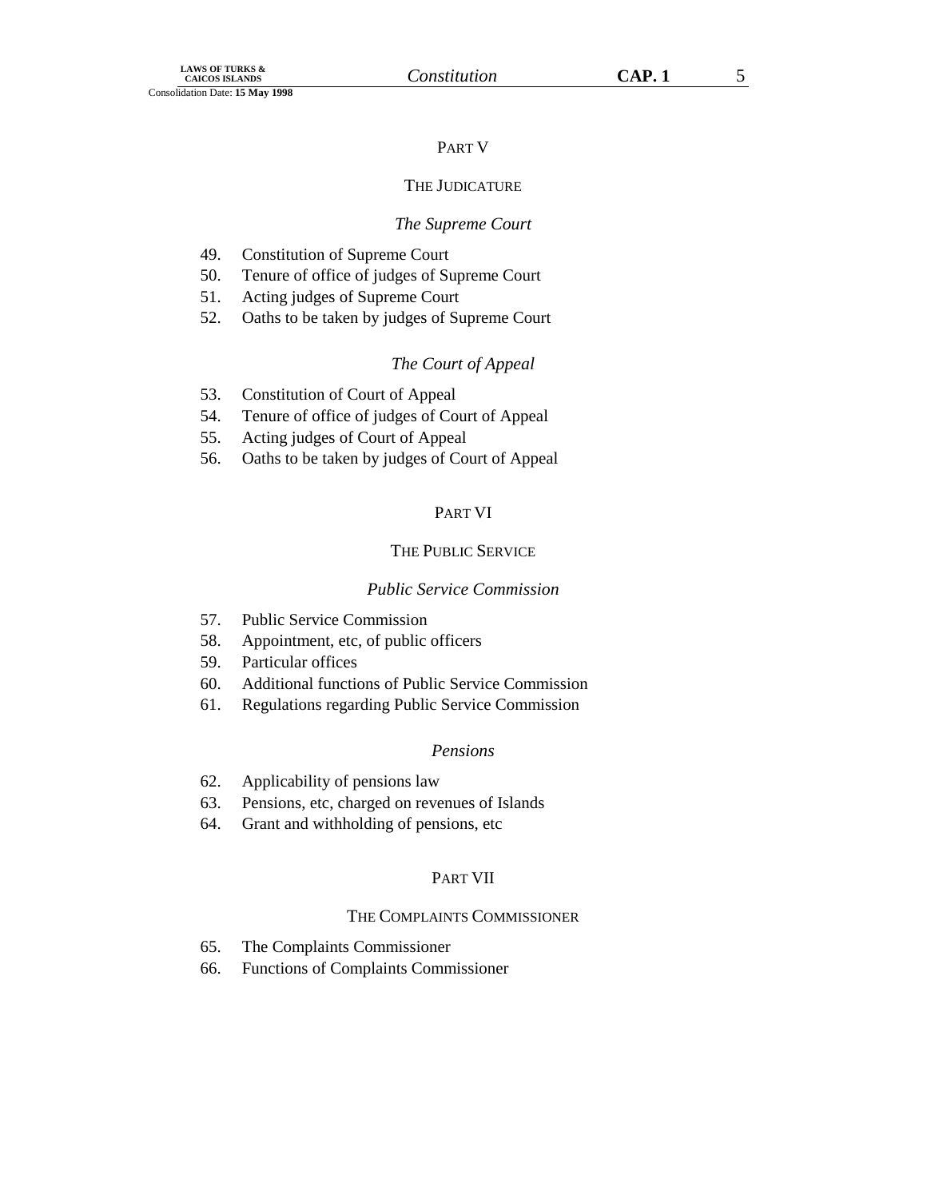### PART V

### THE JUDICATURE

## *The Supreme Court*

- 49. Constitution of Supreme Court
- 50. Tenure of office of judges of Supreme Court
- 51. Acting judges of Supreme Court
- 52. Oaths to be taken by judges of Supreme Court

#### *The Court of Appeal*

- 53. Constitution of Court of Appeal
- 54. Tenure of office of judges of Court of Appeal
- 55. Acting judges of Court of Appeal
- 56. Oaths to be taken by judges of Court of Appeal

#### PART VI

### THE PUBLIC SERVICE

### *Public Service Commission*

- 57. Public Service Commission
- 58. Appointment, etc, of public officers
- 59. Particular offices
- 60. Additional functions of Public Service Commission
- 61. Regulations regarding Public Service Commission

### *Pensions*

- 62. Applicability of pensions law
- 63. Pensions, etc, charged on revenues of Islands
- 64. Grant and withholding of pensions, etc

### PART VII

### THE COMPLAINTS COMMISSIONER

- 65. The Complaints Commissioner
- 66. Functions of Complaints Commissioner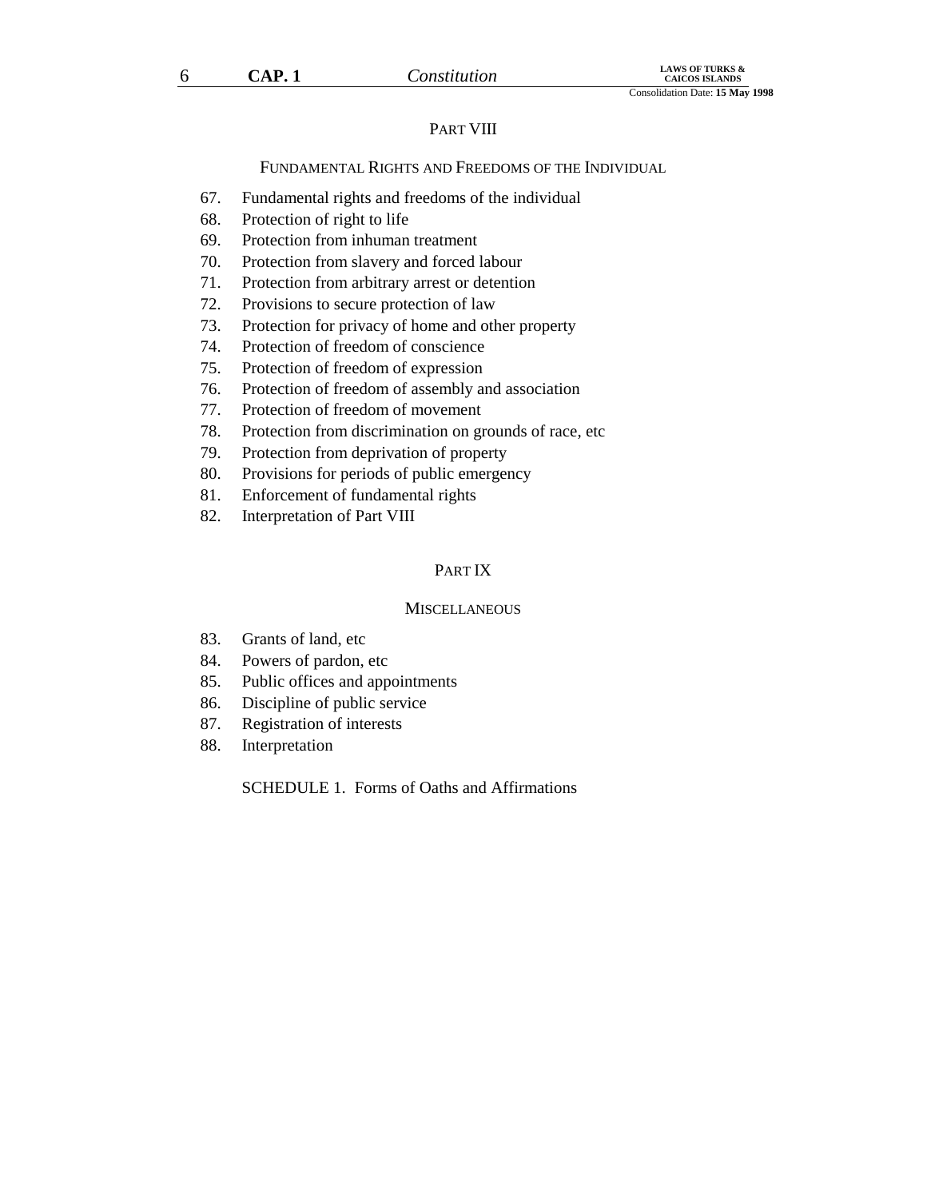| AP.              |  |
|------------------|--|
| $\bullet$<br>. . |  |

## PART VIII

## FUNDAMENTAL RIGHTS AND FREEDOMS OF THE INDIVIDUAL

- 67. Fundamental rights and freedoms of the individual
- 68. Protection of right to life
- 69. Protection from inhuman treatment
- 70. Protection from slavery and forced labour
- 71. Protection from arbitrary arrest or detention
- 72. Provisions to secure protection of law
- 73. Protection for privacy of home and other property
- 74. Protection of freedom of conscience
- 75. Protection of freedom of expression
- 76. Protection of freedom of assembly and association
- 77. Protection of freedom of movement
- 78. Protection from discrimination on grounds of race, etc
- 79. Protection from deprivation of property
- 80. Provisions for periods of public emergency
- 81. Enforcement of fundamental rights
- 82. Interpretation of Part VIII

## PART IX

## **MISCELLANEOUS**

- 83. Grants of land, etc
- 84. Powers of pardon, etc
- 85. Public offices and appointments
- 86. Discipline of public service
- 87. Registration of interests
- 88. Interpretation

SCHEDULE 1. Forms of Oaths and Affirmations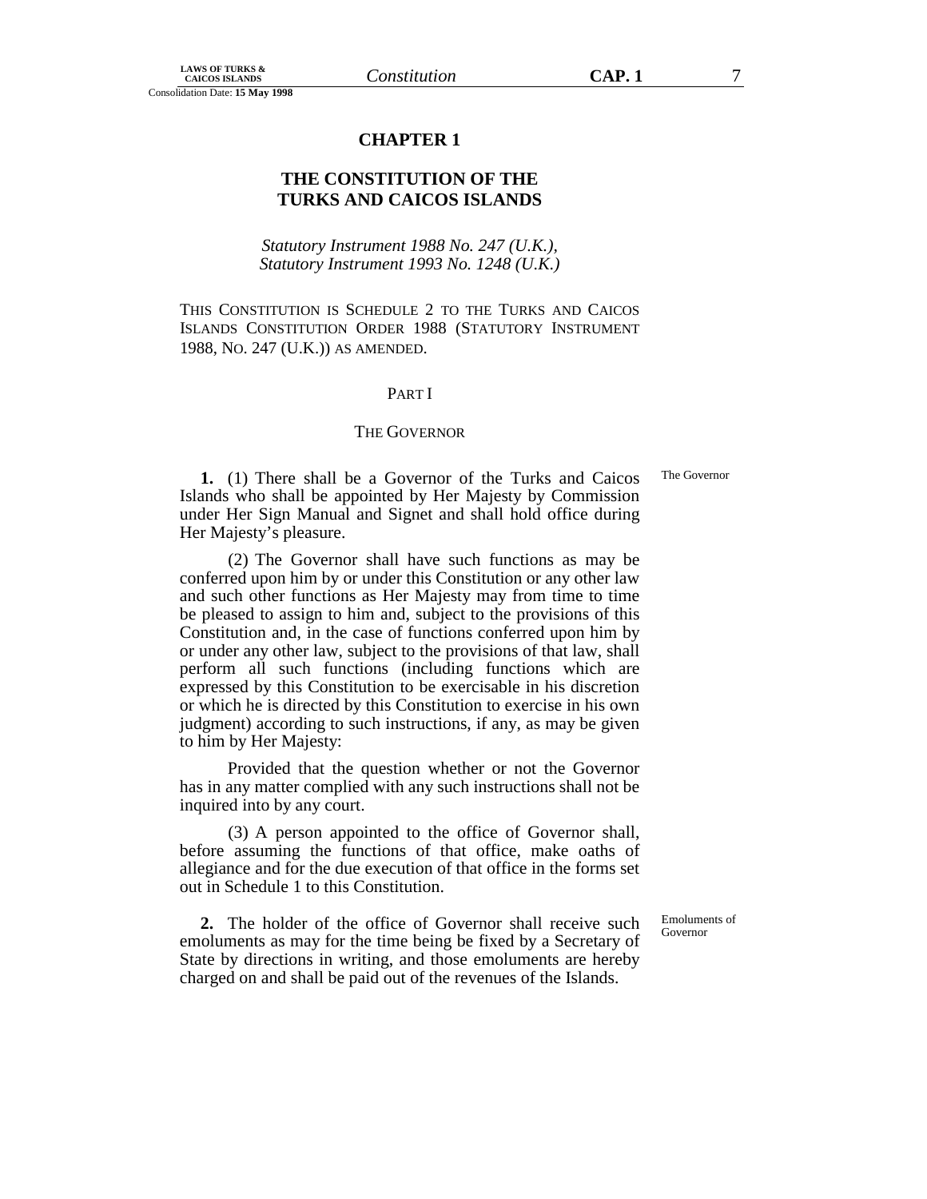#### **CHAPTER 1**

## <span id="page-6-0"></span>**THE CONSTITUTION OF THE TURKS AND CAICOS ISLANDS**

*Statutory Instrument 1988 No. 247 (U.K.), Statutory Instrument 1993 No. 1248 (U.K.)* 

THIS CONSTITUTION IS SCHEDULE 2 TO THE TURKS AND CAICOS ISLANDS CONSTITUTION ORDER 1988 (STATUTORY INSTRUMENT 1988, NO. 247 (U.K.)) AS AMENDED.

#### PART I

#### THE GOVERNOR

The Governor

**1.** (1) There shall be a Governor of the Turks and Caicos Islands who shall be appointed by Her Majesty by Commission under Her Sign Manual and Signet and shall hold office during Her Majesty's pleasure.

 (2) The Governor shall have such functions as may be conferred upon him by or under this Constitution or any other law and such other functions as Her Majesty may from time to time be pleased to assign to him and, subject to the provisions of this Constitution and, in the case of functions conferred upon him by or under any other law, subject to the provisions of that law, shall perform all such functions (including functions which are expressed by this Constitution to be exercisable in his discretion or which he is directed by this Constitution to exercise in his own judgment) according to such instructions, if any, as may be given to him by Her Majesty:

 Provided that the question whether or not the Governor has in any matter complied with any such instructions shall not be inquired into by any court.

 (3) A person appointed to the office of Governor shall, before assuming the functions of that office, make oaths of allegiance and for the due execution of that office in the forms set out in Schedule 1 to this Constitution.

> Emoluments of Governor

**2.** The holder of the office of Governor shall receive such emoluments as may for the time being be fixed by a Secretary of State by directions in writing, and those emoluments are hereby charged on and shall be paid out of the revenues of the Islands.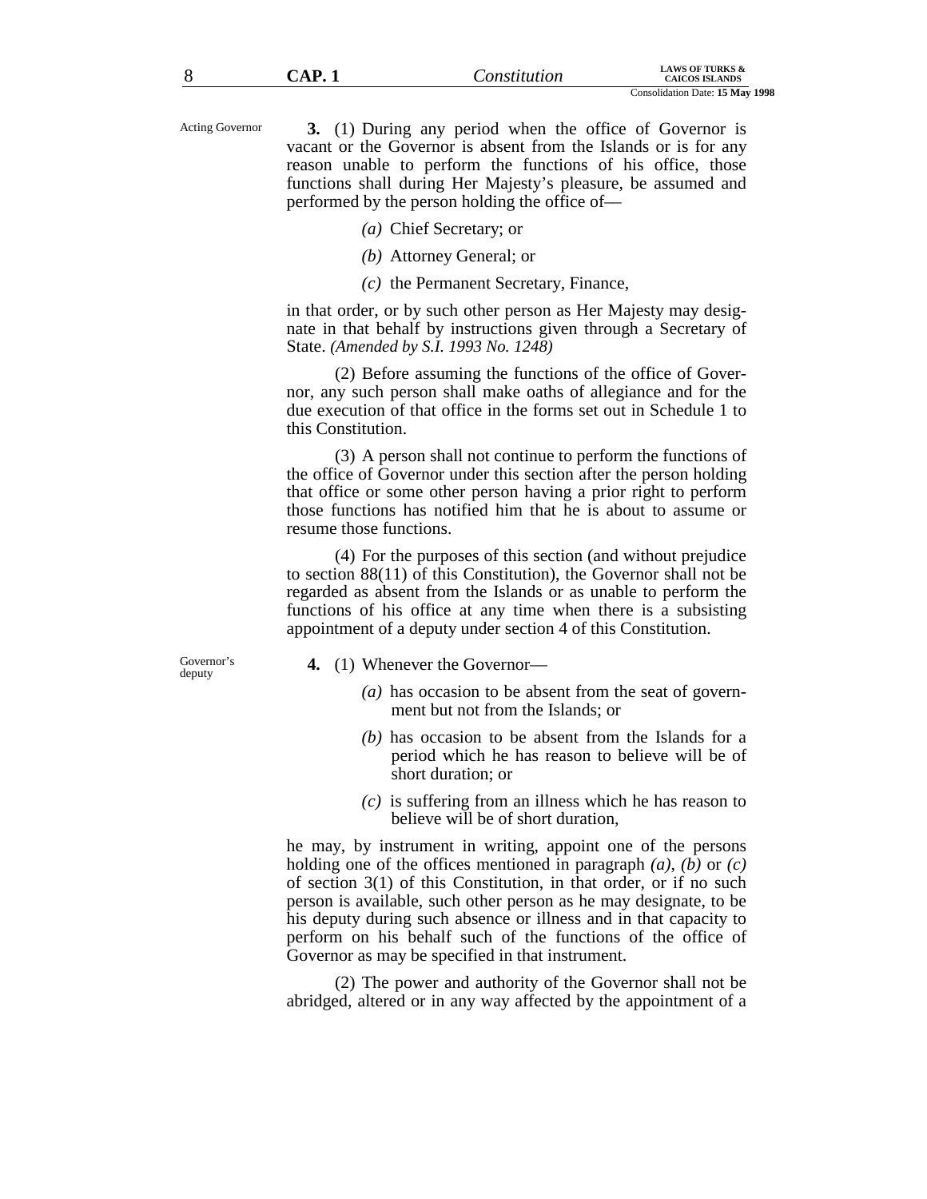|  | constitution | <b>LAWS OF TURKS &amp;</b><br><b>CAICOS ISLANDS</b> |
|--|--------------|-----------------------------------------------------|
|  |              | Consolidation Date: 15 May 1998                     |

Acting Governor

**3.** (1) During any period when the office of Governor is vacant or the Governor is absent from the Islands or is for any reason unable to perform the functions of his office, those functions shall during Her Majesty's pleasure, be assumed and performed by the person holding the office of––

*(a)* Chief Secretary; or

*(b)* Attorney General; or

*(c)* the Permanent Secretary, Finance,

in that order, or by such other person as Her Majesty may designate in that behalf by instructions given through a Secretary of State. *(Amended by S.I. 1993 No. 1248)*

 (2) Before assuming the functions of the office of Governor, any such person shall make oaths of allegiance and for the due execution of that office in the forms set out in Schedule 1 to this Constitution.

 (3) A person shall not continue to perform the functions of the office of Governor under this section after the person holding that office or some other person having a prior right to perform those functions has notified him that he is about to assume or resume those functions.

 (4) For the purposes of this section (and without prejudice to section 88(11) of this Constitution), the Governor shall not be regarded as absent from the Islands or as unable to perform the functions of his office at any time when there is a subsisting appointment of a deputy under section 4 of this Constitution.

Governor's deputy

- **4.** (1) Whenever the Governor––
	- *(a)* has occasion to be absent from the seat of government but not from the Islands; or
	- *(b)* has occasion to be absent from the Islands for a period which he has reason to believe will be of short duration; or
	- *(c)* is suffering from an illness which he has reason to believe will be of short duration,

he may, by instrument in writing, appoint one of the persons holding one of the offices mentioned in paragraph *(a)*, *(b)* or *(c)* of section 3(1) of this Constitution, in that order, or if no such person is available, such other person as he may designate, to be his deputy during such absence or illness and in that capacity to perform on his behalf such of the functions of the office of Governor as may be specified in that instrument.

 (2) The power and authority of the Governor shall not be abridged, altered or in any way affected by the appointment of a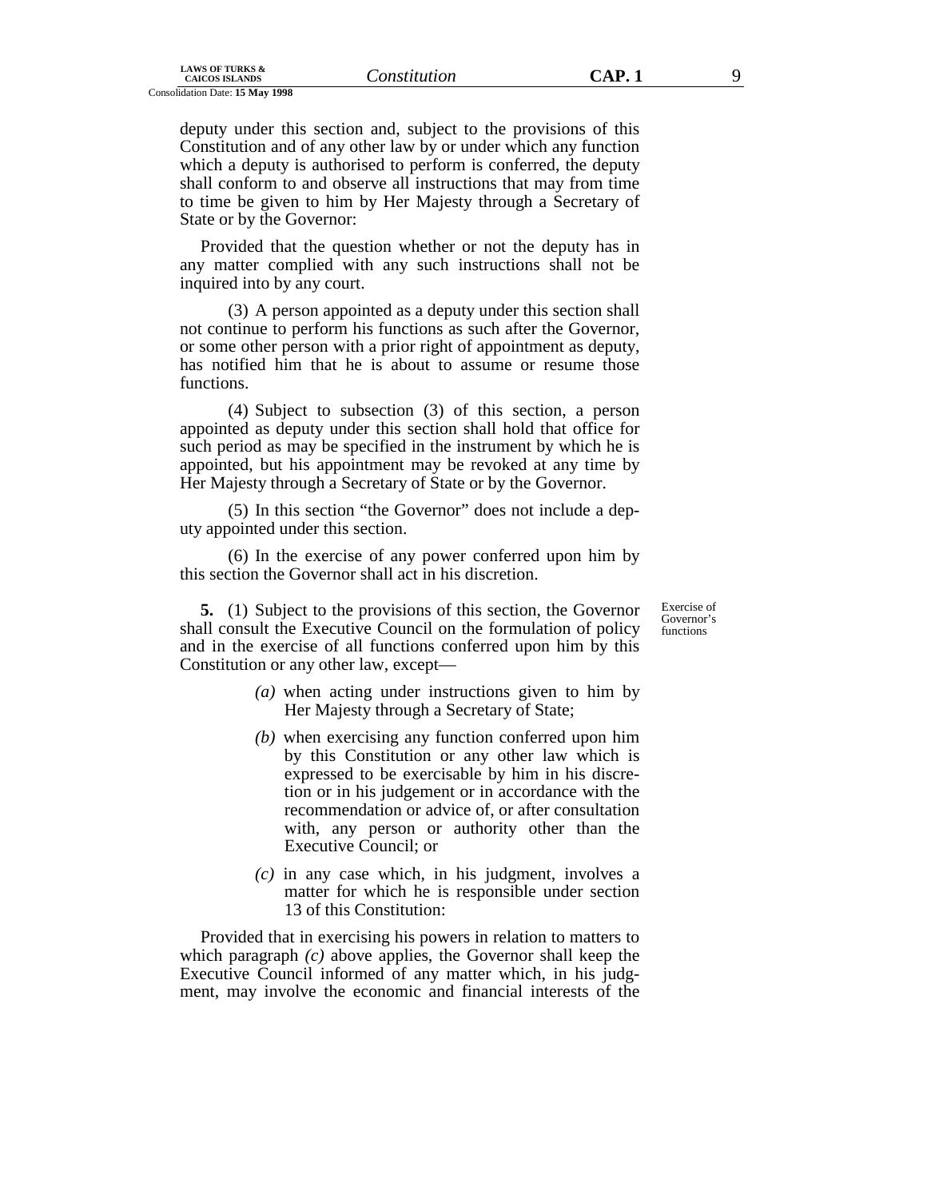deputy under this section and, subject to the provisions of this Constitution and of any other law by or under which any function which a deputy is authorised to perform is conferred, the deputy shall conform to and observe all instructions that may from time to time be given to him by Her Majesty through a Secretary of State or by the Governor:

Provided that the question whether or not the deputy has in any matter complied with any such instructions shall not be inquired into by any court.

 (3) A person appointed as a deputy under this section shall not continue to perform his functions as such after the Governor, or some other person with a prior right of appointment as deputy, has notified him that he is about to assume or resume those functions.

 (4) Subject to subsection (3) of this section, a person appointed as deputy under this section shall hold that office for such period as may be specified in the instrument by which he is appointed, but his appointment may be revoked at any time by Her Majesty through a Secretary of State or by the Governor.

 (5) In this section "the Governor" does not include a deputy appointed under this section.

 (6) In the exercise of any power conferred upon him by this section the Governor shall act in his discretion.

**5.** (1) Subject to the provisions of this section, the Governor shall consult the Executive Council on the formulation of policy and in the exercise of all functions conferred upon him by this Constitution or any other law, except––

> *(a)* when acting under instructions given to him by Her Majesty through a Secretary of State;

- *(b)* when exercising any function conferred upon him by this Constitution or any other law which is expressed to be exercisable by him in his discretion or in his judgement or in accordance with the recommendation or advice of, or after consultation with, any person or authority other than the Executive Council; or
- *(c)* in any case which, in his judgment, involves a matter for which he is responsible under section 13 of this Constitution:

Provided that in exercising his powers in relation to matters to which paragraph *(c)* above applies, the Governor shall keep the Executive Council informed of any matter which, in his judgment, may involve the economic and financial interests of the

Exercise of Governor's functions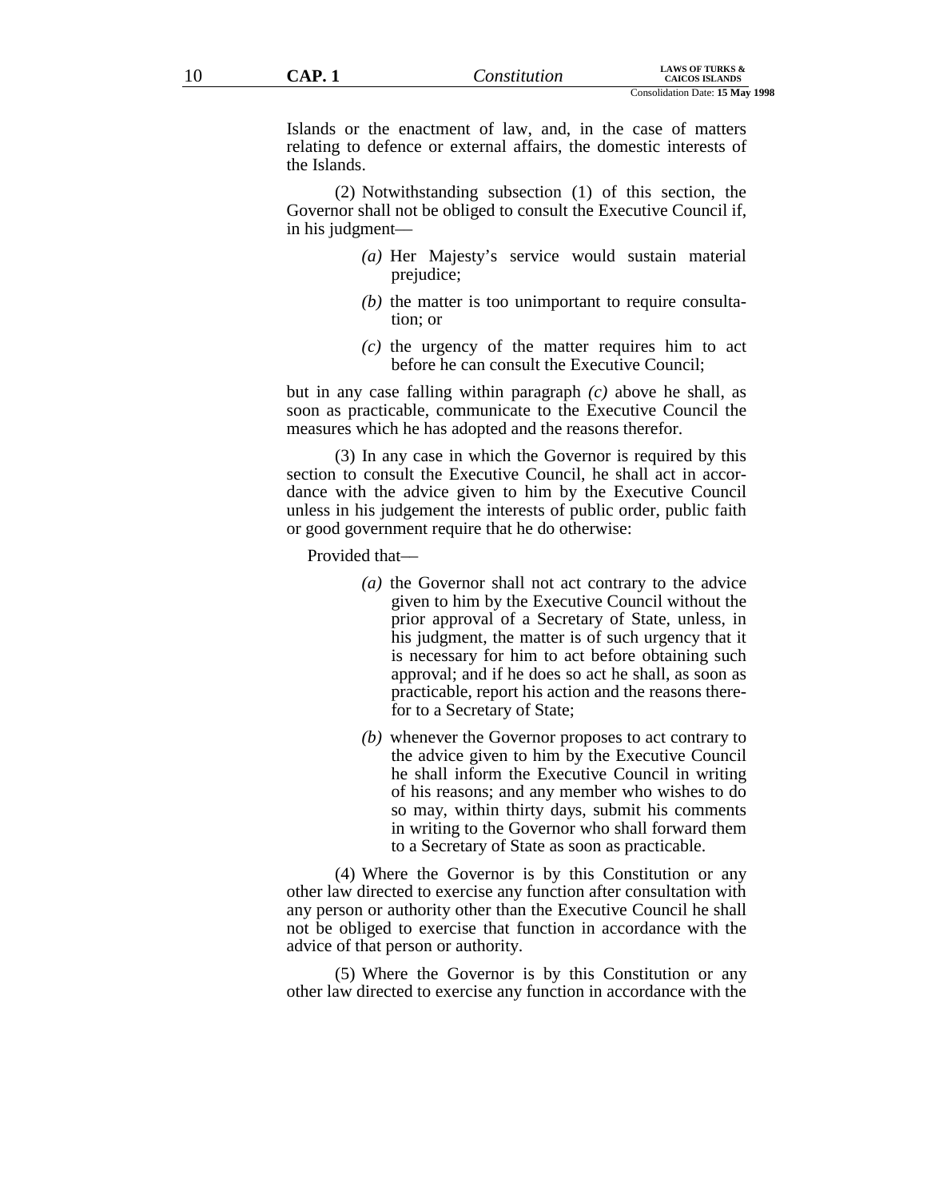| $\mathbb{C}AP.$ | Constitution | <b>LAWS OF TURKS &amp;</b><br><b>CAICOS ISLANDS</b> |
|-----------------|--------------|-----------------------------------------------------|
|                 |              | Consolidation Date: 15 May 1998                     |

Islands or the enactment of law, and, in the case of matters relating to defence or external affairs, the domestic interests of the Islands.

 (2) Notwithstanding subsection (1) of this section, the Governor shall not be obliged to consult the Executive Council if, in his judgment––

- *(a)* Her Majesty's service would sustain material prejudice;
- *(b)* the matter is too unimportant to require consultation; or
- *(c)* the urgency of the matter requires him to act before he can consult the Executive Council;

but in any case falling within paragraph *(c)* above he shall, as soon as practicable, communicate to the Executive Council the measures which he has adopted and the reasons therefor.

 (3) In any case in which the Governor is required by this section to consult the Executive Council, he shall act in accordance with the advice given to him by the Executive Council unless in his judgement the interests of public order, public faith or good government require that he do otherwise:

Provided that—

- *(a)* the Governor shall not act contrary to the advice given to him by the Executive Council without the prior approval of a Secretary of State, unless, in his judgment, the matter is of such urgency that it is necessary for him to act before obtaining such approval; and if he does so act he shall, as soon as practicable, report his action and the reasons therefor to a Secretary of State;
- *(b)* whenever the Governor proposes to act contrary to the advice given to him by the Executive Council he shall inform the Executive Council in writing of his reasons; and any member who wishes to do so may, within thirty days, submit his comments in writing to the Governor who shall forward them to a Secretary of State as soon as practicable.

 (4) Where the Governor is by this Constitution or any other law directed to exercise any function after consultation with any person or authority other than the Executive Council he shall not be obliged to exercise that function in accordance with the advice of that person or authority.

 (5) Where the Governor is by this Constitution or any other law directed to exercise any function in accordance with the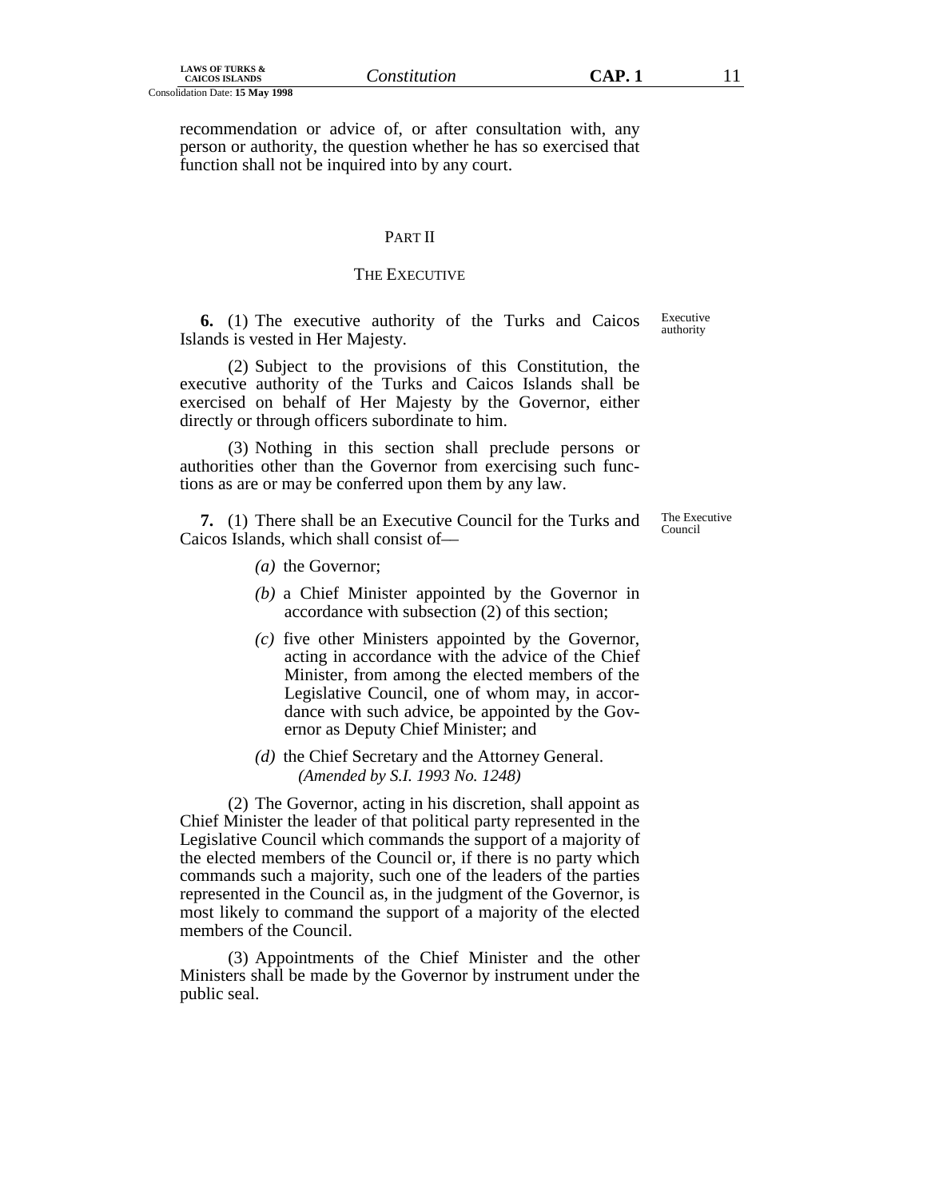| <b>LAWS OF TURKS &amp;</b><br><b>CAICOS ISLANDS</b> | Constitution |  |
|-----------------------------------------------------|--------------|--|
| Consolidation Date: 15 May 1998                     |              |  |

recommendation or advice of, or after consultation with, any person or authority, the question whether he has so exercised that function shall not be inquired into by any court.

#### PART II

### THE EXECUTIVE

**6.** (1) The executive authority of the Turks and Caicos Islands is vested in Her Majesty.

 (2) Subject to the provisions of this Constitution, the executive authority of the Turks and Caicos Islands shall be exercised on behalf of Her Majesty by the Governor, either directly or through officers subordinate to him.

 (3) Nothing in this section shall preclude persons or authorities other than the Governor from exercising such functions as are or may be conferred upon them by any law.

**7.** (1) There shall be an Executive Council for the Turks and Caicos Islands, which shall consist of––

- *(a)* the Governor;
- *(b)* a Chief Minister appointed by the Governor in accordance with subsection (2) of this section;
- *(c)* five other Ministers appointed by the Governor, acting in accordance with the advice of the Chief Minister, from among the elected members of the Legislative Council, one of whom may, in accordance with such advice, be appointed by the Governor as Deputy Chief Minister; and
- *(d)* the Chief Secretary and the Attorney General. *(Amended by S.I. 1993 No. 1248)*

 (2) The Governor, acting in his discretion, shall appoint as Chief Minister the leader of that political party represented in the Legislative Council which commands the support of a majority of the elected members of the Council or, if there is no party which commands such a majority, such one of the leaders of the parties represented in the Council as, in the judgment of the Governor, is most likely to command the support of a majority of the elected members of the Council.

 (3) Appointments of the Chief Minister and the other Ministers shall be made by the Governor by instrument under the public seal.

The Executive Council

Executive authority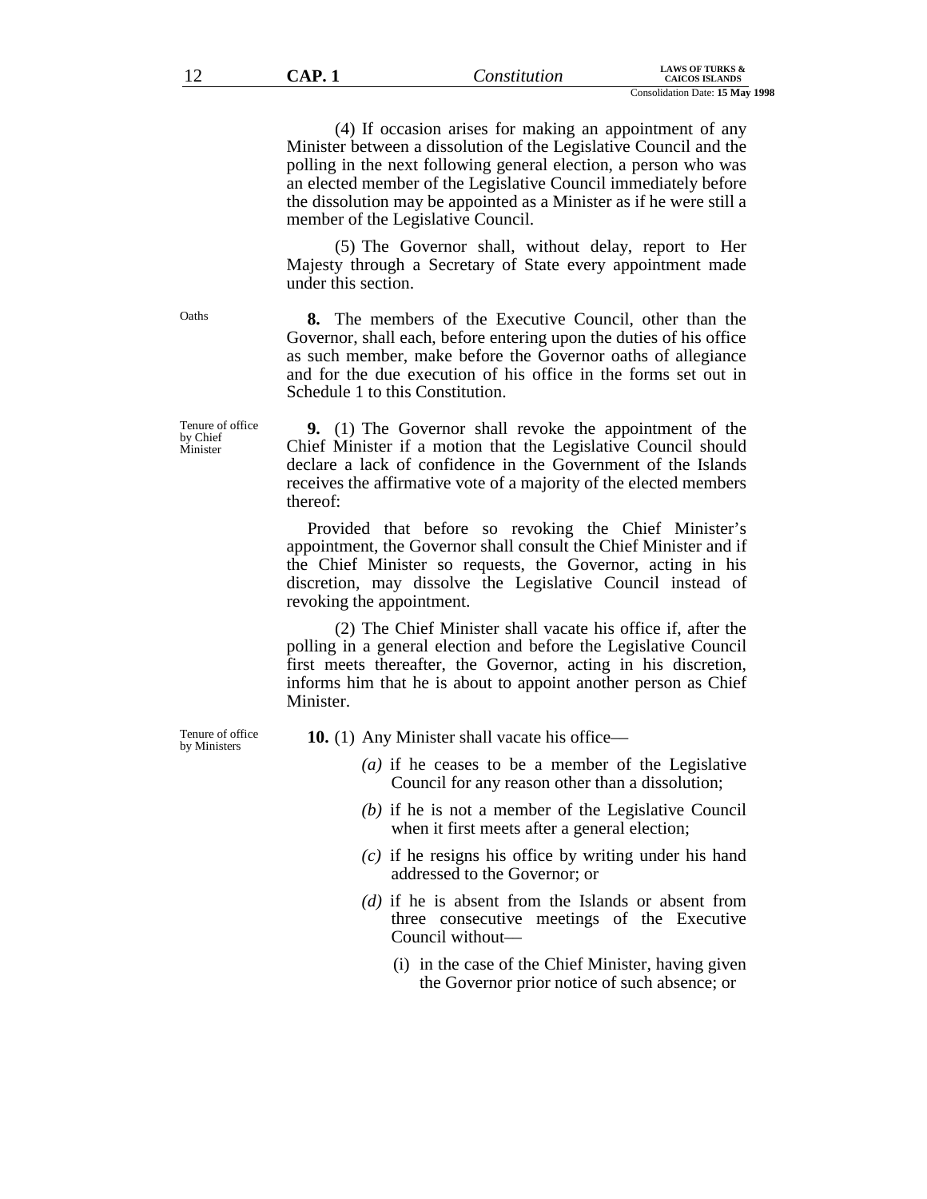| 12 | D | Constitution | <b>LAWS OF TURKS &amp;</b><br><b>CAICOS ISLANDS</b> |
|----|---|--------------|-----------------------------------------------------|
|    |   |              | Consolidation Date: 15 May 1998                     |

 (4) If occasion arises for making an appointment of any Minister between a dissolution of the Legislative Council and the polling in the next following general election, a person who was an elected member of the Legislative Council immediately before the dissolution may be appointed as a Minister as if he were still a member of the Legislative Council.

 (5) The Governor shall, without delay, report to Her Majesty through a Secretary of State every appointment made under this section.

**8.** The members of the Executive Council, other than the Governor, shall each, before entering upon the duties of his office as such member, make before the Governor oaths of allegiance and for the due execution of his office in the forms set out in Schedule 1 to this Constitution.

**9.** (1) The Governor shall revoke the appointment of the Chief Minister if a motion that the Legislative Council should declare a lack of confidence in the Government of the Islands receives the affirmative vote of a majority of the elected members thereof:

Provided that before so revoking the Chief Minister's appointment, the Governor shall consult the Chief Minister and if the Chief Minister so requests, the Governor, acting in his discretion, may dissolve the Legislative Council instead of revoking the appointment.

 (2) The Chief Minister shall vacate his office if, after the polling in a general election and before the Legislative Council first meets thereafter, the Governor, acting in his discretion, informs him that he is about to appoint another person as Chief Minister.

Tenure of office by Ministers

**Oaths** 

Tenure of office by Chief Minister

**10.** (1) Any Minister shall vacate his office—

- *(a)* if he ceases to be a member of the Legislative Council for any reason other than a dissolution;
- *(b)* if he is not a member of the Legislative Council when it first meets after a general election;
- *(c)* if he resigns his office by writing under his hand addressed to the Governor; or
- *(d)* if he is absent from the Islands or absent from three consecutive meetings of the Executive Council without––
	- (i) in the case of the Chief Minister, having given the Governor prior notice of such absence; or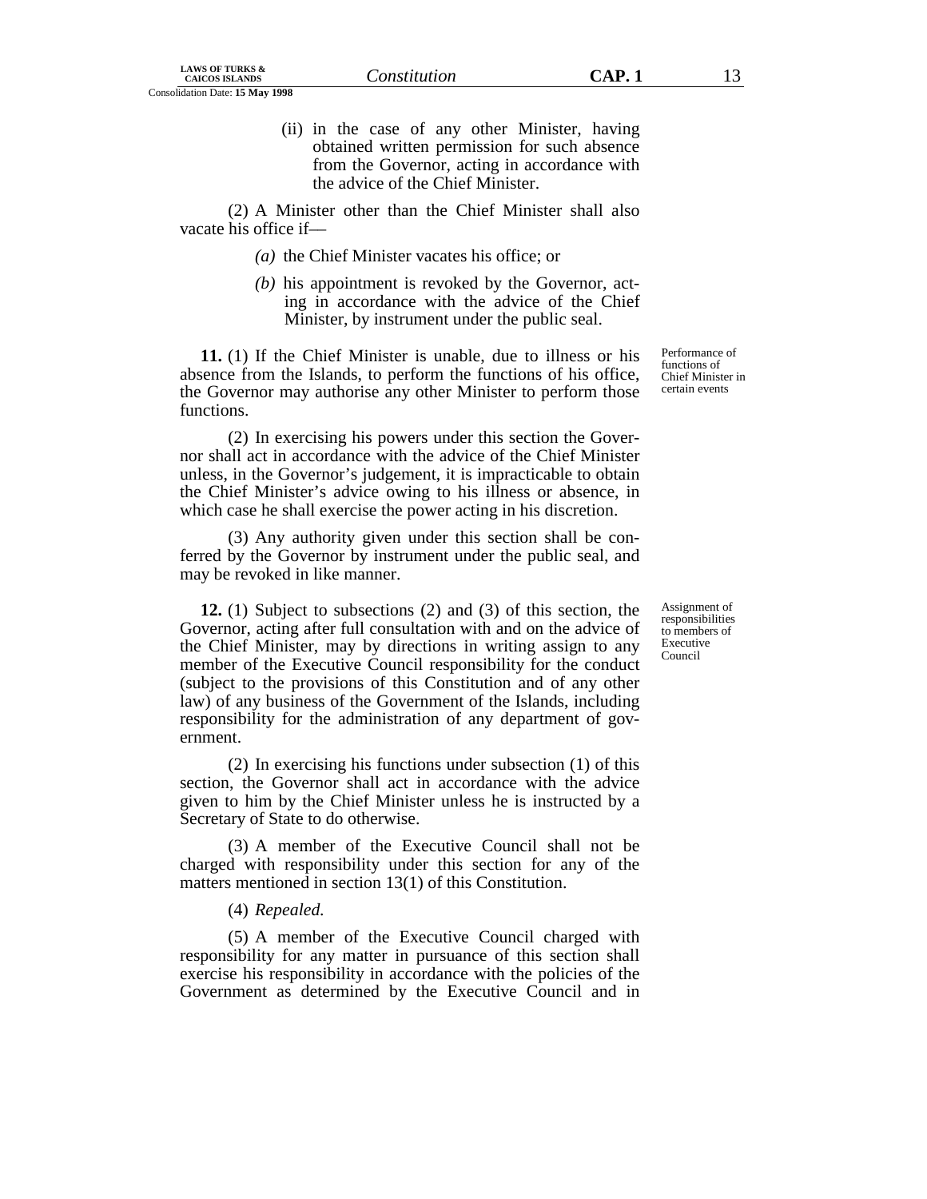(ii) in the case of any other Minister, having obtained written permission for such absence from the Governor, acting in accordance with the advice of the Chief Minister.

 (2) A Minister other than the Chief Minister shall also vacate his office if––

- *(a)* the Chief Minister vacates his office; or
- *(b)* his appointment is revoked by the Governor, acting in accordance with the advice of the Chief Minister, by instrument under the public seal.

**11.** (1) If the Chief Minister is unable, due to illness or his absence from the Islands, to perform the functions of his office, the Governor may authorise any other Minister to perform those functions.

 (2) In exercising his powers under this section the Governor shall act in accordance with the advice of the Chief Minister unless, in the Governor's judgement, it is impracticable to obtain the Chief Minister's advice owing to his illness or absence, in which case he shall exercise the power acting in his discretion.

 (3) Any authority given under this section shall be conferred by the Governor by instrument under the public seal, and may be revoked in like manner.

**12.** (1) Subject to subsections (2) and (3) of this section, the Governor, acting after full consultation with and on the advice of the Chief Minister, may by directions in writing assign to any member of the Executive Council responsibility for the conduct (subject to the provisions of this Constitution and of any other law) of any business of the Government of the Islands, including responsibility for the administration of any department of government.

 (2) In exercising his functions under subsection (1) of this section, the Governor shall act in accordance with the advice given to him by the Chief Minister unless he is instructed by a Secretary of State to do otherwise.

 (3) A member of the Executive Council shall not be charged with responsibility under this section for any of the matters mentioned in section 13(1) of this Constitution.

#### (4) *Repealed.*

 (5) A member of the Executive Council charged with responsibility for any matter in pursuance of this section shall exercise his responsibility in accordance with the policies of the Government as determined by the Executive Council and in Performance of functions of Chief Minister in certain events

Assignment of responsibilities to members of Executive Council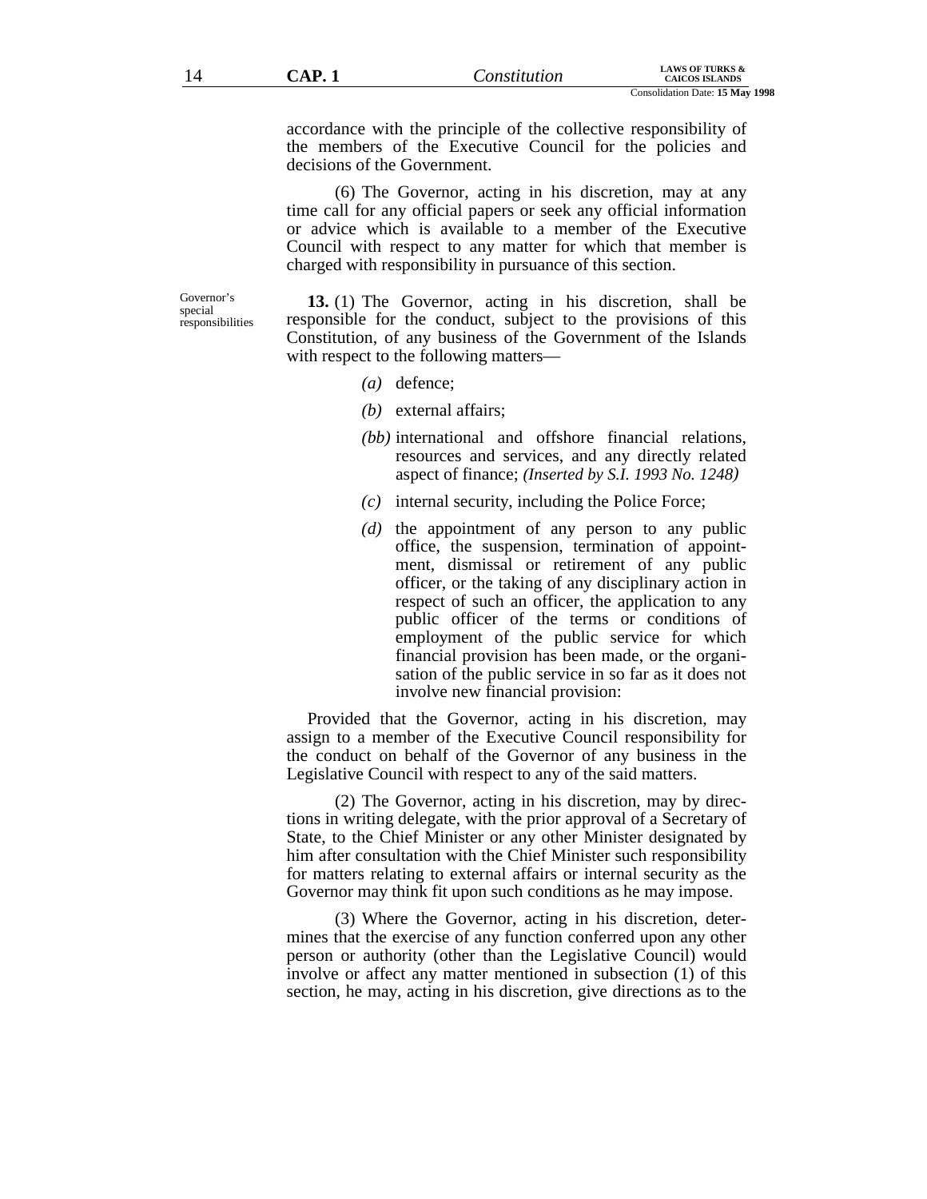accordance with the principle of the collective responsibility of the members of the Executive Council for the policies and decisions of the Government.

 (6) The Governor, acting in his discretion, may at any time call for any official papers or seek any official information or advice which is available to a member of the Executive Council with respect to any matter for which that member is charged with responsibility in pursuance of this section.

**13.** (1) The Governor, acting in his discretion, shall be responsible for the conduct, subject to the provisions of this Constitution, of any business of the Government of the Islands with respect to the following matters—

- *(a)* defence;
- *(b)* external affairs;
- *(bb)* international and offshore financial relations, resources and services, and any directly related aspect of finance; *(Inserted by S.I. 1993 No. 1248)*
- *(c)* internal security, including the Police Force;
- *(d)* the appointment of any person to any public office, the suspension, termination of appointment, dismissal or retirement of any public officer, or the taking of any disciplinary action in respect of such an officer, the application to any public officer of the terms or conditions of employment of the public service for which financial provision has been made, or the organisation of the public service in so far as it does not involve new financial provision:

Provided that the Governor, acting in his discretion, may assign to a member of the Executive Council responsibility for the conduct on behalf of the Governor of any business in the Legislative Council with respect to any of the said matters.

 (2) The Governor, acting in his discretion, may by directions in writing delegate, with the prior approval of a Secretary of State, to the Chief Minister or any other Minister designated by him after consultation with the Chief Minister such responsibility for matters relating to external affairs or internal security as the Governor may think fit upon such conditions as he may impose.

 (3) Where the Governor, acting in his discretion, determines that the exercise of any function conferred upon any other person or authority (other than the Legislative Council) would involve or affect any matter mentioned in subsection (1) of this section, he may, acting in his discretion, give directions as to the

Governor's special responsibilities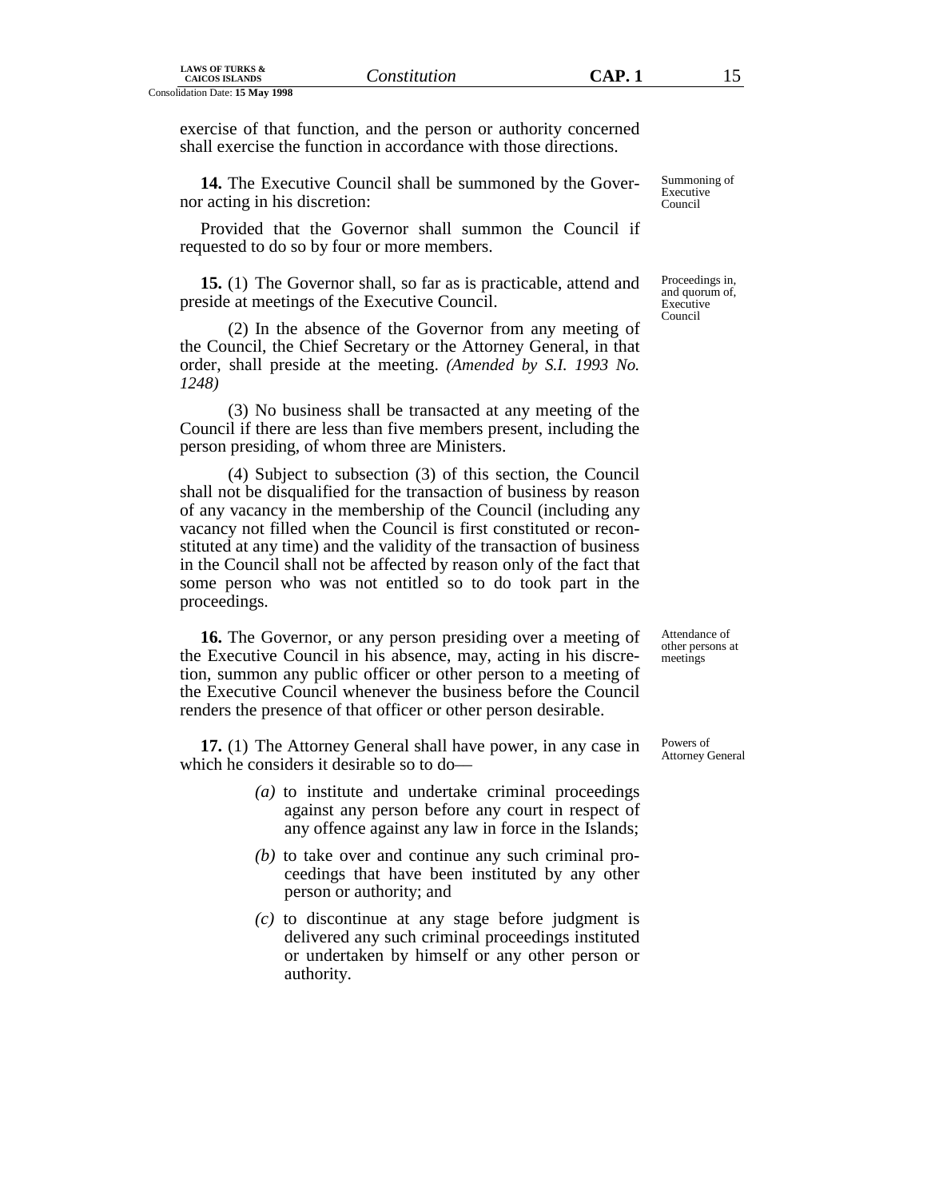exercise of that function, and the person or authority concerned shall exercise the function in accordance with those directions.

**14.** The Executive Council shall be summoned by the Governor acting in his discretion:

Provided that the Governor shall summon the Council if requested to do so by four or more members.

**15.** (1) The Governor shall, so far as is practicable, attend and preside at meetings of the Executive Council.

 (2) In the absence of the Governor from any meeting of the Council, the Chief Secretary or the Attorney General, in that order, shall preside at the meeting. *(Amended by S.I. 1993 No. 1248)*

 (3) No business shall be transacted at any meeting of the Council if there are less than five members present, including the person presiding, of whom three are Ministers.

 (4) Subject to subsection (3) of this section, the Council shall not be disqualified for the transaction of business by reason of any vacancy in the membership of the Council (including any vacancy not filled when the Council is first constituted or reconstituted at any time) and the validity of the transaction of business in the Council shall not be affected by reason only of the fact that some person who was not entitled so to do took part in the proceedings.

**16.** The Governor, or any person presiding over a meeting of the Executive Council in his absence, may, acting in his discretion, summon any public officer or other person to a meeting of the Executive Council whenever the business before the Council renders the presence of that officer or other person desirable.

**17.** (1) The Attorney General shall have power, in any case in which he considers it desirable so to do––

- *(a)* to institute and undertake criminal proceedings against any person before any court in respect of any offence against any law in force in the Islands;
- *(b)* to take over and continue any such criminal proceedings that have been instituted by any other person or authority; and
- *(c)* to discontinue at any stage before judgment is delivered any such criminal proceedings instituted or undertaken by himself or any other person or authority.

Summoning of Executive Council

Proceedings in, and quorum of, Executive Council

Attendance of other persons at meetings

Powers of Attorney General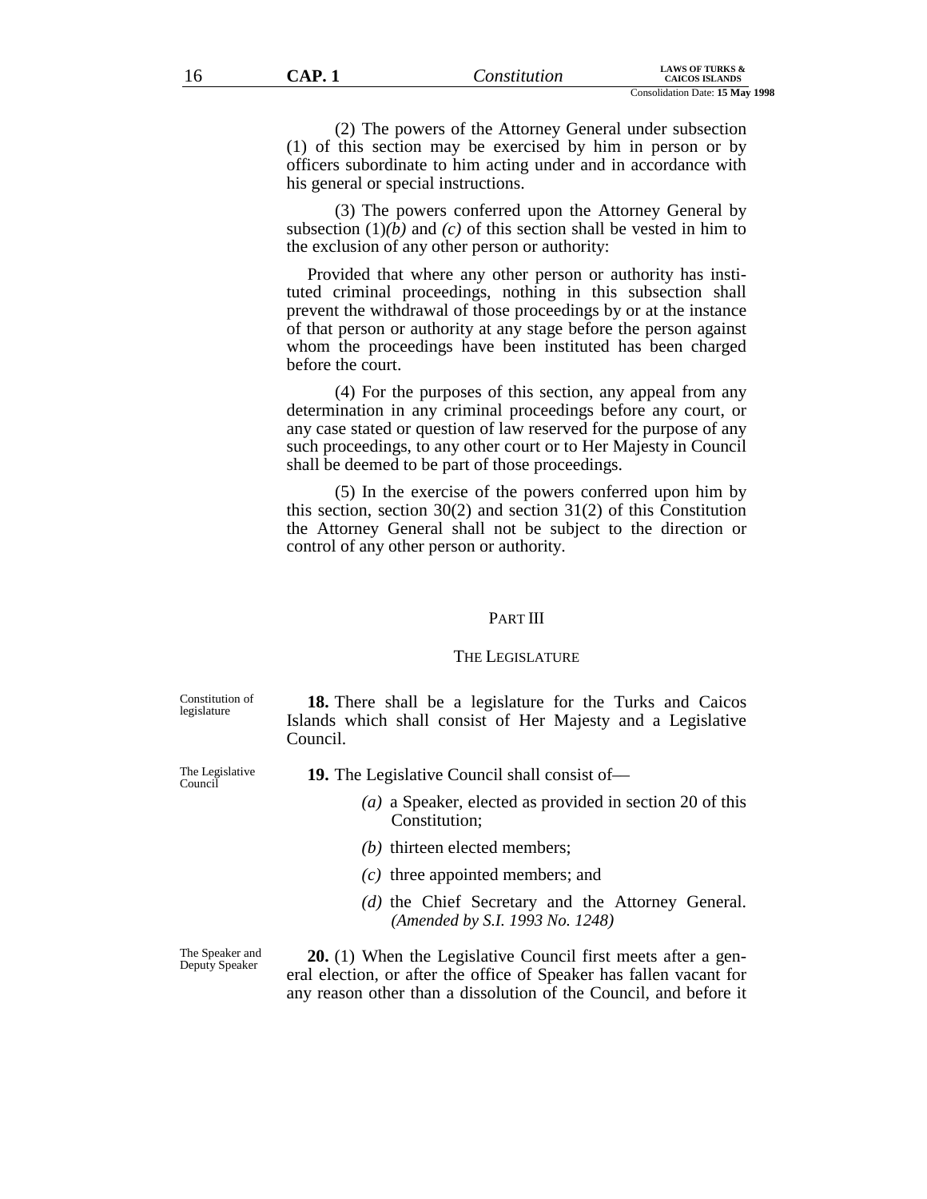(2) The powers of the Attorney General under subsection (1) of this section may be exercised by him in person or by officers subordinate to him acting under and in accordance with his general or special instructions.

 (3) The powers conferred upon the Attorney General by subsection  $(1)(b)$  and  $(c)$  of this section shall be vested in him to the exclusion of any other person or authority:

Provided that where any other person or authority has instituted criminal proceedings, nothing in this subsection shall prevent the withdrawal of those proceedings by or at the instance of that person or authority at any stage before the person against whom the proceedings have been instituted has been charged before the court.

 (4) For the purposes of this section, any appeal from any determination in any criminal proceedings before any court, or any case stated or question of law reserved for the purpose of any such proceedings, to any other court or to Her Majesty in Council shall be deemed to be part of those proceedings.

 (5) In the exercise of the powers conferred upon him by this section, section 30(2) and section 31(2) of this Constitution the Attorney General shall not be subject to the direction or control of any other person or authority.

#### PART III

#### THE LEGISLATURE

**18.** There shall be a legislature for the Turks and Caicos Islands which shall consist of Her Majesty and a Legislative Council.

- **19.** The Legislative Council shall consist of––
	- *(a)* a Speaker, elected as provided in section 20 of this Constitution;
	- *(b)* thirteen elected members;
	- *(c)* three appointed members; and
	- *(d)* the Chief Secretary and the Attorney General. *(Amended by S.I. 1993 No. 1248)*

The Speaker and Deputy Speaker

**20.** (1) When the Legislative Council first meets after a general election, or after the office of Speaker has fallen vacant for any reason other than a dissolution of the Council, and before it

legislature

Constitution of

The Legislative Council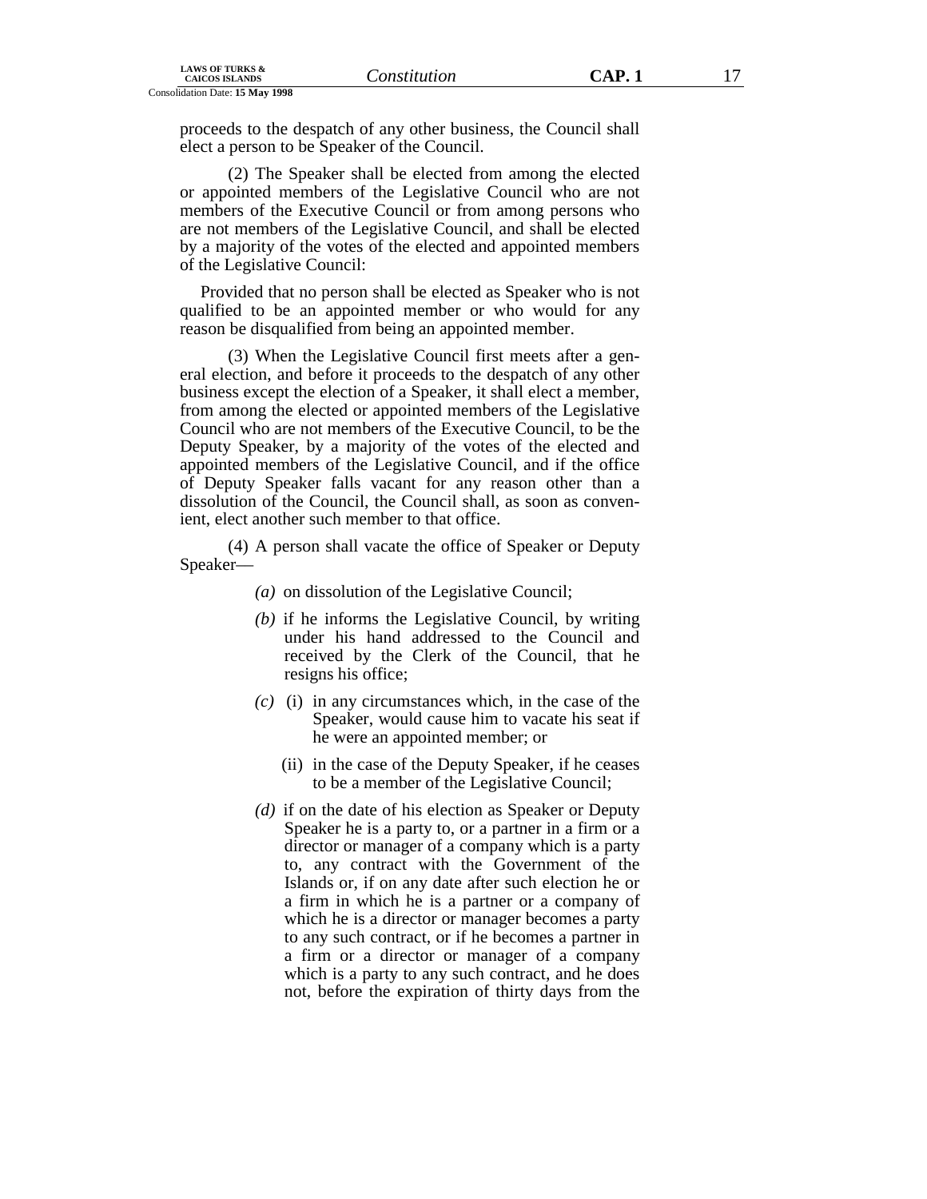| <b>LAWS OF TURKS &amp;</b><br><b>CAICOS ISLANDS</b> | constitution | л |  |
|-----------------------------------------------------|--------------|---|--|
| Consolidation Date: 15 May 1998                     |              |   |  |

proceeds to the despatch of any other business, the Council shall elect a person to be Speaker of the Council.

 (2) The Speaker shall be elected from among the elected or appointed members of the Legislative Council who are not members of the Executive Council or from among persons who are not members of the Legislative Council, and shall be elected by a majority of the votes of the elected and appointed members of the Legislative Council:

Provided that no person shall be elected as Speaker who is not qualified to be an appointed member or who would for any reason be disqualified from being an appointed member.

 (3) When the Legislative Council first meets after a general election, and before it proceeds to the despatch of any other business except the election of a Speaker, it shall elect a member, from among the elected or appointed members of the Legislative Council who are not members of the Executive Council, to be the Deputy Speaker, by a majority of the votes of the elected and appointed members of the Legislative Council, and if the office of Deputy Speaker falls vacant for any reason other than a dissolution of the Council, the Council shall, as soon as convenient, elect another such member to that office.

 (4) A person shall vacate the office of Speaker or Deputy Speaker––

- *(a)* on dissolution of the Legislative Council;
- *(b)* if he informs the Legislative Council, by writing under his hand addressed to the Council and received by the Clerk of the Council, that he resigns his office;
- *(c)* (i) in any circumstances which, in the case of the Speaker, would cause him to vacate his seat if he were an appointed member; or
	- (ii) in the case of the Deputy Speaker, if he ceases to be a member of the Legislative Council;
- *(d)* if on the date of his election as Speaker or Deputy Speaker he is a party to, or a partner in a firm or a director or manager of a company which is a party to, any contract with the Government of the Islands or, if on any date after such election he or a firm in which he is a partner or a company of which he is a director or manager becomes a party to any such contract, or if he becomes a partner in a firm or a director or manager of a company which is a party to any such contract, and he does not, before the expiration of thirty days from the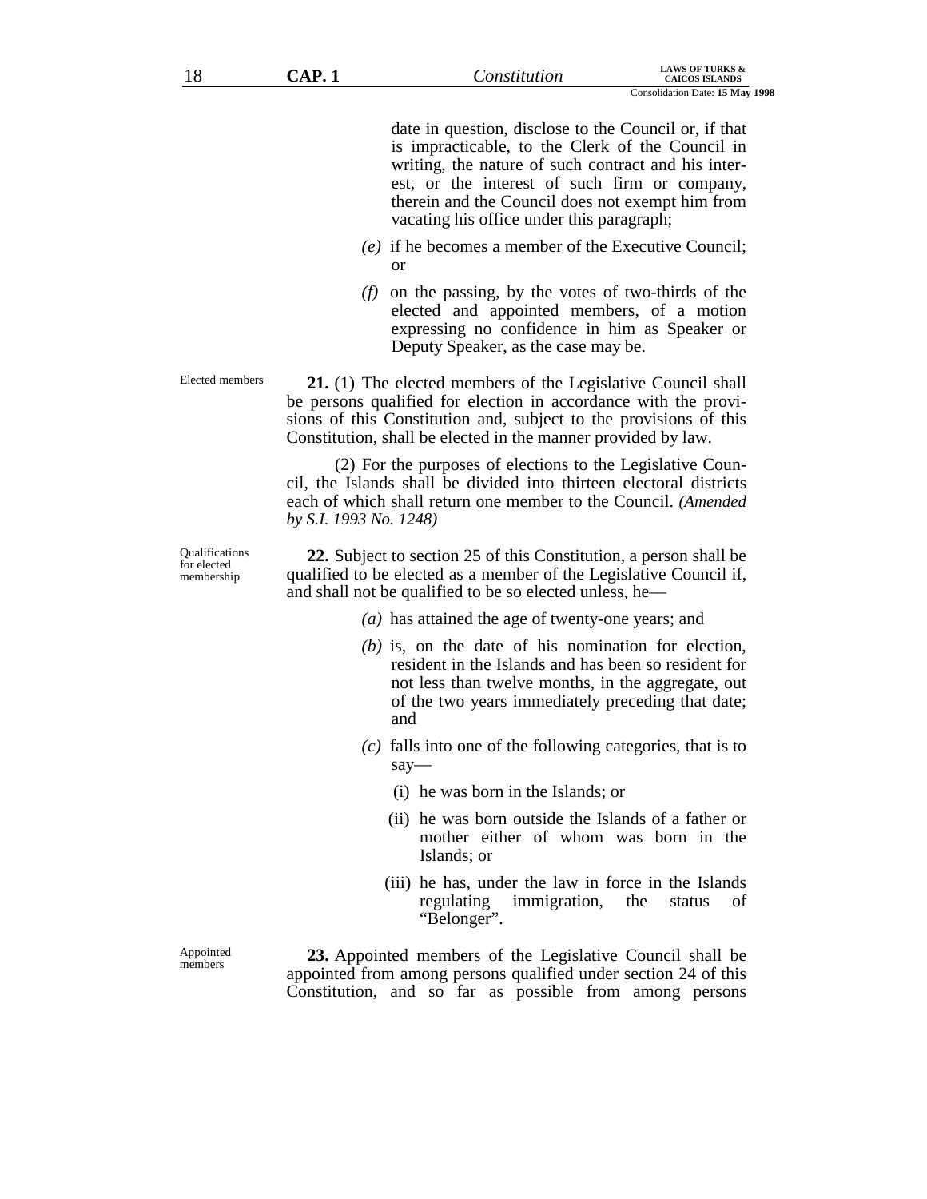date in question, disclose to the Council or, if that is impracticable, to the Clerk of the Council in writing, the nature of such contract and his interest, or the interest of such firm or company, therein and the Council does not exempt him from vacating his office under this paragraph;

- *(e)* if he becomes a member of the Executive Council; or
- *(f)* on the passing, by the votes of two-thirds of the elected and appointed members, of a motion expressing no confidence in him as Speaker or Deputy Speaker, as the case may be.

**21.** (1) The elected members of the Legislative Council shall be persons qualified for election in accordance with the provisions of this Constitution and, subject to the provisions of this Constitution, shall be elected in the manner provided by law.

 (2) For the purposes of elections to the Legislative Council, the Islands shall be divided into thirteen electoral districts each of which shall return one member to the Council. *(Amended by S.I. 1993 No. 1248)*

**22.** Subject to section 25 of this Constitution, a person shall be qualified to be elected as a member of the Legislative Council if, and shall not be qualified to be so elected unless, he––

- *(a)* has attained the age of twenty-one years; and
- *(b)* is, on the date of his nomination for election, resident in the Islands and has been so resident for not less than twelve months, in the aggregate, out of the two years immediately preceding that date; and
- *(c)* falls into one of the following categories, that is to say––
	- (i) he was born in the Islands; or
	- (ii) he was born outside the Islands of a father or mother either of whom was born in the Islands; or
	- (iii) he has, under the law in force in the Islands regulating immigration, the status of "Belonger".

**23.** Appointed members of the Legislative Council shall be appointed from among persons qualified under section 24 of this Constitution, and so far as possible from among persons

Elected members

Qualifications for elected membership

Appointed members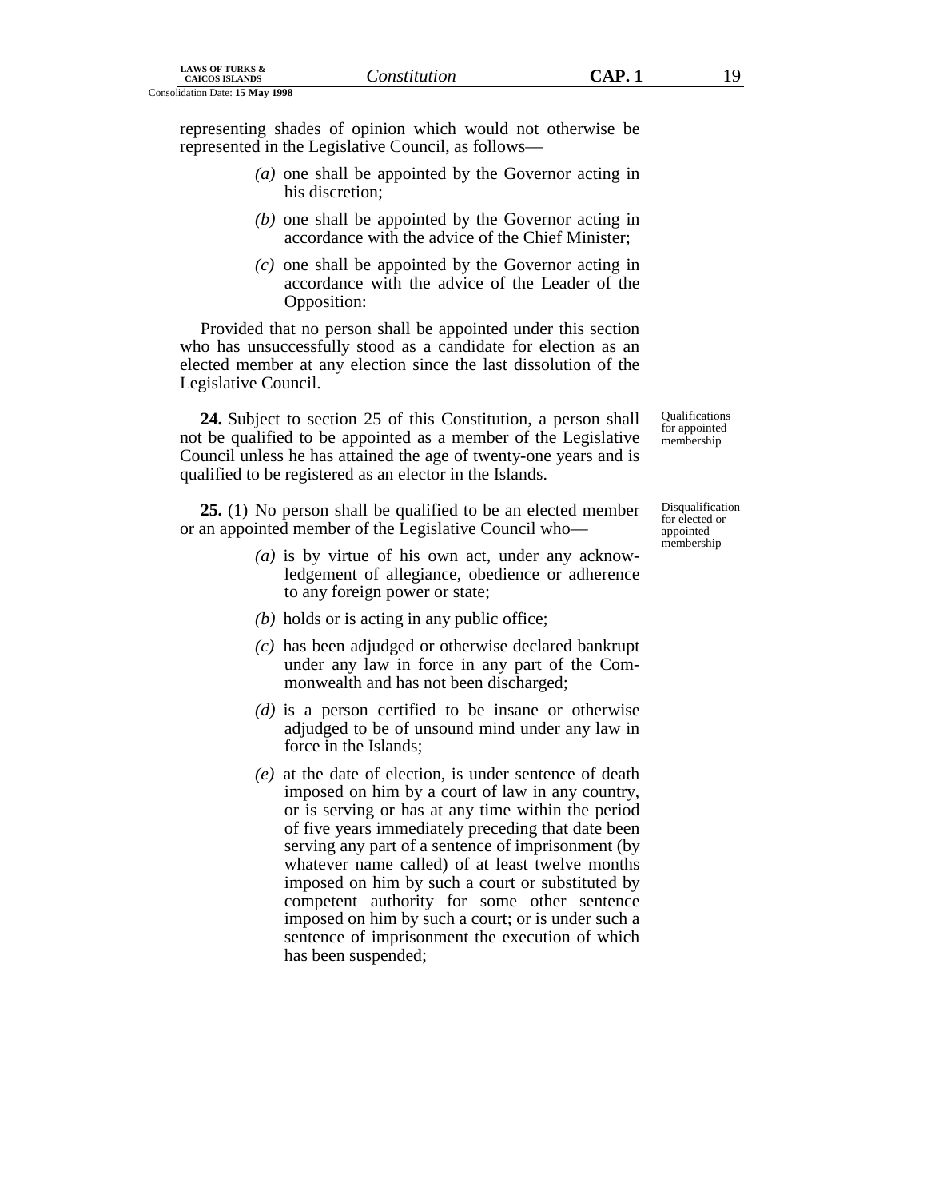| <b>LAWS OF TURKS &amp;</b><br>CAICOS ISLANDS | Constitution | $\mathcal{A}$ <b>P</b> . |  |
|----------------------------------------------|--------------|--------------------------|--|
| Consolidation Date: 15 May 1998              |              |                          |  |

representing shades of opinion which would not otherwise be represented in the Legislative Council, as follows––

- *(a)* one shall be appointed by the Governor acting in his discretion;
- *(b)* one shall be appointed by the Governor acting in accordance with the advice of the Chief Minister;
- *(c)* one shall be appointed by the Governor acting in accordance with the advice of the Leader of the Opposition:

Provided that no person shall be appointed under this section who has unsuccessfully stood as a candidate for election as an elected member at any election since the last dissolution of the Legislative Council.

**24.** Subject to section 25 of this Constitution, a person shall not be qualified to be appointed as a member of the Legislative Council unless he has attained the age of twenty-one years and is qualified to be registered as an elector in the Islands.

**25.** (1) No person shall be qualified to be an elected member or an appointed member of the Legislative Council who––

- *(a)* is by virtue of his own act, under any acknowledgement of allegiance, obedience or adherence to any foreign power or state;
- *(b)* holds or is acting in any public office;
- *(c)* has been adjudged or otherwise declared bankrupt under any law in force in any part of the Commonwealth and has not been discharged;
- *(d)* is a person certified to be insane or otherwise adjudged to be of unsound mind under any law in force in the Islands;
- *(e)* at the date of election, is under sentence of death imposed on him by a court of law in any country, or is serving or has at any time within the period of five years immediately preceding that date been serving any part of a sentence of imprisonment (by whatever name called) of at least twelve months imposed on him by such a court or substituted by competent authority for some other sentence imposed on him by such a court; or is under such a sentence of imprisonment the execution of which has been suspended;

Qualifications for appointed membership

Disqualification for elected or appointed membership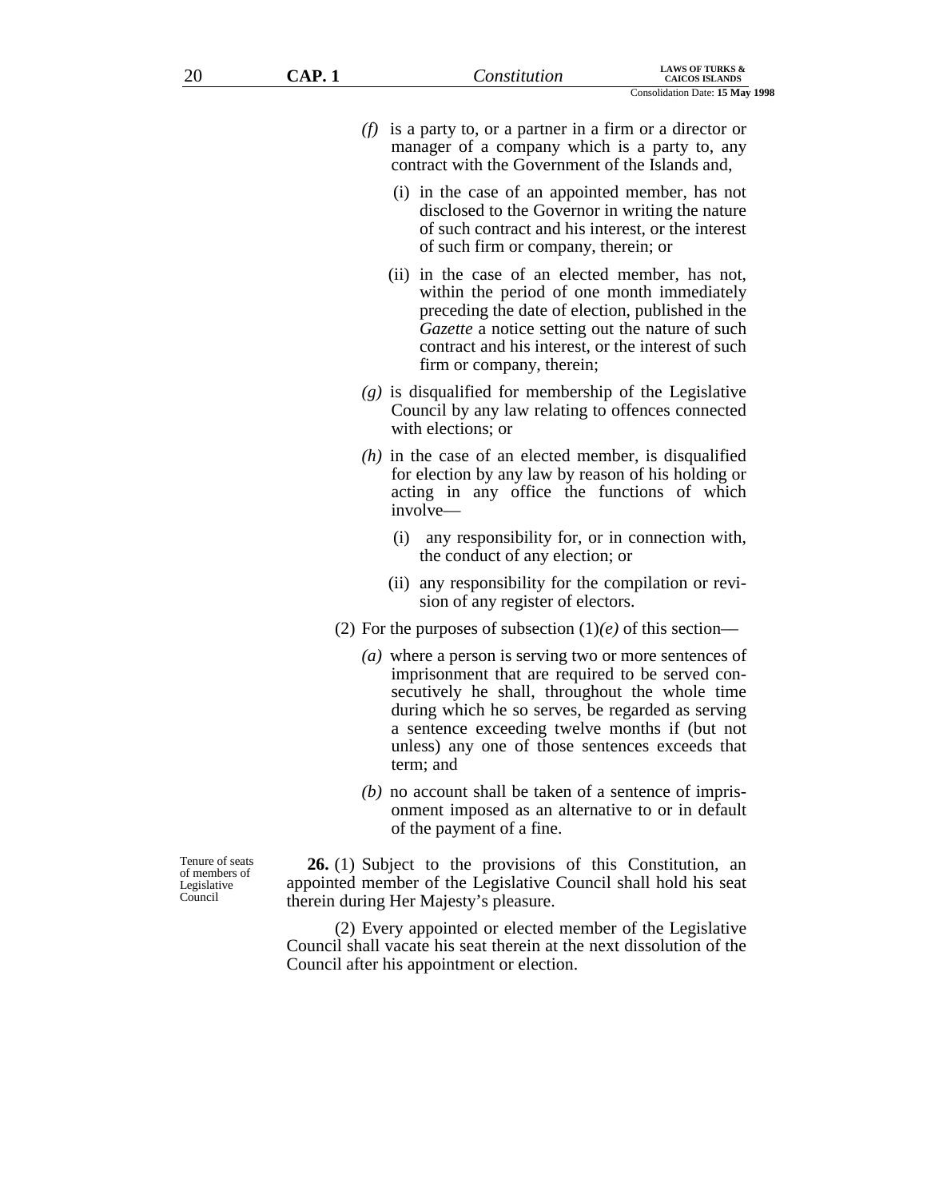| 20                                                         | <b>CAP.1</b> | Constitution                                                                                                                                                                                                                                                                                                                                 | <b>LAWS OF TURKS &amp;</b><br><b>CAICOS ISLANDS</b> |
|------------------------------------------------------------|--------------|----------------------------------------------------------------------------------------------------------------------------------------------------------------------------------------------------------------------------------------------------------------------------------------------------------------------------------------------|-----------------------------------------------------|
|                                                            |              |                                                                                                                                                                                                                                                                                                                                              | Consolidation Date: 15 May 1998                     |
|                                                            |              | $(f)$ is a party to, or a partner in a firm or a director or<br>manager of a company which is a party to, any<br>contract with the Government of the Islands and,                                                                                                                                                                            |                                                     |
|                                                            |              | (i) in the case of an appointed member, has not<br>disclosed to the Governor in writing the nature<br>of such contract and his interest, or the interest<br>of such firm or company, therein; or                                                                                                                                             |                                                     |
|                                                            |              | (ii) in the case of an elected member, has not,<br>within the period of one month immediately<br>preceding the date of election, published in the<br><i>Gazette</i> a notice setting out the nature of such<br>contract and his interest, or the interest of such<br>firm or company, therein;                                               |                                                     |
|                                                            |              | $(g)$ is disqualified for membership of the Legislative<br>Council by any law relating to offences connected<br>with elections; or                                                                                                                                                                                                           |                                                     |
|                                                            |              | $(h)$ in the case of an elected member, is disqualified<br>for election by any law by reason of his holding or<br>acting in any office the functions of which<br>involve-                                                                                                                                                                    |                                                     |
|                                                            |              | any responsibility for, or in connection with,<br>(i)<br>the conduct of any election; or                                                                                                                                                                                                                                                     |                                                     |
|                                                            |              | (ii) any responsibility for the compilation or revi-<br>sion of any register of electors.                                                                                                                                                                                                                                                    |                                                     |
|                                                            |              | (2) For the purposes of subsection $(1)(e)$ of this section—                                                                                                                                                                                                                                                                                 |                                                     |
|                                                            |              | ( <i>a</i> ) where a person is serving two or more sentences of<br>imprisonment that are required to be served con-<br>secutively he shall, throughout the whole time<br>during which he so serves, be regarded as serving<br>a sentence exceeding twelve months if (but not<br>unless) any one of those sentences exceeds that<br>term; and |                                                     |
|                                                            |              | $(b)$ no account shall be taken of a sentence of impris-<br>onment imposed as an alternative to or in default<br>of the payment of a fine.                                                                                                                                                                                                   |                                                     |
| Tenure of seats<br>of members of<br>Legislative<br>Council |              | 26. (1) Subject to the provisions of this Constitution, an<br>appointed member of the Legislative Council shall hold his seat<br>therein during Her Majesty's pleasure.                                                                                                                                                                      |                                                     |
|                                                            |              | (2) Every appointed or elected member of the Legislative<br>Council shall vacate his seat therein at the next dissolution of the<br>Council after his appointment or election.                                                                                                                                                               |                                                     |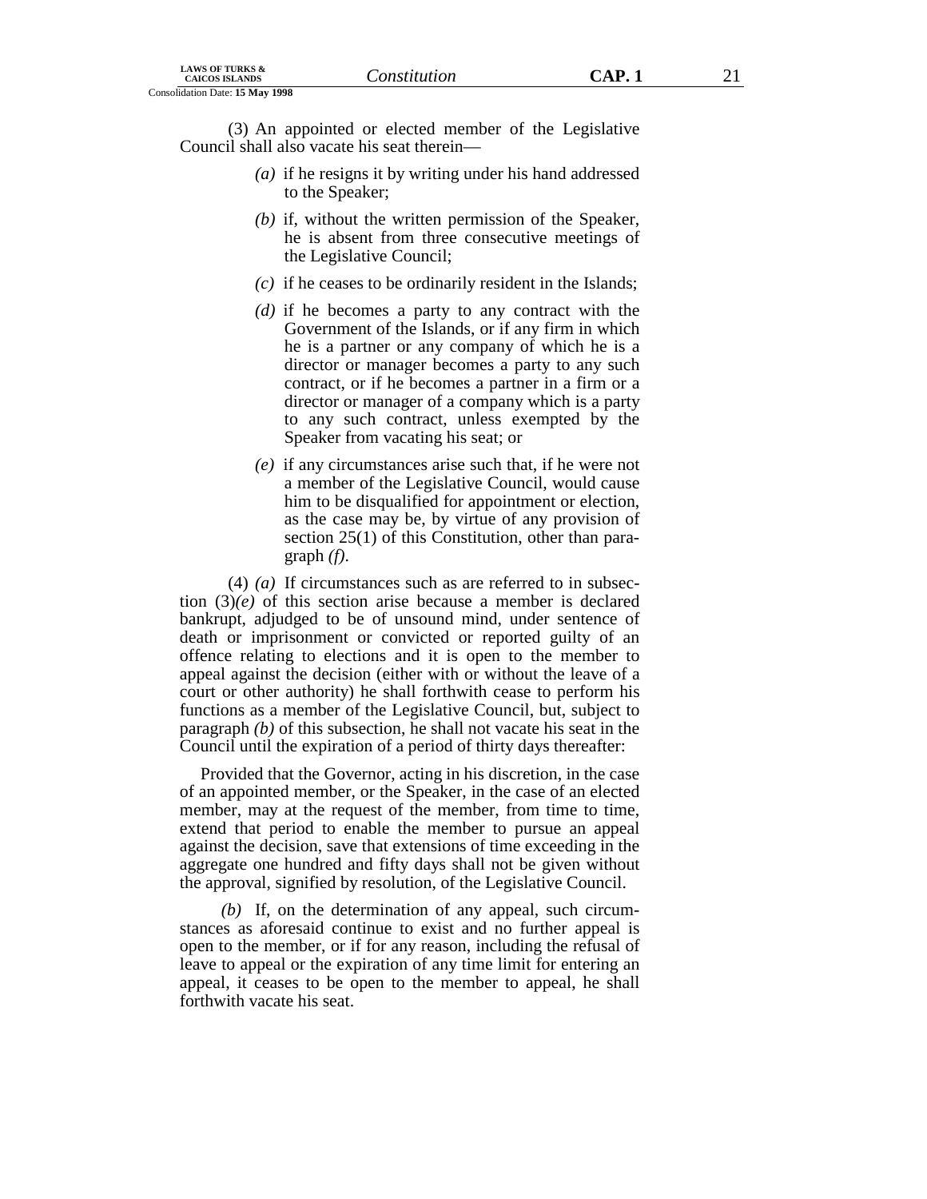(3) An appointed or elected member of the Legislative Council shall also vacate his seat therein––

- *(a)* if he resigns it by writing under his hand addressed to the Speaker;
- *(b)* if, without the written permission of the Speaker, he is absent from three consecutive meetings of the Legislative Council;
- *(c)* if he ceases to be ordinarily resident in the Islands;
- *(d)* if he becomes a party to any contract with the Government of the Islands, or if any firm in which he is a partner or any company of which he is a director or manager becomes a party to any such contract, or if he becomes a partner in a firm or a director or manager of a company which is a party to any such contract, unless exempted by the Speaker from vacating his seat; or
- *(e)* if any circumstances arise such that, if he were not a member of the Legislative Council, would cause him to be disqualified for appointment or election, as the case may be, by virtue of any provision of section 25(1) of this Constitution, other than paragraph *(f)*.

 (4) *(a)* If circumstances such as are referred to in subsection  $(3)(e)$  of this section arise because a member is declared bankrupt, adjudged to be of unsound mind, under sentence of death or imprisonment or convicted or reported guilty of an offence relating to elections and it is open to the member to appeal against the decision (either with or without the leave of a court or other authority) he shall forthwith cease to perform his functions as a member of the Legislative Council, but, subject to paragraph *(b)* of this subsection, he shall not vacate his seat in the Council until the expiration of a period of thirty days thereafter:

Provided that the Governor, acting in his discretion, in the case of an appointed member, or the Speaker, in the case of an elected member, may at the request of the member, from time to time, extend that period to enable the member to pursue an appeal against the decision, save that extensions of time exceeding in the aggregate one hundred and fifty days shall not be given without the approval, signified by resolution, of the Legislative Council.

*(b)* If, on the determination of any appeal, such circumstances as aforesaid continue to exist and no further appeal is open to the member, or if for any reason, including the refusal of leave to appeal or the expiration of any time limit for entering an appeal, it ceases to be open to the member to appeal, he shall forthwith vacate his seat.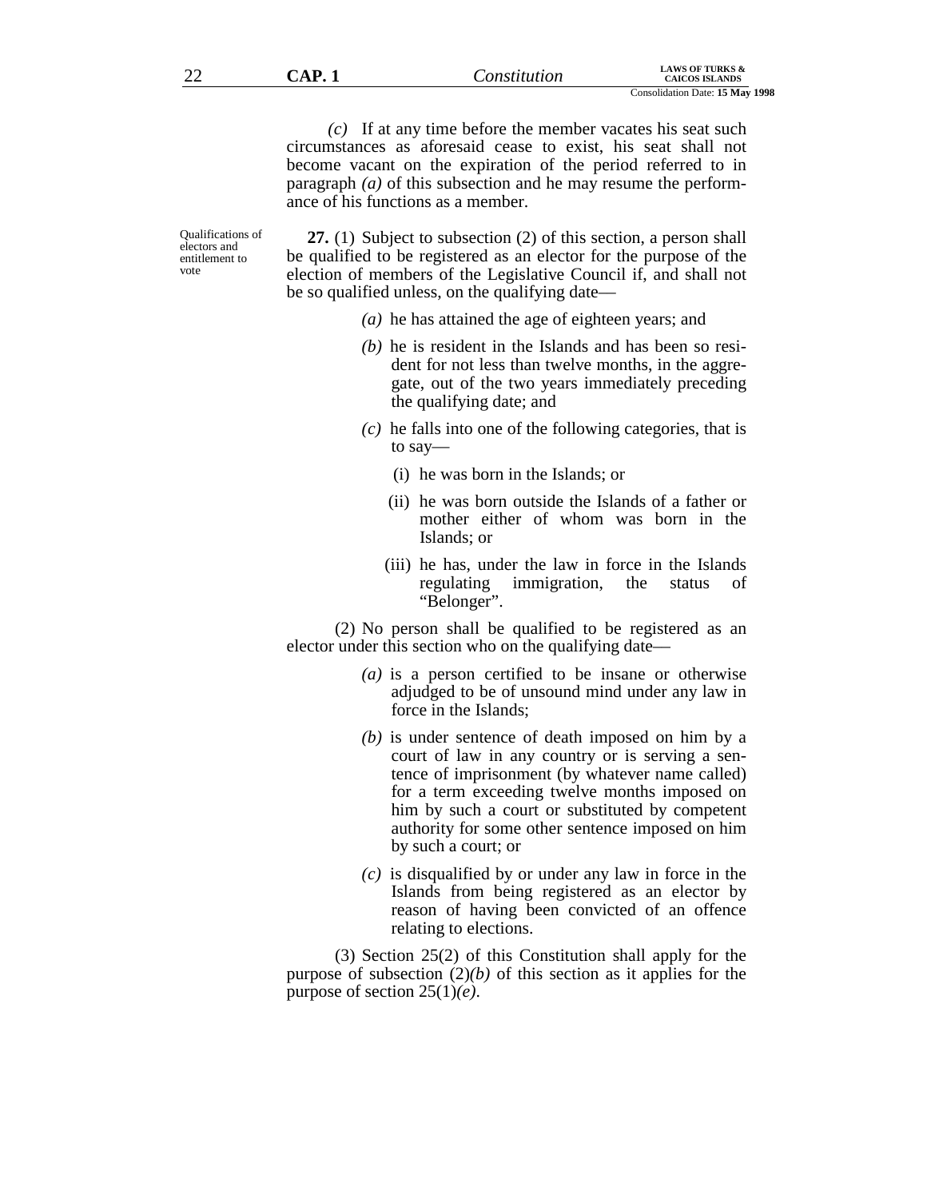*(c)* If at any time before the member vacates his seat such circumstances as aforesaid cease to exist, his seat shall not become vacant on the expiration of the period referred to in paragraph *(a)* of this subsection and he may resume the performance of his functions as a member.

Qualifications of electors and entitlement to vote

**27.** (1) Subject to subsection (2) of this section, a person shall be qualified to be registered as an elector for the purpose of the election of members of the Legislative Council if, and shall not be so qualified unless, on the qualifying date––

- *(a)* he has attained the age of eighteen years; and
- *(b)* he is resident in the Islands and has been so resident for not less than twelve months, in the aggregate, out of the two years immediately preceding the qualifying date; and
- *(c)* he falls into one of the following categories, that is to say––
	- (i) he was born in the Islands; or
	- (ii) he was born outside the Islands of a father or mother either of whom was born in the Islands; or
	- (iii) he has, under the law in force in the Islands regulating immigration, the status of "Belonger".

 (2) No person shall be qualified to be registered as an elector under this section who on the qualifying date—

- *(a)* is a person certified to be insane or otherwise adjudged to be of unsound mind under any law in force in the Islands;
- *(b)* is under sentence of death imposed on him by a court of law in any country or is serving a sentence of imprisonment (by whatever name called) for a term exceeding twelve months imposed on him by such a court or substituted by competent authority for some other sentence imposed on him by such a court; or
- *(c)* is disqualified by or under any law in force in the Islands from being registered as an elector by reason of having been convicted of an offence relating to elections.

 (3) Section 25(2) of this Constitution shall apply for the purpose of subsection  $(2)(b)$  of this section as it applies for the purpose of section 25(1)*(e)*.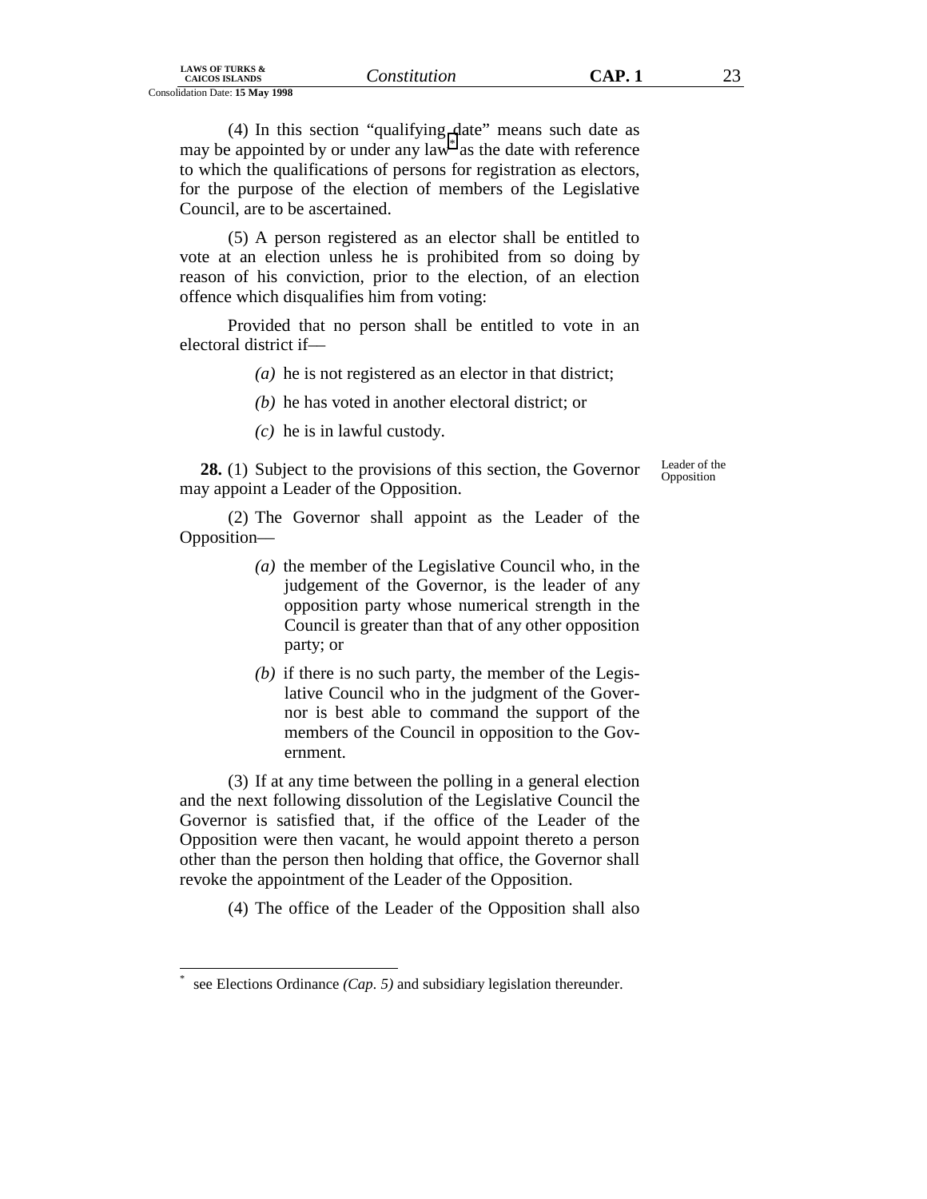| <b>LAWS OF TURKS &amp;</b><br><b>CAICOS ISLANDS</b> | Constitution | $\mathbb{C}AP.$ | ∼. |
|-----------------------------------------------------|--------------|-----------------|----|
| Consolidation Date: 15 May 1998                     |              |                 |    |

 (4) In this section "qualifying date" means such date as may be appointed by or under any law\* as the date with reference to which the qualifications of persons for registration as electors, for the purpose of the election of members of the Legislative Council, are to be ascertained.

 (5) A person registered as an elector shall be entitled to vote at an election unless he is prohibited from so doing by reason of his conviction, prior to the election, of an election offence which disqualifies him from voting:

 Provided that no person shall be entitled to vote in an electoral district if––

*(a)* he is not registered as an elector in that district;

- *(b)* he has voted in another electoral district; or
- *(c)* he is in lawful custody.

**28.** (1) Subject to the provisions of this section, the Governor may appoint a Leader of the Opposition.

Leader of the Opposition

 (2) The Governor shall appoint as the Leader of the Opposition––

- *(a)* the member of the Legislative Council who, in the judgement of the Governor, is the leader of any opposition party whose numerical strength in the Council is greater than that of any other opposition party; or
- *(b)* if there is no such party, the member of the Legislative Council who in the judgment of the Governor is best able to command the support of the members of the Council in opposition to the Government.

 (3) If at any time between the polling in a general election and the next following dissolution of the Legislative Council the Governor is satisfied that, if the office of the Leader of the Opposition were then vacant, he would appoint thereto a person other than the person then holding that office, the Governor shall revoke the appointment of the Leader of the Opposition.

(4) The office of the Leader of the Opposition shall also

-

see Elections Ordinance *(Cap. 5)* and subsidiary legislation thereunder.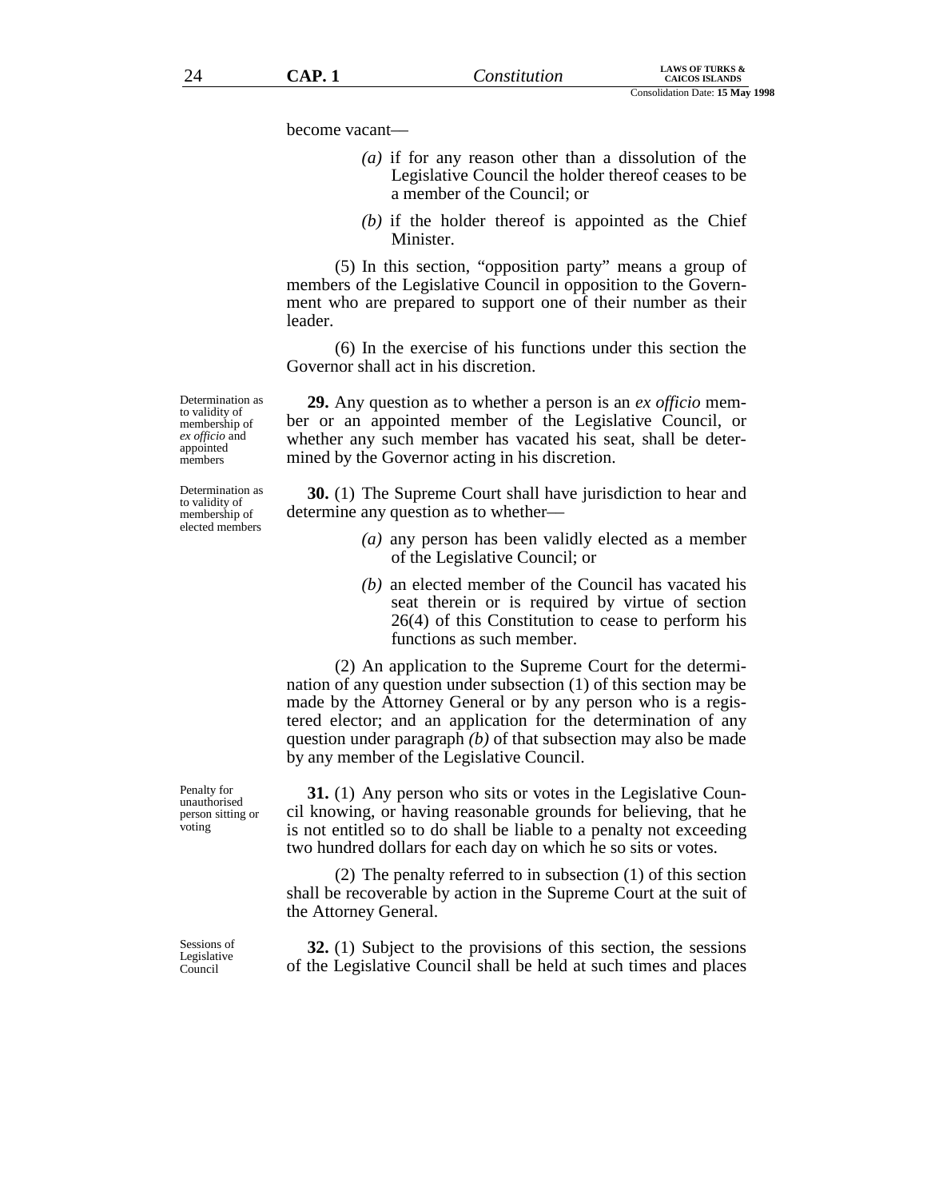become vacant––

- *(a)* if for any reason other than a dissolution of the Legislative Council the holder thereof ceases to be a member of the Council; or
- *(b)* if the holder thereof is appointed as the Chief Minister.

 (5) In this section, "opposition party" means a group of members of the Legislative Council in opposition to the Government who are prepared to support one of their number as their leader.

 (6) In the exercise of his functions under this section the Governor shall act in his discretion.

**29.** Any question as to whether a person is an *ex officio* member or an appointed member of the Legislative Council, or whether any such member has vacated his seat, shall be determined by the Governor acting in his discretion.

**30.** (1) The Supreme Court shall have jurisdiction to hear and determine any question as to whether––

- *(a)* any person has been validly elected as a member of the Legislative Council; or
- *(b)* an elected member of the Council has vacated his seat therein or is required by virtue of section 26(4) of this Constitution to cease to perform his functions as such member.

 (2) An application to the Supreme Court for the determination of any question under subsection (1) of this section may be made by the Attorney General or by any person who is a registered elector; and an application for the determination of any question under paragraph *(b)* of that subsection may also be made by any member of the Legislative Council.

**31.** (1) Any person who sits or votes in the Legislative Council knowing, or having reasonable grounds for believing, that he is not entitled so to do shall be liable to a penalty not exceeding two hundred dollars for each day on which he so sits or votes.

 (2) The penalty referred to in subsection (1) of this section shall be recoverable by action in the Supreme Court at the suit of the Attorney General.

**32.** (1) Subject to the provisions of this section, the sessions of the Legislative Council shall be held at such times and places

Determination as to validity of membership of *ex officio* and appointed members

Determination as to validity of membership of elected members

Penalty for unauthorised person sitting or voting

Sessions of Legislative Council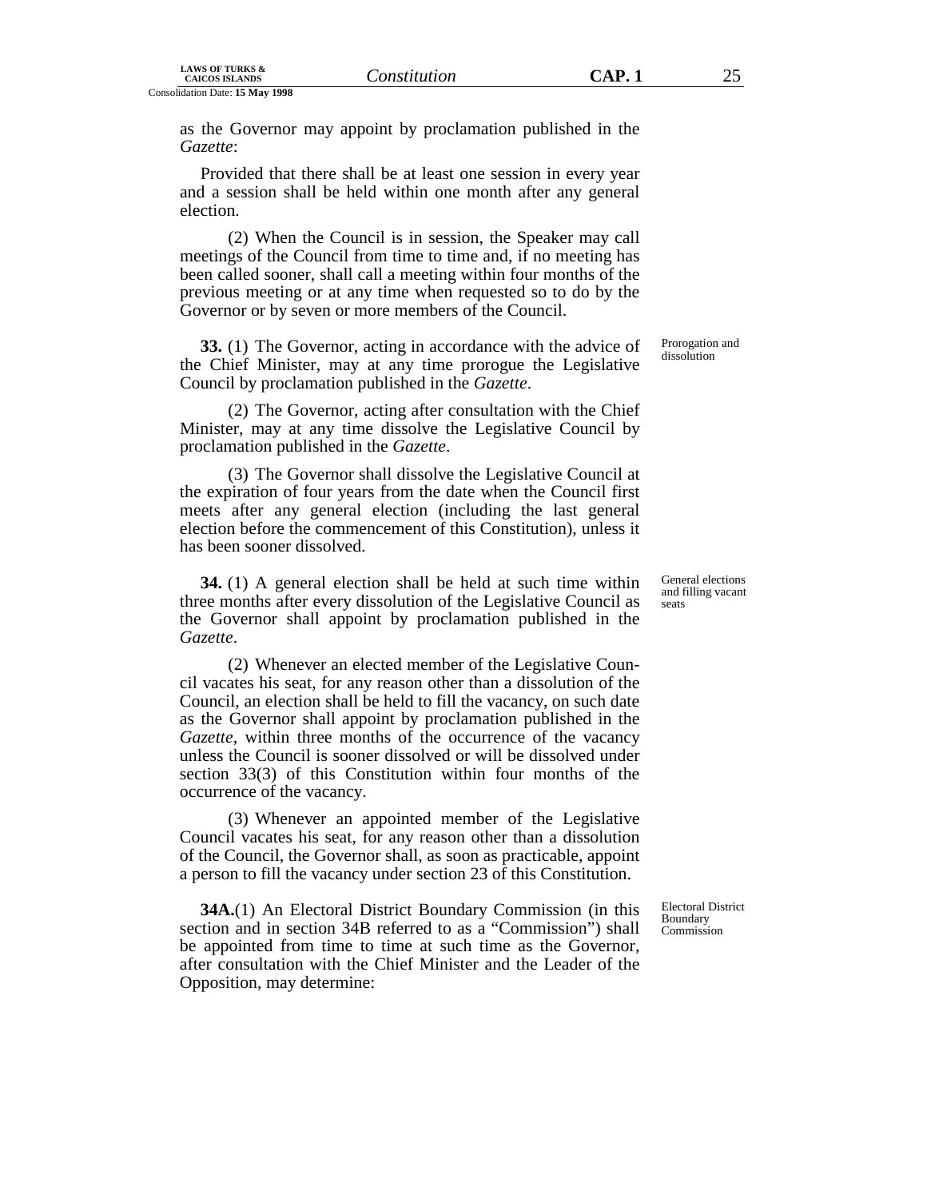as the Governor may appoint by proclamation published in the *Gazette*:

Provided that there shall be at least one session in every year and a session shall be held within one month after any general election.

 (2) When the Council is in session, the Speaker may call meetings of the Council from time to time and, if no meeting has been called sooner, shall call a meeting within four months of the previous meeting or at any time when requested so to do by the Governor or by seven or more members of the Council.

**33.** (1) The Governor, acting in accordance with the advice of the Chief Minister, may at any time prorogue the Legislative Council by proclamation published in the *Gazette*.

 (2) The Governor, acting after consultation with the Chief Minister, may at any time dissolve the Legislative Council by proclamation published in the *Gazette*.

 (3) The Governor shall dissolve the Legislative Council at the expiration of four years from the date when the Council first meets after any general election (including the last general election before the commencement of this Constitution), unless it has been sooner dissolved.

**34.** (1) A general election shall be held at such time within three months after every dissolution of the Legislative Council as the Governor shall appoint by proclamation published in the *Gazette*.

 (2) Whenever an elected member of the Legislative Council vacates his seat, for any reason other than a dissolution of the Council, an election shall be held to fill the vacancy, on such date as the Governor shall appoint by proclamation published in the *Gazette*, within three months of the occurrence of the vacancy unless the Council is sooner dissolved or will be dissolved under section 33(3) of this Constitution within four months of the occurrence of the vacancy.

 (3) Whenever an appointed member of the Legislative Council vacates his seat, for any reason other than a dissolution of the Council, the Governor shall, as soon as practicable, appoint a person to fill the vacancy under section 23 of this Constitution.

**34A.**(1) An Electoral District Boundary Commission (in this section and in section 34B referred to as a "Commission") shall be appointed from time to time at such time as the Governor, after consultation with the Chief Minister and the Leader of the Opposition, may determine:

Prorogation and dissolution

General elections and filling vacant seats

Electoral District Boundary Commission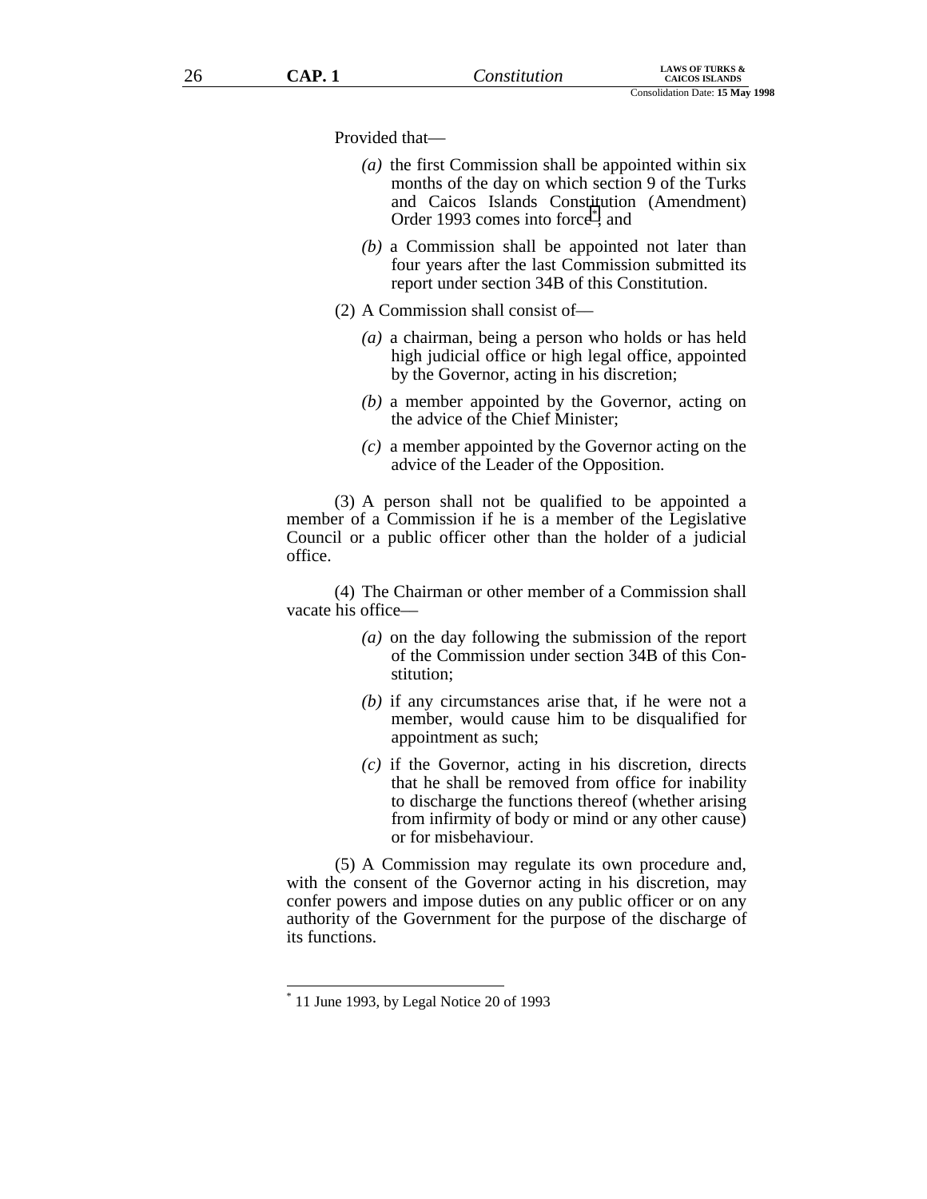Provided that—

- *(a)* the first Commission shall be appointed within six months of the day on which section 9 of the Turks and Caicos Islands Constitution (Amendment) Order 1993 comes into force<sup>\*</sup>; and
- *(b)* a Commission shall be appointed not later than four years after the last Commission submitted its report under section 34B of this Constitution.
- (2) A Commission shall consist of––
	- *(a)* a chairman, being a person who holds or has held high judicial office or high legal office, appointed by the Governor, acting in his discretion;
	- *(b)* a member appointed by the Governor, acting on the advice of the Chief Minister;
	- *(c)* a member appointed by the Governor acting on the advice of the Leader of the Opposition.

 (3) A person shall not be qualified to be appointed a member of a Commission if he is a member of the Legislative Council or a public officer other than the holder of a judicial office.

 (4) The Chairman or other member of a Commission shall vacate his office––

- *(a)* on the day following the submission of the report of the Commission under section 34B of this Constitution;
- *(b)* if any circumstances arise that, if he were not a member, would cause him to be disqualified for appointment as such;
- *(c)* if the Governor, acting in his discretion, directs that he shall be removed from office for inability to discharge the functions thereof (whether arising from infirmity of body or mind or any other cause) or for misbehaviour.

 (5) A Commission may regulate its own procedure and, with the consent of the Governor acting in his discretion, may confer powers and impose duties on any public officer or on any authority of the Government for the purpose of the discharge of its functions.

1

<sup>\*</sup> 11 June 1993, by Legal Notice 20 of 1993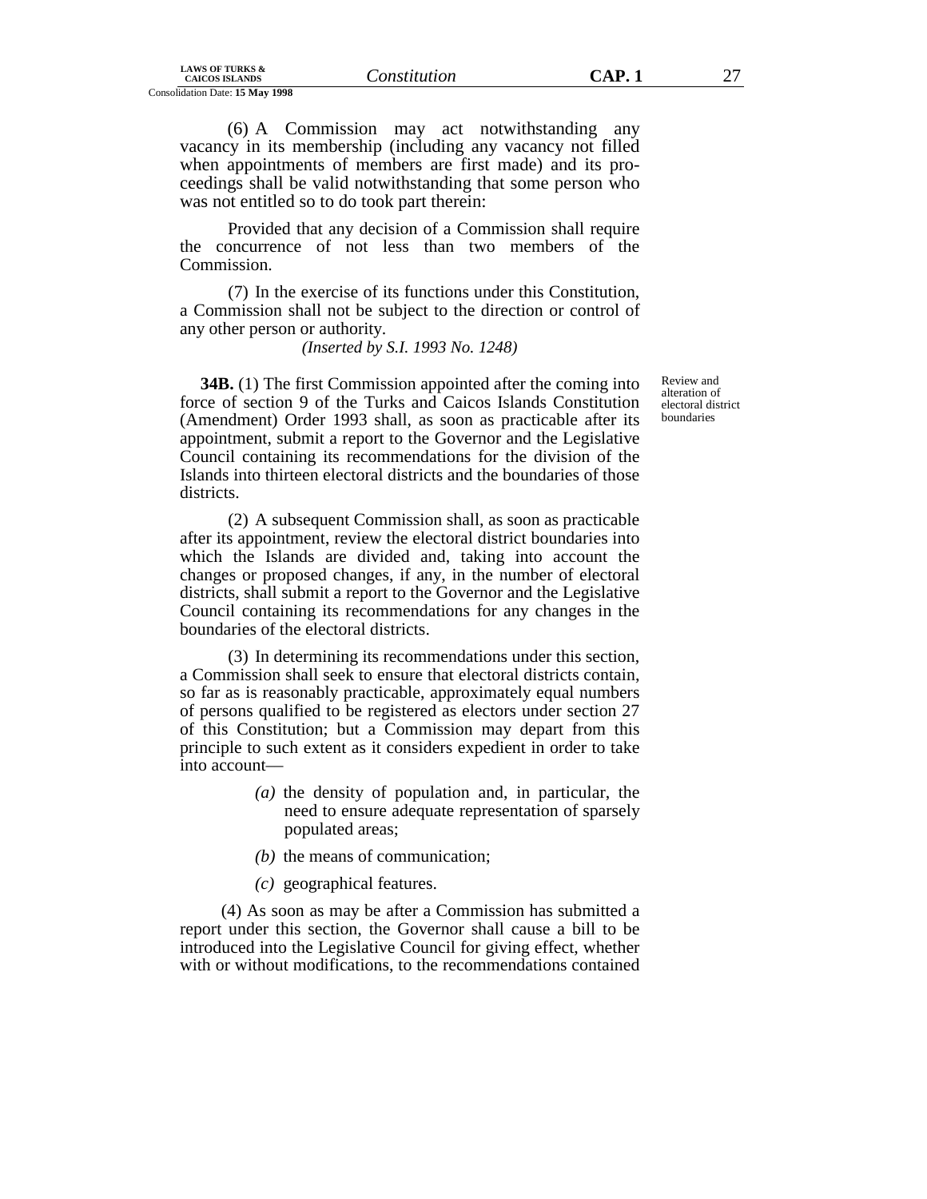(6) A Commission may act notwithstanding any vacancy in its membership (including any vacancy not filled when appointments of members are first made) and its proceedings shall be valid notwithstanding that some person who was not entitled so to do took part therein:

 Provided that any decision of a Commission shall require the concurrence of not less than two members of the **Commission** 

 (7) In the exercise of its functions under this Constitution, a Commission shall not be subject to the direction or control of any other person or authority.

*(Inserted by S.I. 1993 No. 1248)* 

**34B.** (1) The first Commission appointed after the coming into force of section 9 of the Turks and Caicos Islands Constitution (Amendment) Order 1993 shall, as soon as practicable after its appointment, submit a report to the Governor and the Legislative Council containing its recommendations for the division of the Islands into thirteen electoral districts and the boundaries of those districts.

 (2) A subsequent Commission shall, as soon as practicable after its appointment, review the electoral district boundaries into which the Islands are divided and, taking into account the changes or proposed changes, if any, in the number of electoral districts, shall submit a report to the Governor and the Legislative Council containing its recommendations for any changes in the boundaries of the electoral districts.

 (3) In determining its recommendations under this section, a Commission shall seek to ensure that electoral districts contain, so far as is reasonably practicable, approximately equal numbers of persons qualified to be registered as electors under section 27 of this Constitution; but a Commission may depart from this principle to such extent as it considers expedient in order to take into account––

- *(a)* the density of population and, in particular, the need to ensure adequate representation of sparsely populated areas;
- *(b)* the means of communication;
- *(c)* geographical features.

(4) As soon as may be after a Commission has submitted a report under this section, the Governor shall cause a bill to be introduced into the Legislative Council for giving effect, whether with or without modifications, to the recommendations contained Review and alteration of electoral district boundaries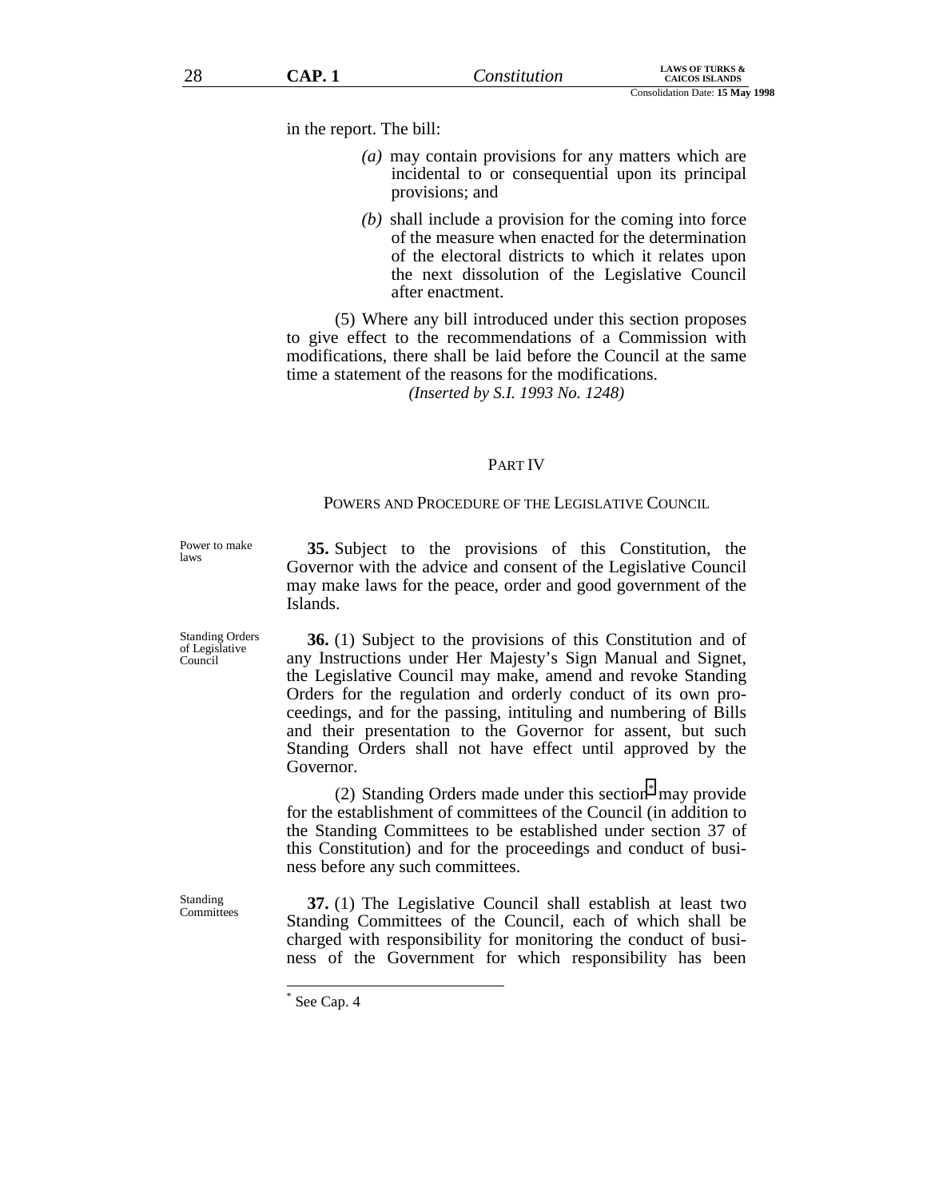in the report. The bill:

- *(a)* may contain provisions for any matters which are incidental to or consequential upon its principal provisions; and
- *(b)* shall include a provision for the coming into force of the measure when enacted for the determination of the electoral districts to which it relates upon the next dissolution of the Legislative Council after enactment.

 (5) Where any bill introduced under this section proposes to give effect to the recommendations of a Commission with modifications, there shall be laid before the Council at the same time a statement of the reasons for the modifications.

*(Inserted by S.I. 1993 No. 1248)* 

#### PART IV

#### POWERS AND PROCEDURE OF THE LEGISLATIVE COUNCIL

Power to make laws

**35.** Subject to the provisions of this Constitution, the Governor with the advice and consent of the Legislative Council may make laws for the peace, order and good government of the Islands.

**36.** (1) Subject to the provisions of this Constitution and of any Instructions under Her Majesty's Sign Manual and Signet, the Legislative Council may make, amend and revoke Standing Orders for the regulation and orderly conduct of its own proceedings, and for the passing, intituling and numbering of Bills and their presentation to the Governor for assent, but such Standing Orders shall not have effect until approved by the Governor.

 (2) Standing Orders made under this section\* may provide for the establishment of committees of the Council (in addition to the Standing Committees to be established under section 37 of this Constitution) and for the proceedings and conduct of business before any such committees.

**37.** (1) The Legislative Council shall establish at least two Standing Committees of the Council, each of which shall be charged with responsibility for monitoring the conduct of business of the Government for which responsibility has been

1

Standing Orders of Legislative Council

Standing **Committees** 

<sup>\*</sup> See Cap. 4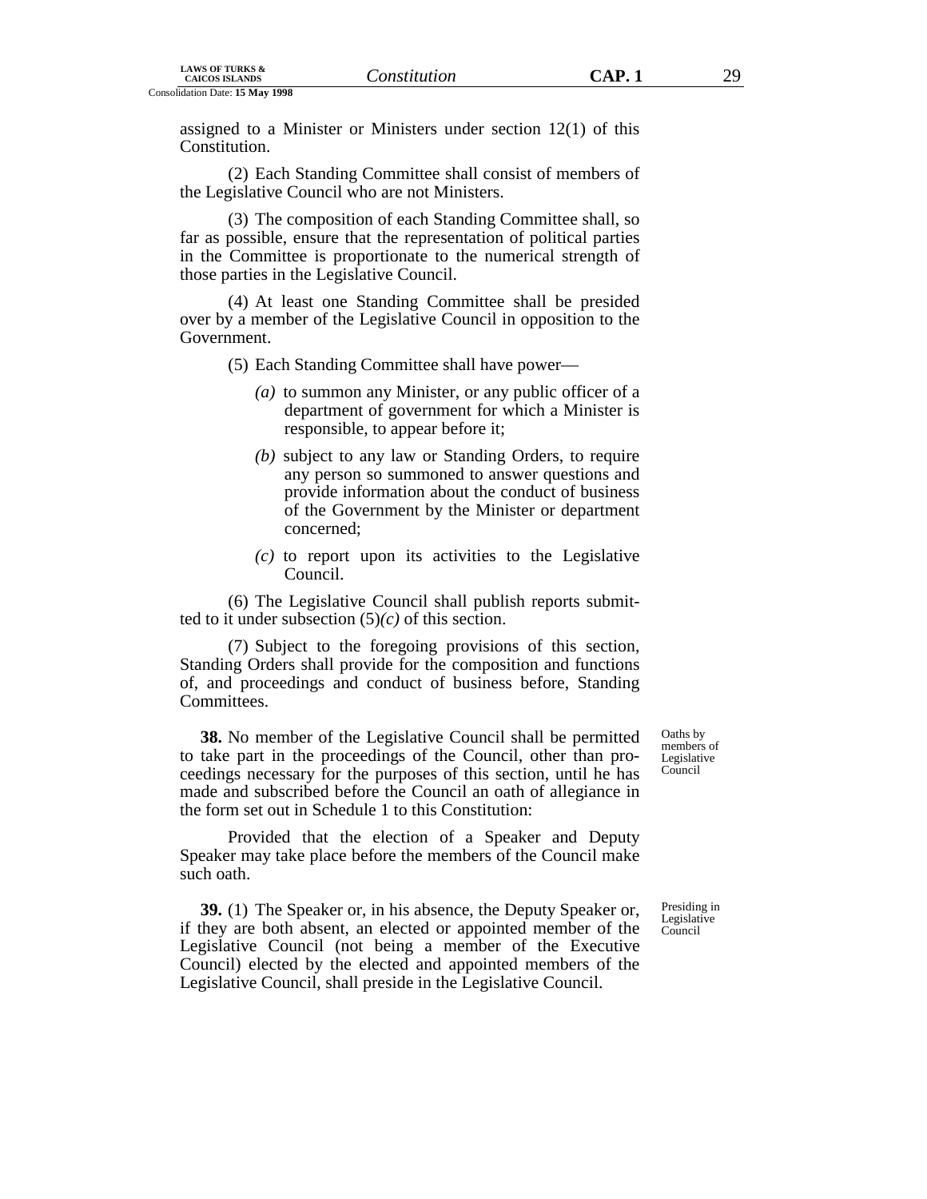assigned to a Minister or Ministers under section 12(1) of this Constitution.

 (2) Each Standing Committee shall consist of members of the Legislative Council who are not Ministers.

 (3) The composition of each Standing Committee shall, so far as possible, ensure that the representation of political parties in the Committee is proportionate to the numerical strength of those parties in the Legislative Council.

 (4) At least one Standing Committee shall be presided over by a member of the Legislative Council in opposition to the Government.

(5) Each Standing Committee shall have power––

- *(a)* to summon any Minister, or any public officer of a department of government for which a Minister is responsible, to appear before it;
- *(b)* subject to any law or Standing Orders, to require any person so summoned to answer questions and provide information about the conduct of business of the Government by the Minister or department concerned;
- *(c)* to report upon its activities to the Legislative Council.

 (6) The Legislative Council shall publish reports submitted to it under subsection (5)*(c)* of this section.

 (7) Subject to the foregoing provisions of this section, Standing Orders shall provide for the composition and functions of, and proceedings and conduct of business before, Standing Committees.

**38.** No member of the Legislative Council shall be permitted to take part in the proceedings of the Council, other than proceedings necessary for the purposes of this section, until he has made and subscribed before the Council an oath of allegiance in the form set out in Schedule 1 to this Constitution:

 Provided that the election of a Speaker and Deputy Speaker may take place before the members of the Council make such oath.

**39.** (1) The Speaker or, in his absence, the Deputy Speaker or, if they are both absent, an elected or appointed member of the Legislative Council (not being a member of the Executive Council) elected by the elected and appointed members of the Legislative Council, shall preside in the Legislative Council.

Oaths by members of Legislative Council

Presiding in Legislative Council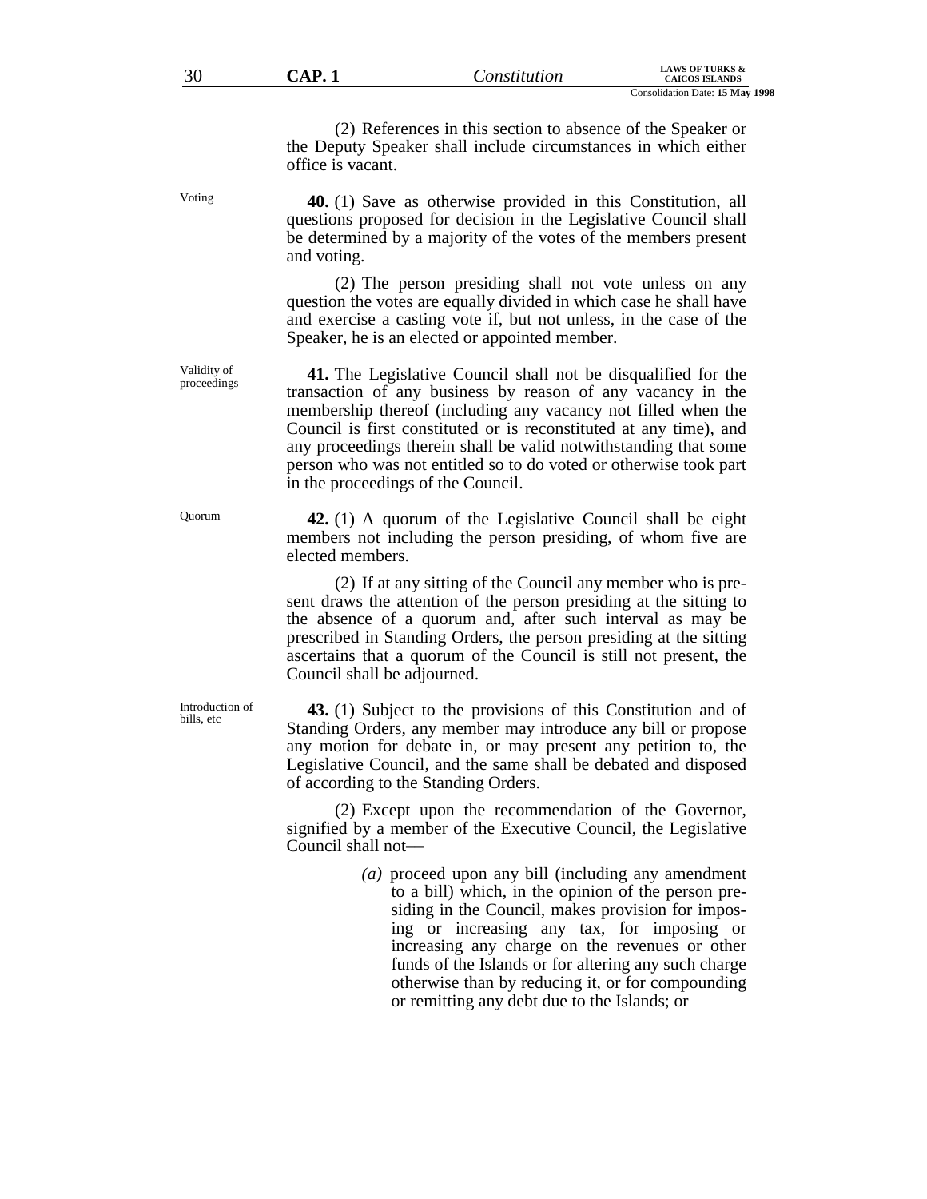(2) References in this section to absence of the Speaker or the Deputy Speaker shall include circumstances in which either office is vacant.

**40.** (1) Save as otherwise provided in this Constitution, all questions proposed for decision in the Legislative Council shall be determined by a majority of the votes of the members present and voting.

 (2) The person presiding shall not vote unless on any question the votes are equally divided in which case he shall have and exercise a casting vote if, but not unless, in the case of the Speaker, he is an elected or appointed member.

**41.** The Legislative Council shall not be disqualified for the transaction of any business by reason of any vacancy in the membership thereof (including any vacancy not filled when the Council is first constituted or is reconstituted at any time), and any proceedings therein shall be valid notwithstanding that some person who was not entitled so to do voted or otherwise took part in the proceedings of the Council.

**42.** (1) A quorum of the Legislative Council shall be eight members not including the person presiding, of whom five are elected members.

 (2) If at any sitting of the Council any member who is present draws the attention of the person presiding at the sitting to the absence of a quorum and, after such interval as may be prescribed in Standing Orders, the person presiding at the sitting ascertains that a quorum of the Council is still not present, the Council shall be adjourned.

**43.** (1) Subject to the provisions of this Constitution and of Standing Orders, any member may introduce any bill or propose any motion for debate in, or may present any petition to, the Legislative Council, and the same shall be debated and disposed of according to the Standing Orders.

 (2) Except upon the recommendation of the Governor, signified by a member of the Executive Council, the Legislative Council shall not––

> *(a)* proceed upon any bill (including any amendment to a bill) which, in the opinion of the person presiding in the Council, makes provision for imposing or increasing any tax, for imposing or increasing any charge on the revenues or other funds of the Islands or for altering any such charge otherwise than by reducing it, or for compounding or remitting any debt due to the Islands; or

Validity of proceedings

Quorum

Introduction of bills, etc

Voting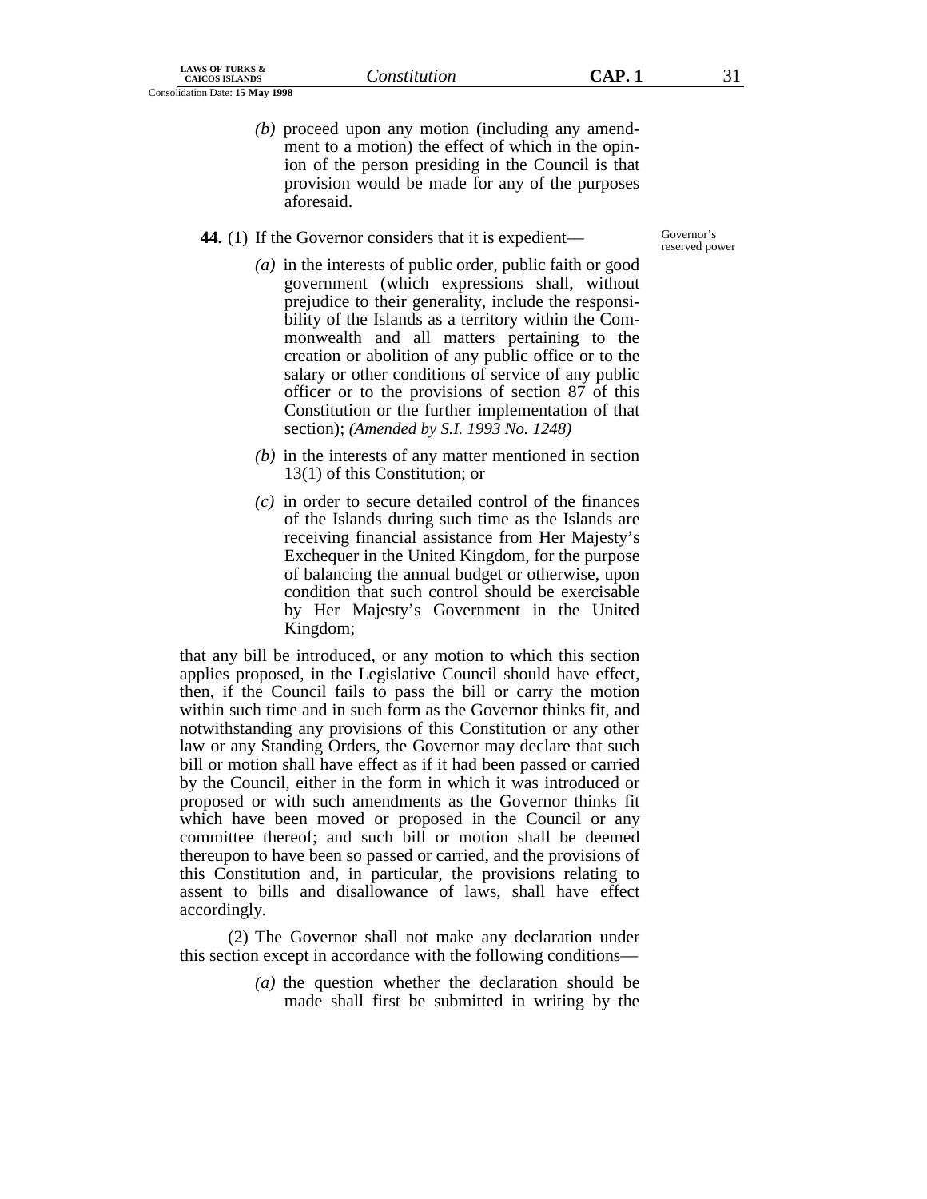- *(b)* proceed upon any motion (including any amendment to a motion) the effect of which in the opinion of the person presiding in the Council is that provision would be made for any of the purposes aforesaid.
- **44.** (1) If the Governor considers that it is expedient––

Governor's reserved power

- *(a)* in the interests of public order, public faith or good government (which expressions shall, without prejudice to their generality, include the responsibility of the Islands as a territory within the Commonwealth and all matters pertaining to the creation or abolition of any public office or to the salary or other conditions of service of any public officer or to the provisions of section 87 of this Constitution or the further implementation of that section); *(Amended by S.I. 1993 No. 1248)*
- *(b)* in the interests of any matter mentioned in section 13(1) of this Constitution; or
- *(c)* in order to secure detailed control of the finances of the Islands during such time as the Islands are receiving financial assistance from Her Majesty's Exchequer in the United Kingdom, for the purpose of balancing the annual budget or otherwise, upon condition that such control should be exercisable by Her Majesty's Government in the United Kingdom;

that any bill be introduced, or any motion to which this section applies proposed, in the Legislative Council should have effect, then, if the Council fails to pass the bill or carry the motion within such time and in such form as the Governor thinks fit, and notwithstanding any provisions of this Constitution or any other law or any Standing Orders, the Governor may declare that such bill or motion shall have effect as if it had been passed or carried by the Council, either in the form in which it was introduced or proposed or with such amendments as the Governor thinks fit which have been moved or proposed in the Council or any committee thereof; and such bill or motion shall be deemed thereupon to have been so passed or carried, and the provisions of this Constitution and, in particular, the provisions relating to assent to bills and disallowance of laws, shall have effect accordingly.

 (2) The Governor shall not make any declaration under this section except in accordance with the following conditions––

> *(a)* the question whether the declaration should be made shall first be submitted in writing by the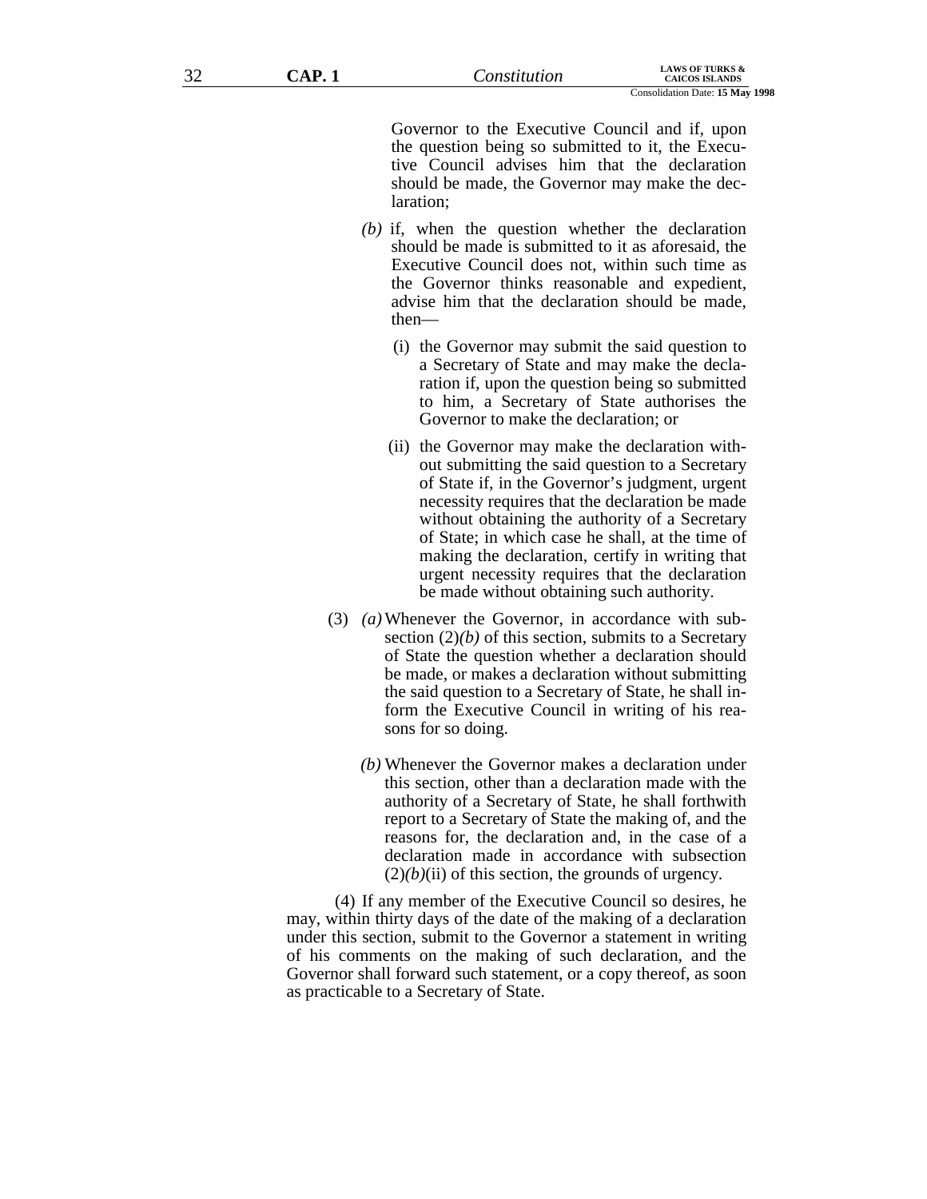Governor to the Executive Council and if, upon the question being so submitted to it, the Executive Council advises him that the declaration should be made, the Governor may make the declaration;

- *(b)* if, when the question whether the declaration should be made is submitted to it as aforesaid, the Executive Council does not, within such time as the Governor thinks reasonable and expedient, advise him that the declaration should be made, then––
	- (i) the Governor may submit the said question to a Secretary of State and may make the declaration if, upon the question being so submitted to him, a Secretary of State authorises the Governor to make the declaration; or
	- (ii) the Governor may make the declaration without submitting the said question to a Secretary of State if, in the Governor's judgment, urgent necessity requires that the declaration be made without obtaining the authority of a Secretary of State; in which case he shall, at the time of making the declaration, certify in writing that urgent necessity requires that the declaration be made without obtaining such authority.
- (3) *(a)* Whenever the Governor, in accordance with subsection (2)*(b)* of this section, submits to a Secretary of State the question whether a declaration should be made, or makes a declaration without submitting the said question to a Secretary of State, he shall inform the Executive Council in writing of his reasons for so doing.
	- *(b)* Whenever the Governor makes a declaration under this section, other than a declaration made with the authority of a Secretary of State, he shall forthwith report to a Secretary of State the making of, and the reasons for, the declaration and, in the case of a declaration made in accordance with subsection  $(2)(b)(ii)$  of this section, the grounds of urgency.

 (4) If any member of the Executive Council so desires, he may, within thirty days of the date of the making of a declaration under this section, submit to the Governor a statement in writing of his comments on the making of such declaration, and the Governor shall forward such statement, or a copy thereof, as soon as practicable to a Secretary of State.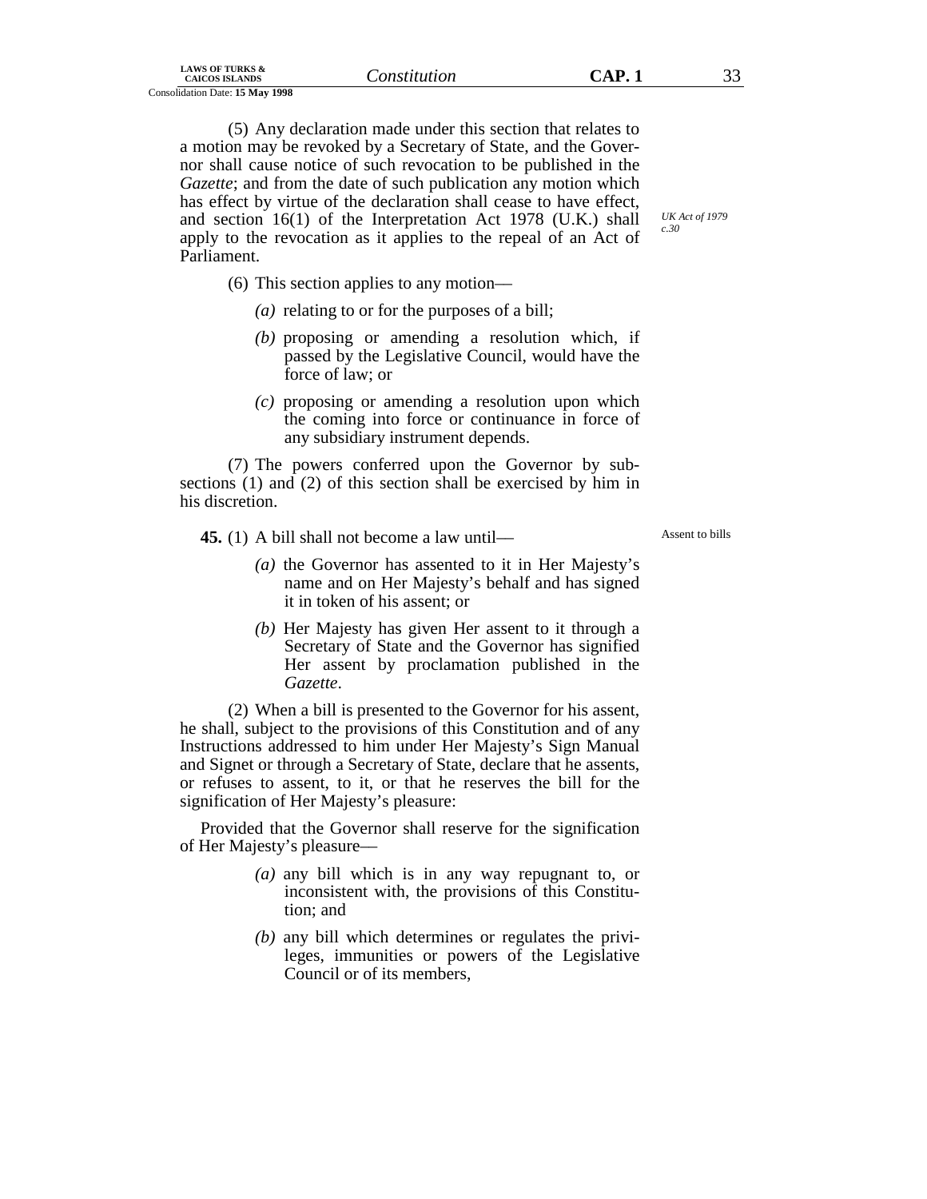| <b>LAWS OF TURKS &amp;</b><br>CAICOS ISLANDS | Constitution | CAP. |  |
|----------------------------------------------|--------------|------|--|
| Consolidation Date: 15 May 1998              |              |      |  |

 (5) Any declaration made under this section that relates to a motion may be revoked by a Secretary of State, and the Governor shall cause notice of such revocation to be published in the *Gazette*; and from the date of such publication any motion which has effect by virtue of the declaration shall cease to have effect, and section 16(1) of the Interpretation Act 1978 (U.K.) shall apply to the revocation as it applies to the repeal of an Act of Parliament.

(6) This section applies to any motion––

- *(a)* relating to or for the purposes of a bill;
- *(b)* proposing or amending a resolution which, if passed by the Legislative Council, would have the force of law; or
- *(c)* proposing or amending a resolution upon which the coming into force or continuance in force of any subsidiary instrument depends.

 (7) The powers conferred upon the Governor by subsections (1) and (2) of this section shall be exercised by him in his discretion.

**45.** (1) A bill shall not become a law until––

Assent to bills

- *(a)* the Governor has assented to it in Her Majesty's name and on Her Majesty's behalf and has signed it in token of his assent; or
- *(b)* Her Majesty has given Her assent to it through a Secretary of State and the Governor has signified Her assent by proclamation published in the *Gazette*.

 (2) When a bill is presented to the Governor for his assent, he shall, subject to the provisions of this Constitution and of any Instructions addressed to him under Her Majesty's Sign Manual and Signet or through a Secretary of State, declare that he assents, or refuses to assent, to it, or that he reserves the bill for the signification of Her Majesty's pleasure:

Provided that the Governor shall reserve for the signification of Her Majesty's pleasure––

- *(a)* any bill which is in any way repugnant to, or inconsistent with, the provisions of this Constitution; and
- *(b)* any bill which determines or regulates the privileges, immunities or powers of the Legislative Council or of its members,

*UK Act of 1979 c.30*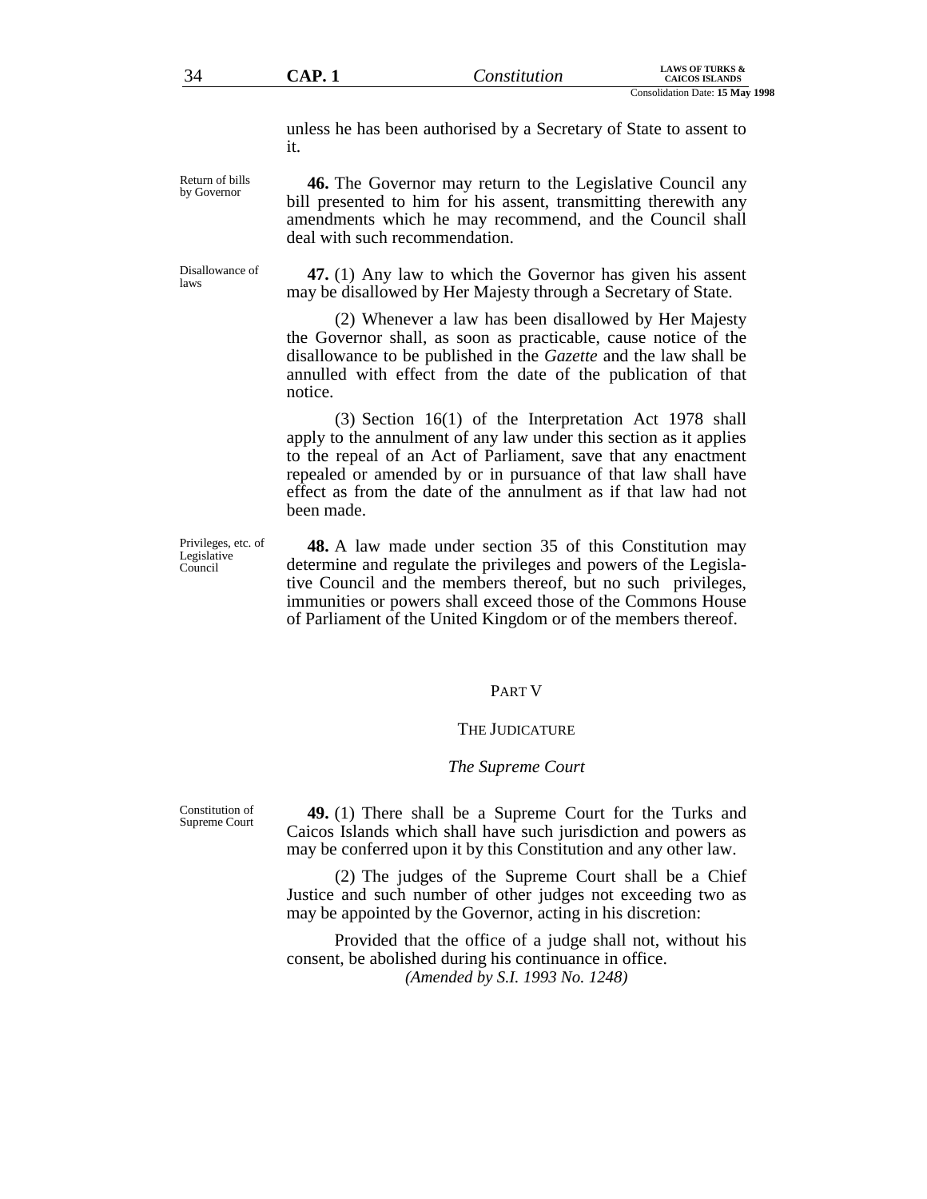| 34 | D | Constitution | <b>LAWS OF TURKS &amp;</b><br><b>CAICOS ISLANDS</b> |
|----|---|--------------|-----------------------------------------------------|
|    |   |              | Consolidation Date: 15 May 1998                     |

deal with such recommendation.

unless he has been authorised by a Secretary of State to assent to it.

**46.** The Governor may return to the Legislative Council any bill presented to him for his assent, transmitting therewith any amendments which he may recommend, and the Council shall

Return of bills by Governor

Disallowance of laws

**47.** (1) Any law to which the Governor has given his assent may be disallowed by Her Majesty through a Secretary of State.

 (2) Whenever a law has been disallowed by Her Majesty the Governor shall, as soon as practicable, cause notice of the disallowance to be published in the *Gazette* and the law shall be annulled with effect from the date of the publication of that notice.

 (3) Section 16(1) of the Interpretation Act 1978 shall apply to the annulment of any law under this section as it applies to the repeal of an Act of Parliament, save that any enactment repealed or amended by or in pursuance of that law shall have effect as from the date of the annulment as if that law had not been made.

Privileges, etc. of Legislative Council

**48.** A law made under section 35 of this Constitution may determine and regulate the privileges and powers of the Legislative Council and the members thereof, but no such privileges, immunities or powers shall exceed those of the Commons House of Parliament of the United Kingdom or of the members thereof.

#### PART V

#### THE JUDICATURE

#### *The Supreme Court*

Constitution of Supreme Court

**49.** (1) There shall be a Supreme Court for the Turks and Caicos Islands which shall have such jurisdiction and powers as may be conferred upon it by this Constitution and any other law.

 (2) The judges of the Supreme Court shall be a Chief Justice and such number of other judges not exceeding two as may be appointed by the Governor, acting in his discretion:

 Provided that the office of a judge shall not, without his consent, be abolished during his continuance in office. *(Amended by S.I. 1993 No. 1248)*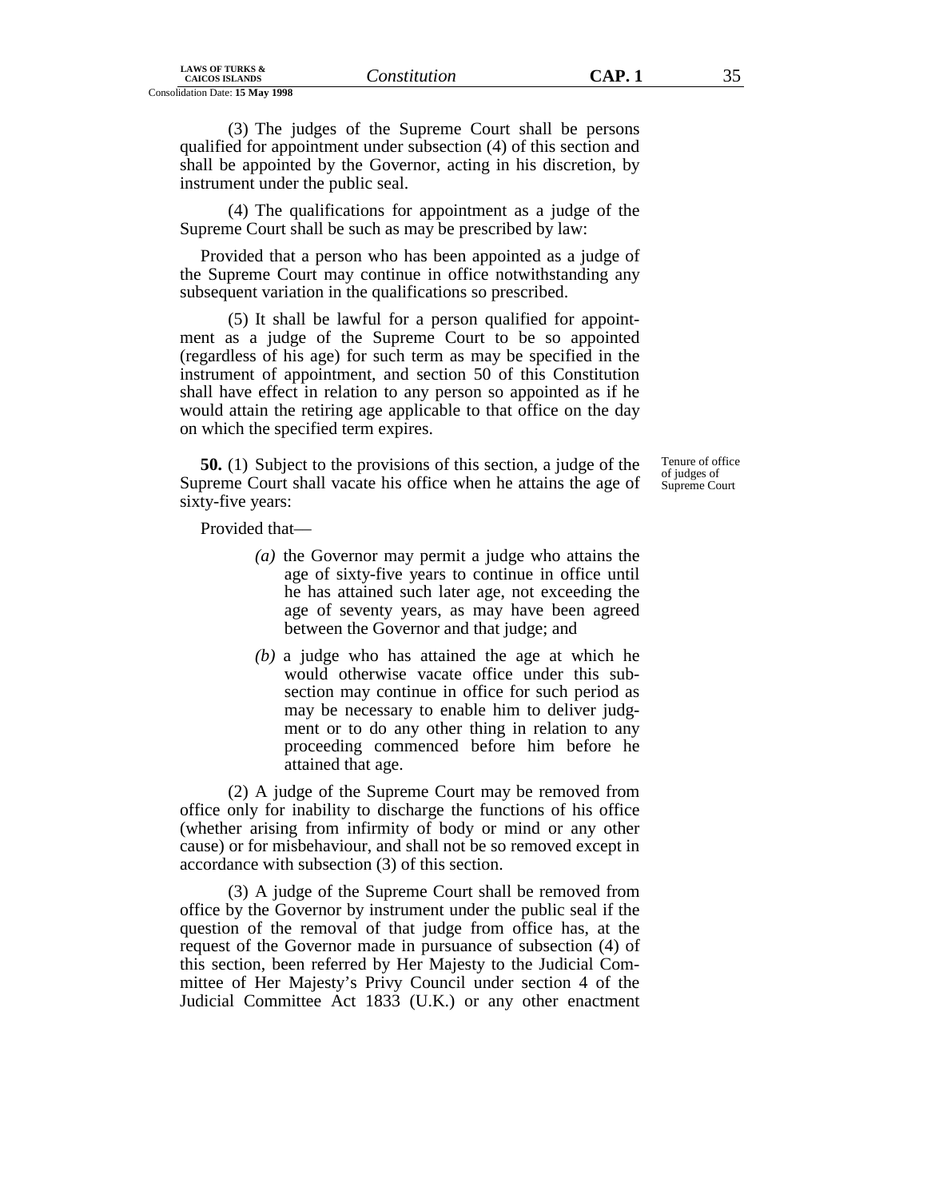| <b>LAWS OF TURKS &amp;</b><br><b>CAICOS ISLANDS</b> | constitution | ັັ |
|-----------------------------------------------------|--------------|----|
| Consolidation Date: 15 May 1998                     |              |    |

 (3) The judges of the Supreme Court shall be persons qualified for appointment under subsection (4) of this section and shall be appointed by the Governor, acting in his discretion, by instrument under the public seal.

 (4) The qualifications for appointment as a judge of the Supreme Court shall be such as may be prescribed by law:

Provided that a person who has been appointed as a judge of the Supreme Court may continue in office notwithstanding any subsequent variation in the qualifications so prescribed.

 (5) It shall be lawful for a person qualified for appointment as a judge of the Supreme Court to be so appointed (regardless of his age) for such term as may be specified in the instrument of appointment, and section 50 of this Constitution shall have effect in relation to any person so appointed as if he would attain the retiring age applicable to that office on the day on which the specified term expires.

**50.** (1) Subject to the provisions of this section, a judge of the Supreme Court shall vacate his office when he attains the age of sixty-five years:

Provided that––

- *(a)* the Governor may permit a judge who attains the age of sixty-five years to continue in office until he has attained such later age, not exceeding the age of seventy years, as may have been agreed between the Governor and that judge; and
- *(b)* a judge who has attained the age at which he would otherwise vacate office under this subsection may continue in office for such period as may be necessary to enable him to deliver judgment or to do any other thing in relation to any proceeding commenced before him before he attained that age.

 (2) A judge of the Supreme Court may be removed from office only for inability to discharge the functions of his office (whether arising from infirmity of body or mind or any other cause) or for misbehaviour, and shall not be so removed except in accordance with subsection (3) of this section.

 (3) A judge of the Supreme Court shall be removed from office by the Governor by instrument under the public seal if the question of the removal of that judge from office has, at the request of the Governor made in pursuance of subsection (4) of this section, been referred by Her Majesty to the Judicial Committee of Her Majesty's Privy Council under section 4 of the Judicial Committee Act 1833 (U.K.) or any other enactment

Tenure of office of judges of Supreme Court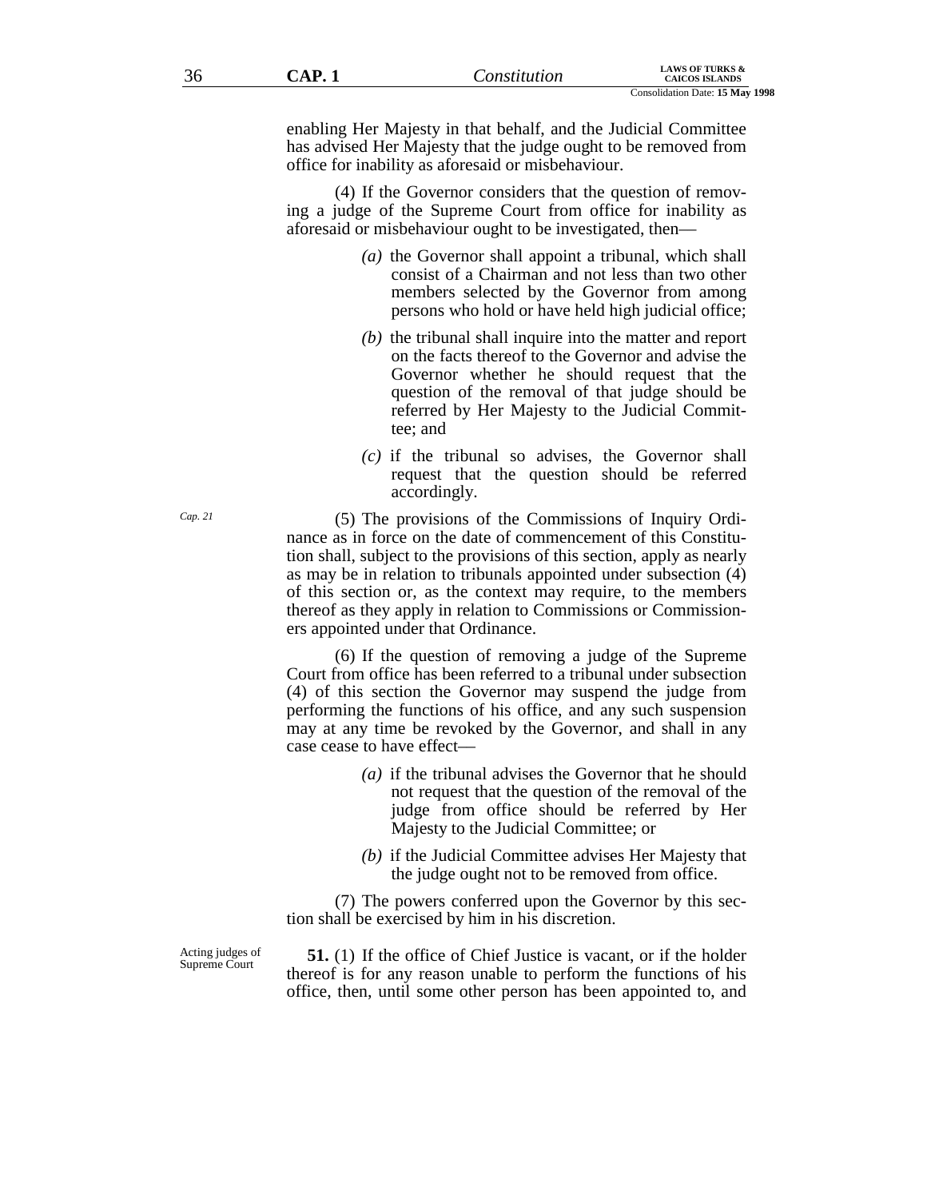enabling Her Majesty in that behalf, and the Judicial Committee has advised Her Majesty that the judge ought to be removed from office for inability as aforesaid or misbehaviour.

 (4) If the Governor considers that the question of removing a judge of the Supreme Court from office for inability as aforesaid or misbehaviour ought to be investigated, then––

- *(a)* the Governor shall appoint a tribunal, which shall consist of a Chairman and not less than two other members selected by the Governor from among persons who hold or have held high judicial office;
- *(b)* the tribunal shall inquire into the matter and report on the facts thereof to the Governor and advise the Governor whether he should request that the question of the removal of that judge should be referred by Her Majesty to the Judicial Committee; and
- *(c)* if the tribunal so advises, the Governor shall request that the question should be referred accordingly.

 (5) The provisions of the Commissions of Inquiry Ordinance as in force on the date of commencement of this Constitution shall, subject to the provisions of this section, apply as nearly as may be in relation to tribunals appointed under subsection (4) of this section or, as the context may require, to the members thereof as they apply in relation to Commissions or Commissioners appointed under that Ordinance.

 (6) If the question of removing a judge of the Supreme Court from office has been referred to a tribunal under subsection (4) of this section the Governor may suspend the judge from performing the functions of his office, and any such suspension may at any time be revoked by the Governor, and shall in any case cease to have effect––

- *(a)* if the tribunal advises the Governor that he should not request that the question of the removal of the judge from office should be referred by Her Majesty to the Judicial Committee; or
- *(b)* if the Judicial Committee advises Her Majesty that the judge ought not to be removed from office.

 (7) The powers conferred upon the Governor by this section shall be exercised by him in his discretion.

**51.** (1) If the office of Chief Justice is vacant, or if the holder thereof is for any reason unable to perform the functions of his office, then, until some other person has been appointed to, and

*Cap. 21* 

Acting judges of Supreme Court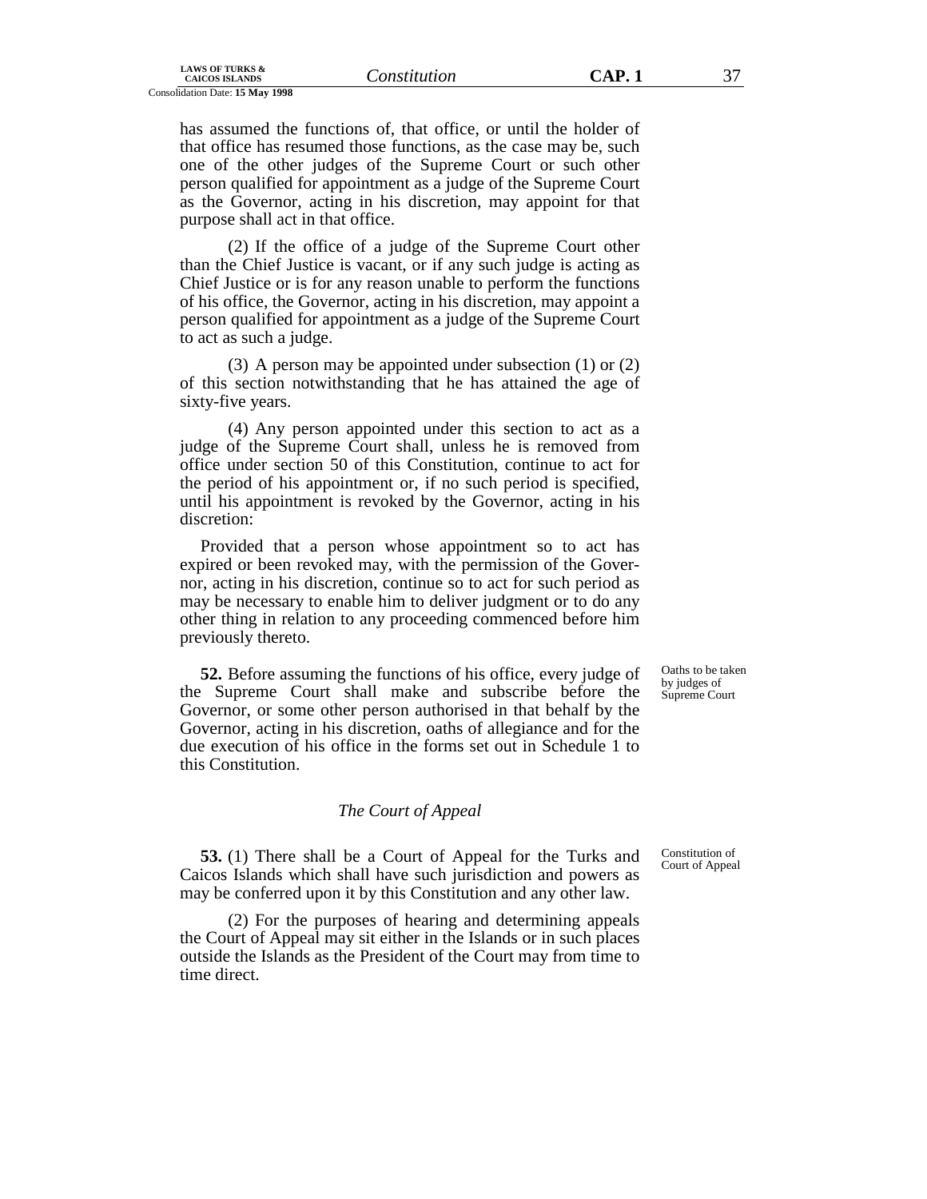has assumed the functions of, that office, or until the holder of that office has resumed those functions, as the case may be, such one of the other judges of the Supreme Court or such other person qualified for appointment as a judge of the Supreme Court as the Governor, acting in his discretion, may appoint for that purpose shall act in that office.

 (2) If the office of a judge of the Supreme Court other than the Chief Justice is vacant, or if any such judge is acting as Chief Justice or is for any reason unable to perform the functions of his office, the Governor, acting in his discretion, may appoint a person qualified for appointment as a judge of the Supreme Court to act as such a judge.

 (3) A person may be appointed under subsection (1) or (2) of this section notwithstanding that he has attained the age of sixty-five years.

 (4) Any person appointed under this section to act as a judge of the Supreme Court shall, unless he is removed from office under section 50 of this Constitution, continue to act for the period of his appointment or, if no such period is specified, until his appointment is revoked by the Governor, acting in his discretion:

Provided that a person whose appointment so to act has expired or been revoked may, with the permission of the Governor, acting in his discretion, continue so to act for such period as may be necessary to enable him to deliver judgment or to do any other thing in relation to any proceeding commenced before him previously thereto.

**52.** Before assuming the functions of his office, every judge of the Supreme Court shall make and subscribe before the Governor, or some other person authorised in that behalf by the Governor, acting in his discretion, oaths of allegiance and for the due execution of his office in the forms set out in Schedule 1 to this Constitution.

*The Court of Appeal* 

**53.** (1) There shall be a Court of Appeal for the Turks and Caicos Islands which shall have such jurisdiction and powers as may be conferred upon it by this Constitution and any other law.

 (2) For the purposes of hearing and determining appeals the Court of Appeal may sit either in the Islands or in such places outside the Islands as the President of the Court may from time to time direct.

Oaths to be taken by judges of Supreme Court

Constitution of Court of Appeal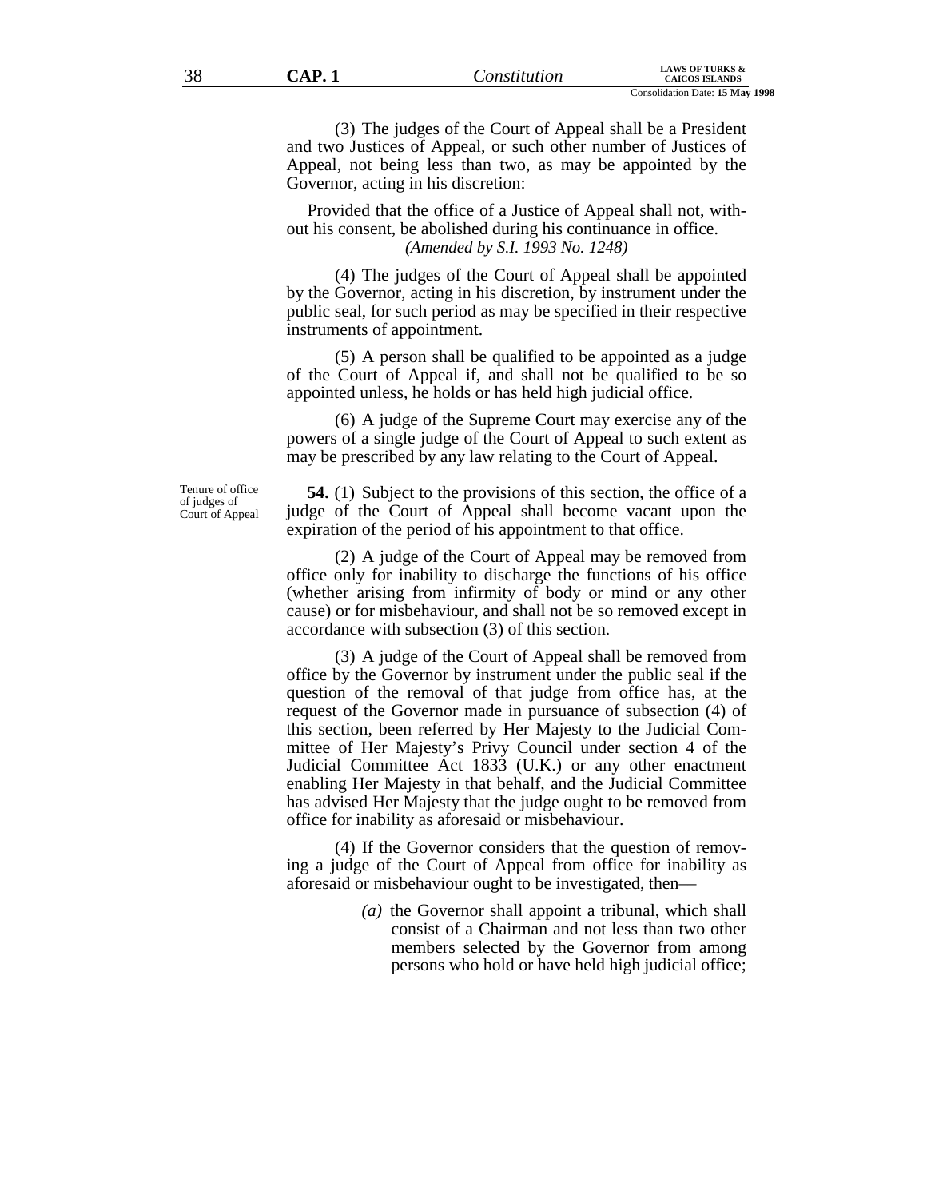(3) The judges of the Court of Appeal shall be a President and two Justices of Appeal, or such other number of Justices of Appeal, not being less than two, as may be appointed by the Governor, acting in his discretion:

Provided that the office of a Justice of Appeal shall not, without his consent, be abolished during his continuance in office. *(Amended by S.I. 1993 No. 1248)* 

 (4) The judges of the Court of Appeal shall be appointed by the Governor, acting in his discretion, by instrument under the public seal, for such period as may be specified in their respective instruments of appointment.

 (5) A person shall be qualified to be appointed as a judge of the Court of Appeal if, and shall not be qualified to be so appointed unless, he holds or has held high judicial office.

 (6) A judge of the Supreme Court may exercise any of the powers of a single judge of the Court of Appeal to such extent as may be prescribed by any law relating to the Court of Appeal.

Tenure of office of judges of Court of Appeal

**54.** (1) Subject to the provisions of this section, the office of a judge of the Court of Appeal shall become vacant upon the expiration of the period of his appointment to that office.

 (2) A judge of the Court of Appeal may be removed from office only for inability to discharge the functions of his office (whether arising from infirmity of body or mind or any other cause) or for misbehaviour, and shall not be so removed except in accordance with subsection (3) of this section.

 (3) A judge of the Court of Appeal shall be removed from office by the Governor by instrument under the public seal if the question of the removal of that judge from office has, at the request of the Governor made in pursuance of subsection (4) of this section, been referred by Her Majesty to the Judicial Committee of Her Majesty's Privy Council under section 4 of the Judicial Committee Act 1833 (U.K.) or any other enactment enabling Her Majesty in that behalf, and the Judicial Committee has advised Her Majesty that the judge ought to be removed from office for inability as aforesaid or misbehaviour.

 (4) If the Governor considers that the question of removing a judge of the Court of Appeal from office for inability as aforesaid or misbehaviour ought to be investigated, then––

> *(a)* the Governor shall appoint a tribunal, which shall consist of a Chairman and not less than two other members selected by the Governor from among persons who hold or have held high judicial office;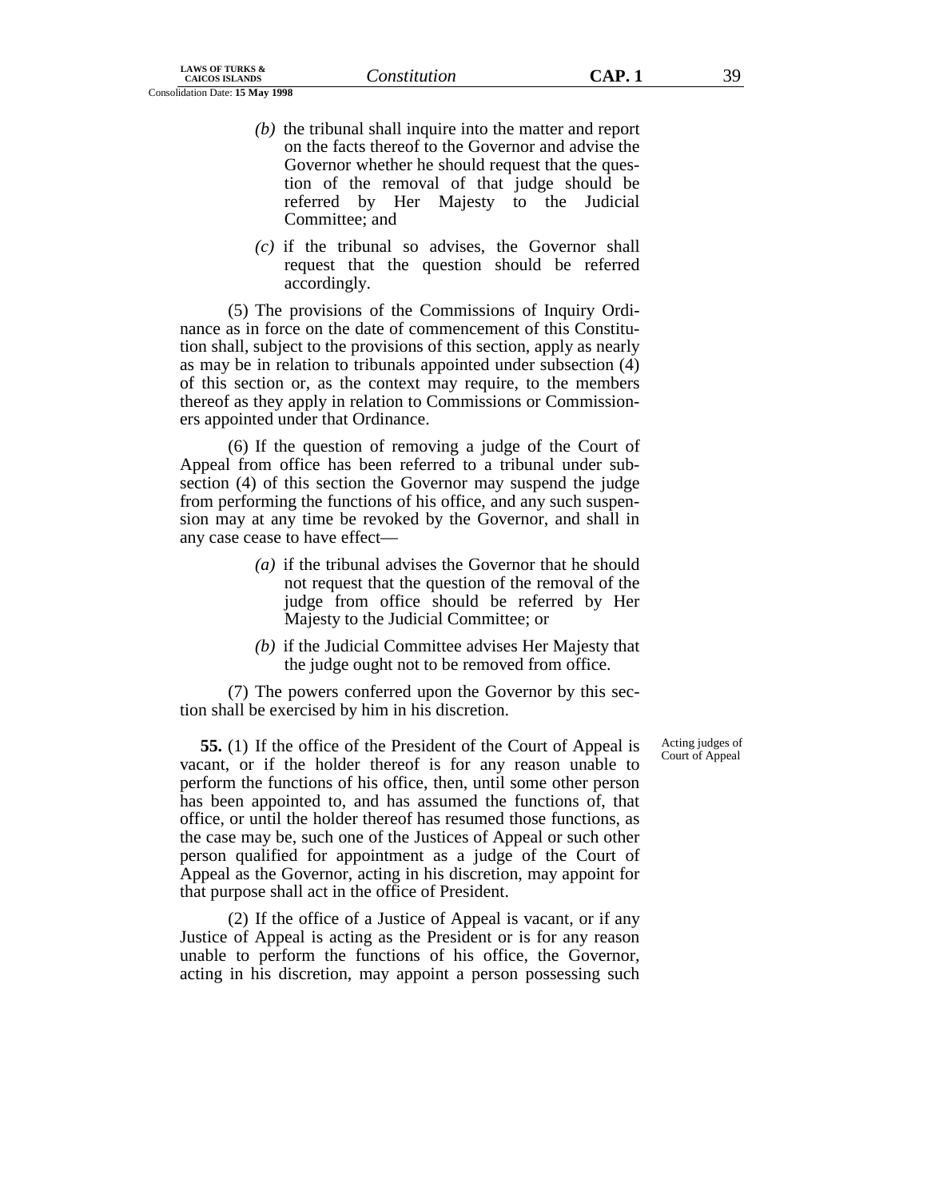*(c)* if the tribunal so advises, the Governor shall request that the question should be referred accordingly.

 (5) The provisions of the Commissions of Inquiry Ordinance as in force on the date of commencement of this Constitution shall, subject to the provisions of this section, apply as nearly as may be in relation to tribunals appointed under subsection (4) of this section or, as the context may require, to the members thereof as they apply in relation to Commissions or Commissioners appointed under that Ordinance.

 (6) If the question of removing a judge of the Court of Appeal from office has been referred to a tribunal under subsection (4) of this section the Governor may suspend the judge from performing the functions of his office, and any such suspension may at any time be revoked by the Governor, and shall in any case cease to have effect––

- *(a)* if the tribunal advises the Governor that he should not request that the question of the removal of the judge from office should be referred by Her Majesty to the Judicial Committee; or
- *(b)* if the Judicial Committee advises Her Majesty that the judge ought not to be removed from office.

 (7) The powers conferred upon the Governor by this section shall be exercised by him in his discretion.

**55.** (1) If the office of the President of the Court of Appeal is vacant, or if the holder thereof is for any reason unable to perform the functions of his office, then, until some other person has been appointed to, and has assumed the functions of, that office, or until the holder thereof has resumed those functions, as the case may be, such one of the Justices of Appeal or such other person qualified for appointment as a judge of the Court of Appeal as the Governor, acting in his discretion, may appoint for that purpose shall act in the office of President.

 (2) If the office of a Justice of Appeal is vacant, or if any Justice of Appeal is acting as the President or is for any reason unable to perform the functions of his office, the Governor, acting in his discretion, may appoint a person possessing such

Acting judges of Court of Appeal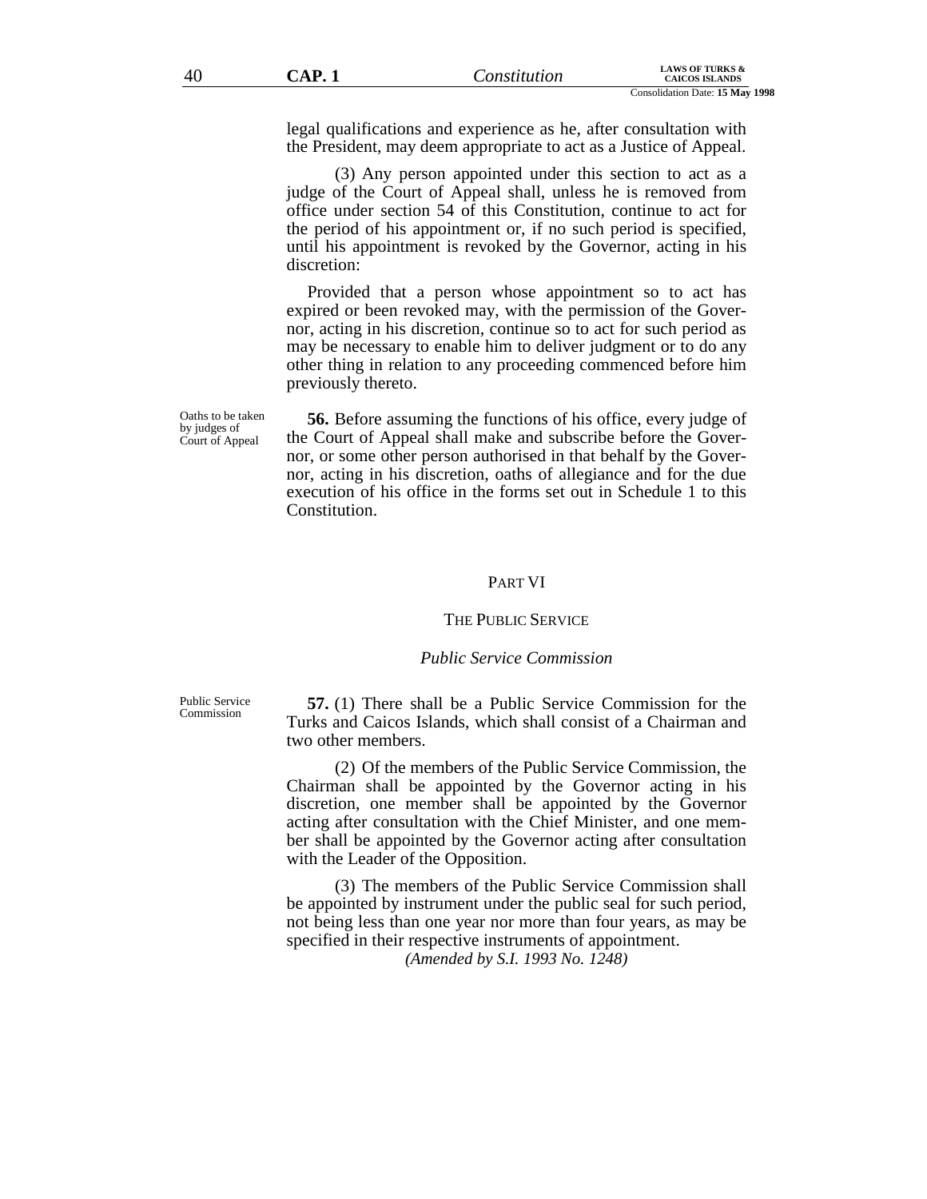| 40 | 'AP. | Constitution | <b>LAWS OF TURKS &amp;</b><br><b>CAICOS ISLANDS</b> |
|----|------|--------------|-----------------------------------------------------|
|    |      |              | Consolidation Date: 15 May 1998                     |

legal qualifications and experience as he, after consultation with the President, may deem appropriate to act as a Justice of Appeal.

 (3) Any person appointed under this section to act as a judge of the Court of Appeal shall, unless he is removed from office under section 54 of this Constitution, continue to act for the period of his appointment or, if no such period is specified, until his appointment is revoked by the Governor, acting in his discretion:

Provided that a person whose appointment so to act has expired or been revoked may, with the permission of the Governor, acting in his discretion, continue so to act for such period as may be necessary to enable him to deliver judgment or to do any other thing in relation to any proceeding commenced before him previously thereto.

**56.** Before assuming the functions of his office, every judge of the Court of Appeal shall make and subscribe before the Governor, or some other person authorised in that behalf by the Governor, acting in his discretion, oaths of allegiance and for the due execution of his office in the forms set out in Schedule 1 to this Constitution.

### PART VI

## THE PUBLIC SERVICE

## *Public Service Commission*

Public Service Commission

**57.** (1) There shall be a Public Service Commission for the Turks and Caicos Islands, which shall consist of a Chairman and two other members.

 (2) Of the members of the Public Service Commission, the Chairman shall be appointed by the Governor acting in his discretion, one member shall be appointed by the Governor acting after consultation with the Chief Minister, and one member shall be appointed by the Governor acting after consultation with the Leader of the Opposition.

 (3) The members of the Public Service Commission shall be appointed by instrument under the public seal for such period, not being less than one year nor more than four years, as may be specified in their respective instruments of appointment.

*(Amended by S.I. 1993 No. 1248)* 

Oaths to be taken by judges of Court of Appeal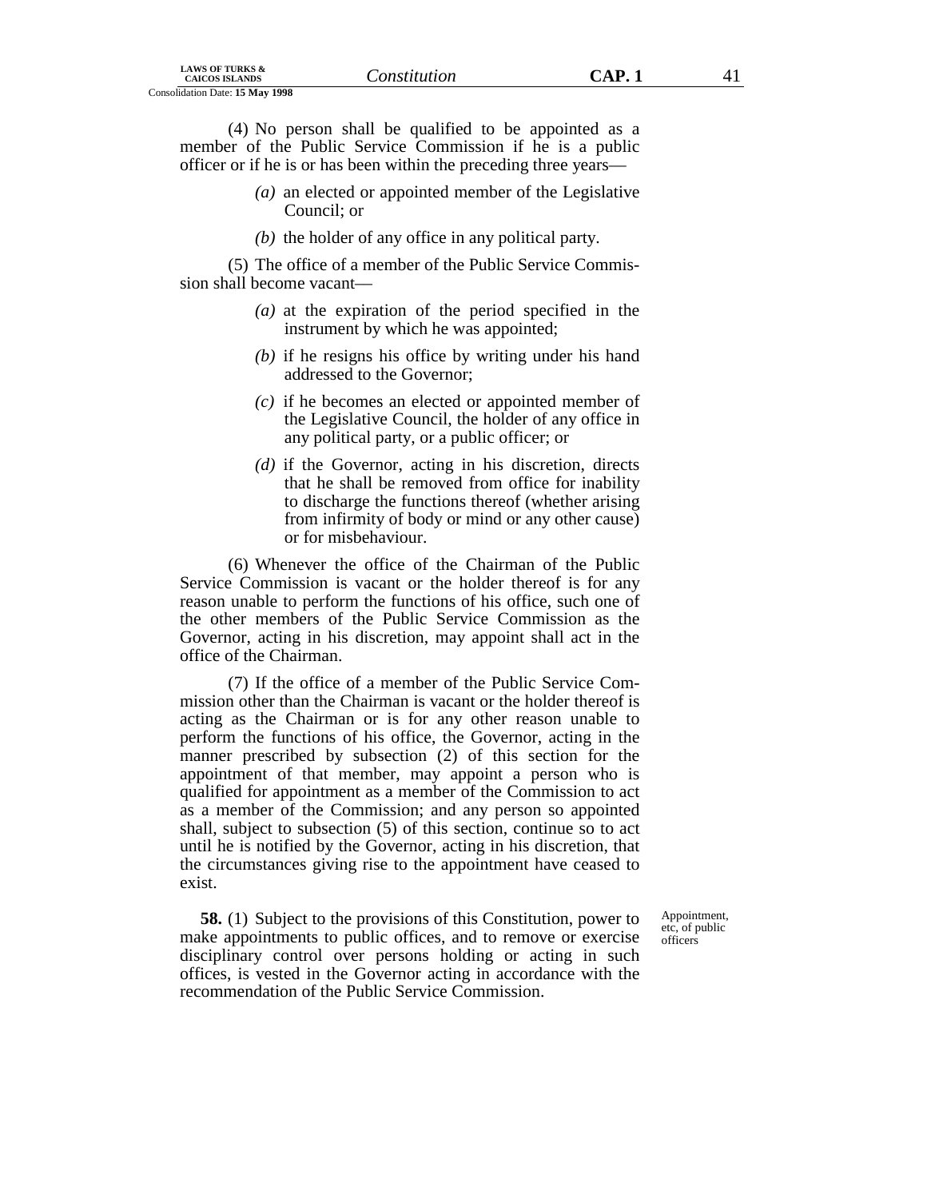(4) No person shall be qualified to be appointed as a member of the Public Service Commission if he is a public officer or if he is or has been within the preceding three years––

- *(a)* an elected or appointed member of the Legislative Council; or
- *(b)* the holder of any office in any political party.

 (5) The office of a member of the Public Service Commission shall become vacant––

- *(a)* at the expiration of the period specified in the instrument by which he was appointed;
- *(b)* if he resigns his office by writing under his hand addressed to the Governor;
- *(c)* if he becomes an elected or appointed member of the Legislative Council, the holder of any office in any political party, or a public officer; or
- *(d)* if the Governor, acting in his discretion, directs that he shall be removed from office for inability to discharge the functions thereof (whether arising from infirmity of body or mind or any other cause) or for misbehaviour.

 (6) Whenever the office of the Chairman of the Public Service Commission is vacant or the holder thereof is for any reason unable to perform the functions of his office, such one of the other members of the Public Service Commission as the Governor, acting in his discretion, may appoint shall act in the office of the Chairman.

 (7) If the office of a member of the Public Service Commission other than the Chairman is vacant or the holder thereof is acting as the Chairman or is for any other reason unable to perform the functions of his office, the Governor, acting in the manner prescribed by subsection (2) of this section for the appointment of that member, may appoint a person who is qualified for appointment as a member of the Commission to act as a member of the Commission; and any person so appointed shall, subject to subsection (5) of this section, continue so to act until he is notified by the Governor, acting in his discretion, that the circumstances giving rise to the appointment have ceased to exist.

**58.** (1) Subject to the provisions of this Constitution, power to make appointments to public offices, and to remove or exercise disciplinary control over persons holding or acting in such offices, is vested in the Governor acting in accordance with the recommendation of the Public Service Commission.

Appointment, etc, of public officers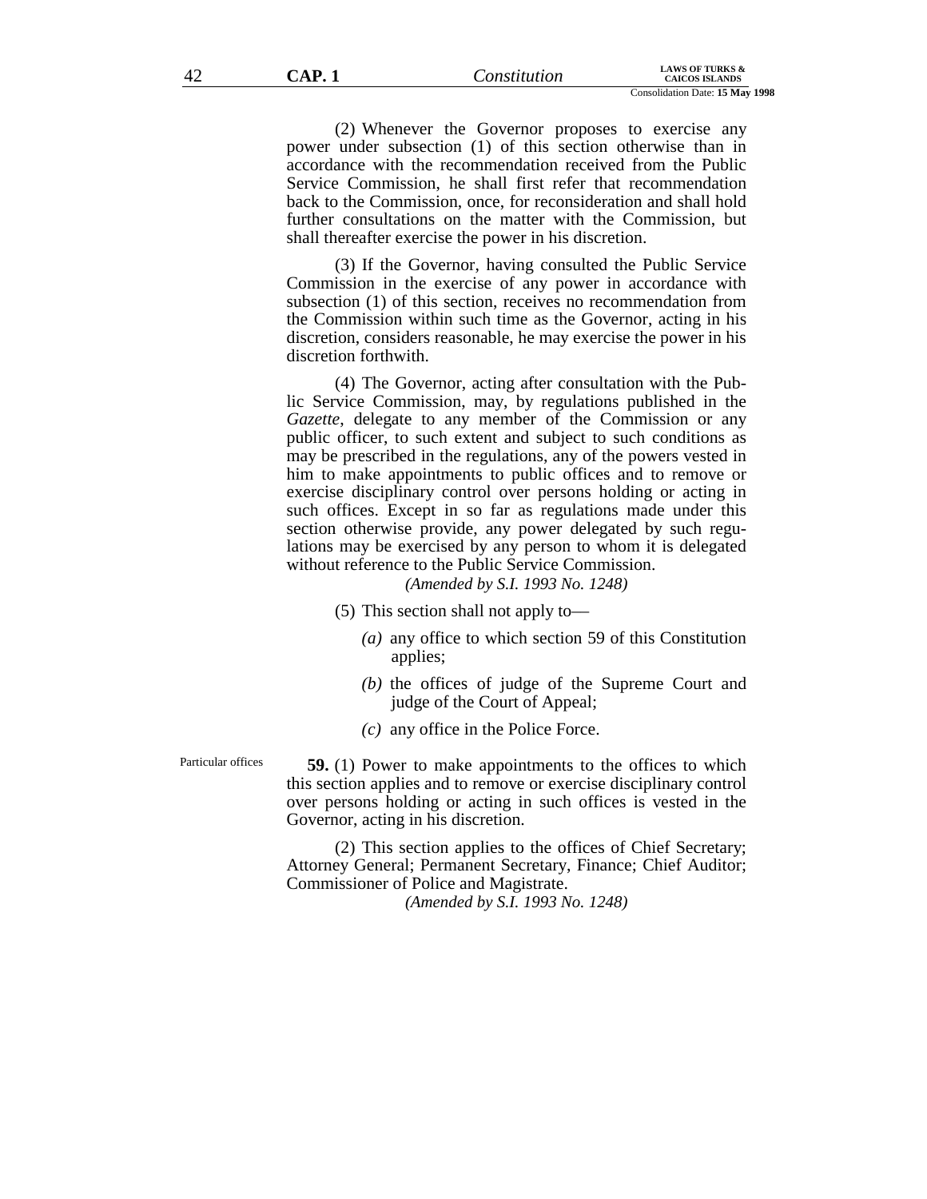(2) Whenever the Governor proposes to exercise any power under subsection (1) of this section otherwise than in accordance with the recommendation received from the Public Service Commission, he shall first refer that recommendation back to the Commission, once, for reconsideration and shall hold further consultations on the matter with the Commission, but shall thereafter exercise the power in his discretion.

 (3) If the Governor, having consulted the Public Service Commission in the exercise of any power in accordance with subsection (1) of this section, receives no recommendation from the Commission within such time as the Governor, acting in his discretion, considers reasonable, he may exercise the power in his discretion forthwith.

 (4) The Governor, acting after consultation with the Public Service Commission, may, by regulations published in the *Gazette*, delegate to any member of the Commission or any public officer, to such extent and subject to such conditions as may be prescribed in the regulations, any of the powers vested in him to make appointments to public offices and to remove or exercise disciplinary control over persons holding or acting in such offices. Except in so far as regulations made under this section otherwise provide, any power delegated by such regulations may be exercised by any person to whom it is delegated without reference to the Public Service Commission.

*(Amended by S.I. 1993 No. 1248)* 

- $(5)$  This section shall not apply to—
	- *(a)* any office to which section 59 of this Constitution applies;
	- *(b)* the offices of judge of the Supreme Court and judge of the Court of Appeal;
	- *(c)* any office in the Police Force.

Particular offices

**59.** (1) Power to make appointments to the offices to which this section applies and to remove or exercise disciplinary control over persons holding or acting in such offices is vested in the Governor, acting in his discretion.

 (2) This section applies to the offices of Chief Secretary; Attorney General; Permanent Secretary, Finance; Chief Auditor; Commissioner of Police and Magistrate.

*(Amended by S.I. 1993 No. 1248)*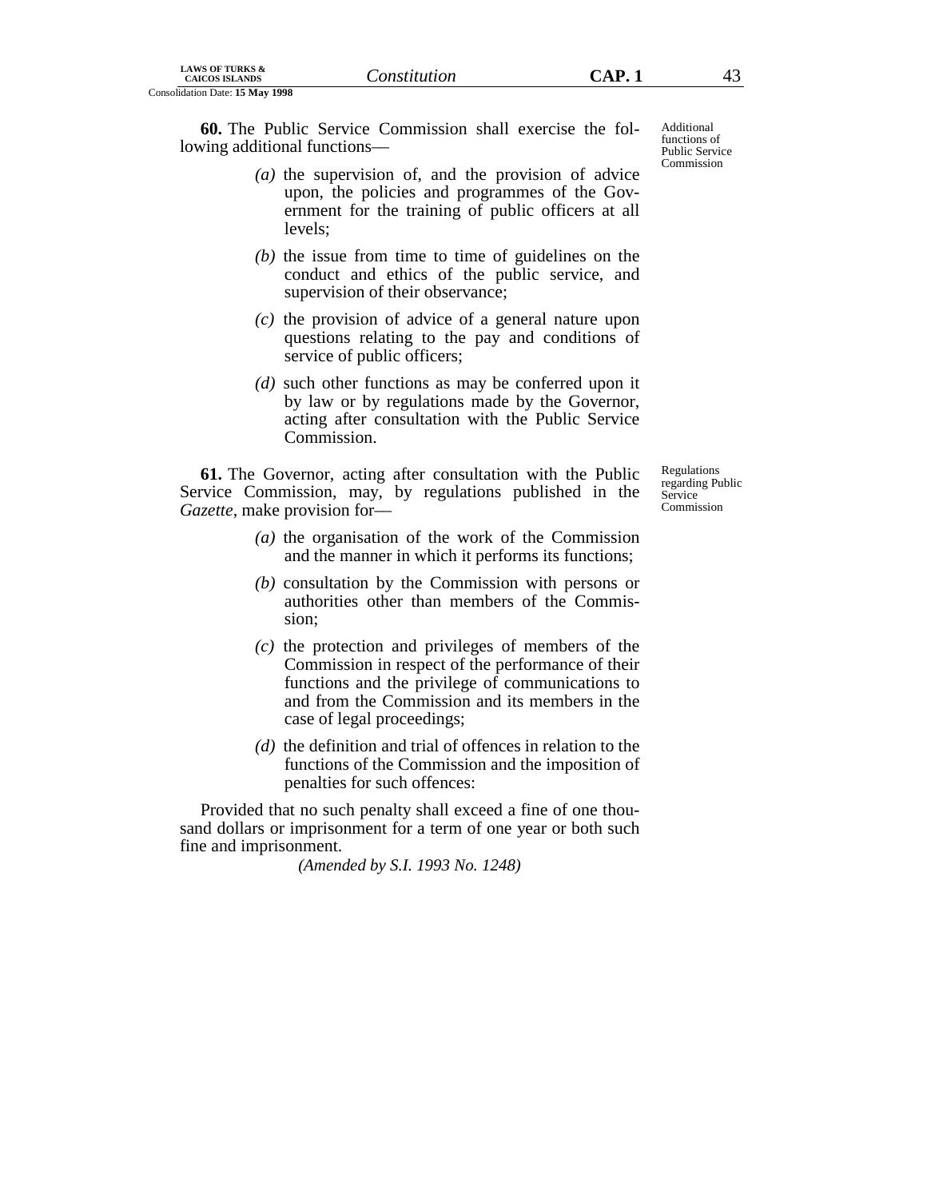**60.** The Public Service Commission shall exercise the following additional functions––

- *(a)* the supervision of, and the provision of advice upon, the policies and programmes of the Government for the training of public officers at all levels;
- *(b)* the issue from time to time of guidelines on the conduct and ethics of the public service, and supervision of their observance;
- *(c)* the provision of advice of a general nature upon questions relating to the pay and conditions of service of public officers;
- *(d)* such other functions as may be conferred upon it by law or by regulations made by the Governor, acting after consultation with the Public Service **Commission**

**61.** The Governor, acting after consultation with the Public Service Commission, may, by regulations published in the *Gazette*, make provision for––

Regulations regarding Public Service Commission

- *(a)* the organisation of the work of the Commission and the manner in which it performs its functions;
- *(b)* consultation by the Commission with persons or authorities other than members of the Commission;
- *(c)* the protection and privileges of members of the Commission in respect of the performance of their functions and the privilege of communications to and from the Commission and its members in the case of legal proceedings;
- *(d)* the definition and trial of offences in relation to the functions of the Commission and the imposition of penalties for such offences:

Provided that no such penalty shall exceed a fine of one thousand dollars or imprisonment for a term of one year or both such fine and imprisonment.

*(Amended by S.I. 1993 No. 1248)* 

Additional functions of Public Service Commission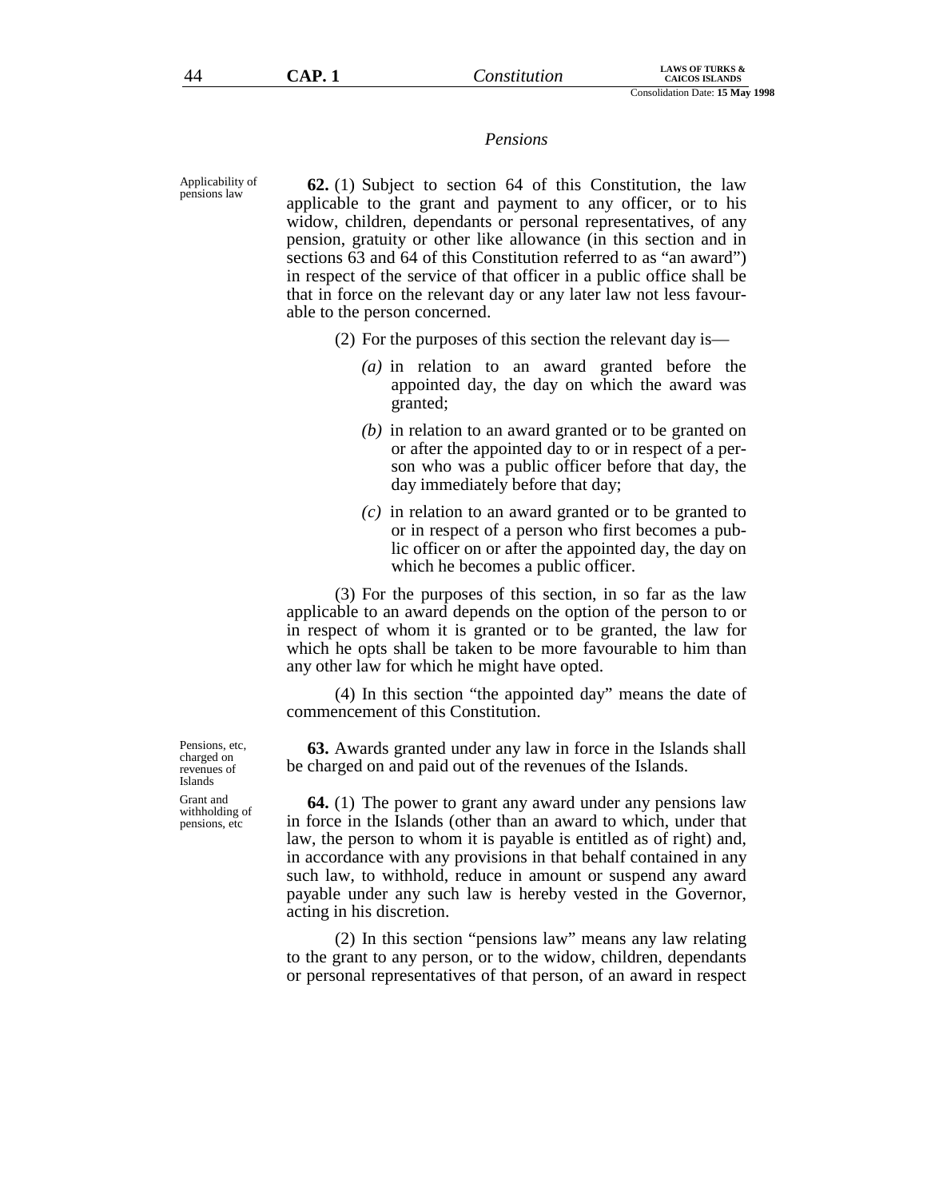## *Pensions*

Applicability of pensions law

**62.** (1) Subject to section 64 of this Constitution, the law applicable to the grant and payment to any officer, or to his widow, children, dependants or personal representatives, of any pension, gratuity or other like allowance (in this section and in sections 63 and 64 of this Constitution referred to as "an award") in respect of the service of that officer in a public office shall be that in force on the relevant day or any later law not less favourable to the person concerned.

- (2) For the purposes of this section the relevant day is––
	- *(a)* in relation to an award granted before the appointed day, the day on which the award was granted;
	- *(b)* in relation to an award granted or to be granted on or after the appointed day to or in respect of a person who was a public officer before that day, the day immediately before that day;
	- *(c)* in relation to an award granted or to be granted to or in respect of a person who first becomes a public officer on or after the appointed day, the day on which he becomes a public officer.

 (3) For the purposes of this section, in so far as the law applicable to an award depends on the option of the person to or in respect of whom it is granted or to be granted, the law for which he opts shall be taken to be more favourable to him than any other law for which he might have opted.

 (4) In this section "the appointed day" means the date of commencement of this Constitution.

**63.** Awards granted under any law in force in the Islands shall be charged on and paid out of the revenues of the Islands.

**64.** (1) The power to grant any award under any pensions law in force in the Islands (other than an award to which, under that law, the person to whom it is payable is entitled as of right) and, in accordance with any provisions in that behalf contained in any such law, to withhold, reduce in amount or suspend any award payable under any such law is hereby vested in the Governor, acting in his discretion.

 (2) In this section "pensions law" means any law relating to the grant to any person, or to the widow, children, dependants or personal representatives of that person, of an award in respect

charged on revenues of Islands Grant and withholding of pensions, etc

Pensions, etc,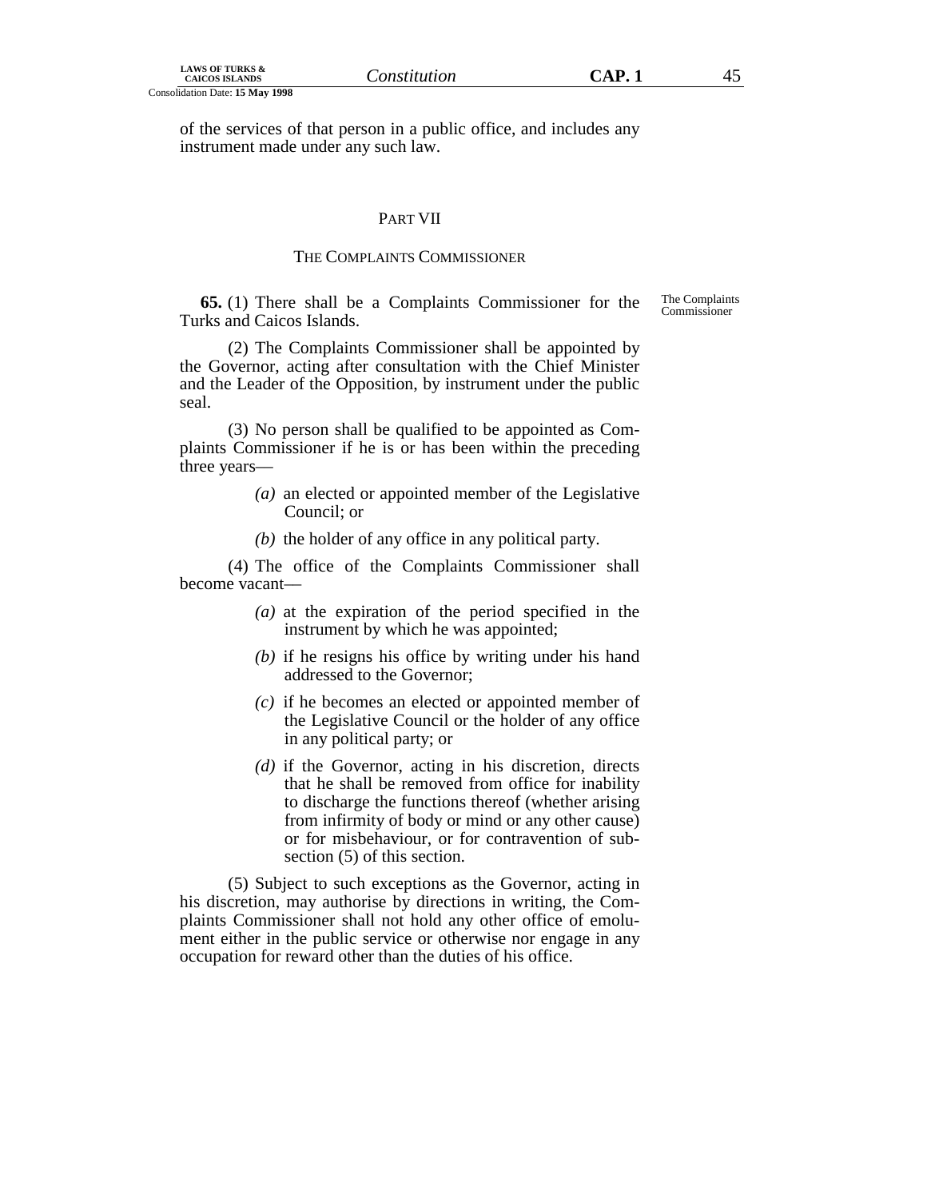of the services of that person in a public office, and includes any instrument made under any such law.

#### PART VII

## THE COMPLAINTS COMMISSIONER

**65.** (1) There shall be a Complaints Commissioner for the Turks and Caicos Islands.

The Complaints Commissioner

 (2) The Complaints Commissioner shall be appointed by the Governor, acting after consultation with the Chief Minister and the Leader of the Opposition, by instrument under the public seal.

 (3) No person shall be qualified to be appointed as Complaints Commissioner if he is or has been within the preceding three years––

- *(a)* an elected or appointed member of the Legislative Council; or
- *(b)* the holder of any office in any political party.

 (4) The office of the Complaints Commissioner shall become vacant––

- *(a)* at the expiration of the period specified in the instrument by which he was appointed;
- *(b)* if he resigns his office by writing under his hand addressed to the Governor;
- *(c)* if he becomes an elected or appointed member of the Legislative Council or the holder of any office in any political party; or
- *(d)* if the Governor, acting in his discretion, directs that he shall be removed from office for inability to discharge the functions thereof (whether arising from infirmity of body or mind or any other cause) or for misbehaviour, or for contravention of subsection (5) of this section.

 (5) Subject to such exceptions as the Governor, acting in his discretion, may authorise by directions in writing, the Complaints Commissioner shall not hold any other office of emolument either in the public service or otherwise nor engage in any occupation for reward other than the duties of his office.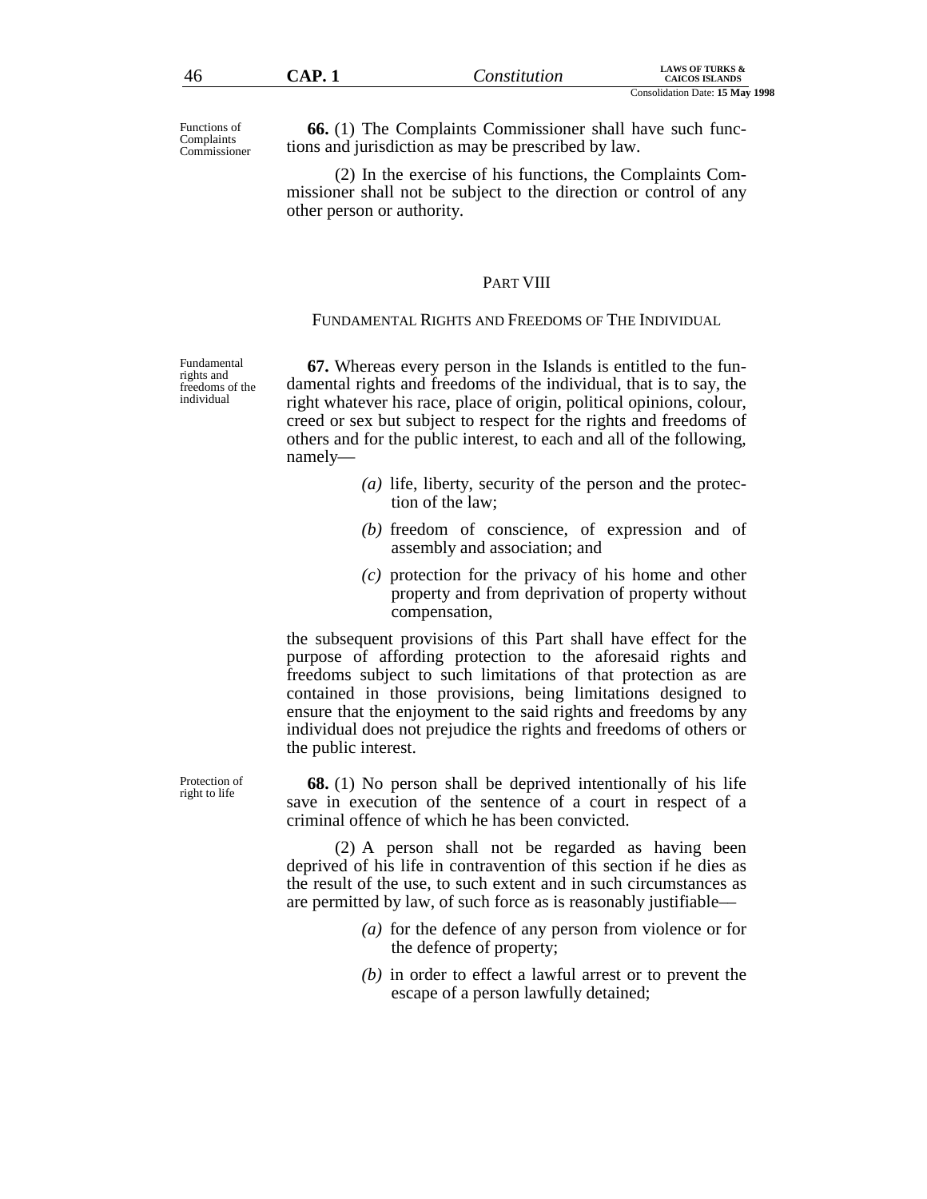| 46 | D<br>А | .onstitution | <b>LAWS OF TURKS &amp;</b><br><b>CAICOS ISLANDS</b> |
|----|--------|--------------|-----------------------------------------------------|
|    |        |              | Consolidation Date: 15 May 1998                     |

Functions of Complaints Commissioner

**66.** (1) The Complaints Commissioner shall have such functions and jurisdiction as may be prescribed by law.

 (2) In the exercise of his functions, the Complaints Commissioner shall not be subject to the direction or control of any other person or authority.

## PART VIII

## FUNDAMENTAL RIGHTS AND FREEDOMS OF THE INDIVIDUAL

Fundamental rights and freedoms of the individual

**67.** Whereas every person in the Islands is entitled to the fundamental rights and freedoms of the individual, that is to say, the right whatever his race, place of origin, political opinions, colour, creed or sex but subject to respect for the rights and freedoms of others and for the public interest, to each and all of the following, namely—

- *(a)* life, liberty, security of the person and the protection of the law;
- *(b)* freedom of conscience, of expression and of assembly and association; and
- *(c)* protection for the privacy of his home and other property and from deprivation of property without compensation,

the subsequent provisions of this Part shall have effect for the purpose of affording protection to the aforesaid rights and freedoms subject to such limitations of that protection as are contained in those provisions, being limitations designed to ensure that the enjoyment to the said rights and freedoms by any individual does not prejudice the rights and freedoms of others or the public interest.

**68.** (1) No person shall be deprived intentionally of his life save in execution of the sentence of a court in respect of a criminal offence of which he has been convicted.

 (2) A person shall not be regarded as having been deprived of his life in contravention of this section if he dies as the result of the use, to such extent and in such circumstances as are permitted by law, of such force as is reasonably justifiable––

- *(a)* for the defence of any person from violence or for the defence of property;
- *(b)* in order to effect a lawful arrest or to prevent the escape of a person lawfully detained;

Protection of right to life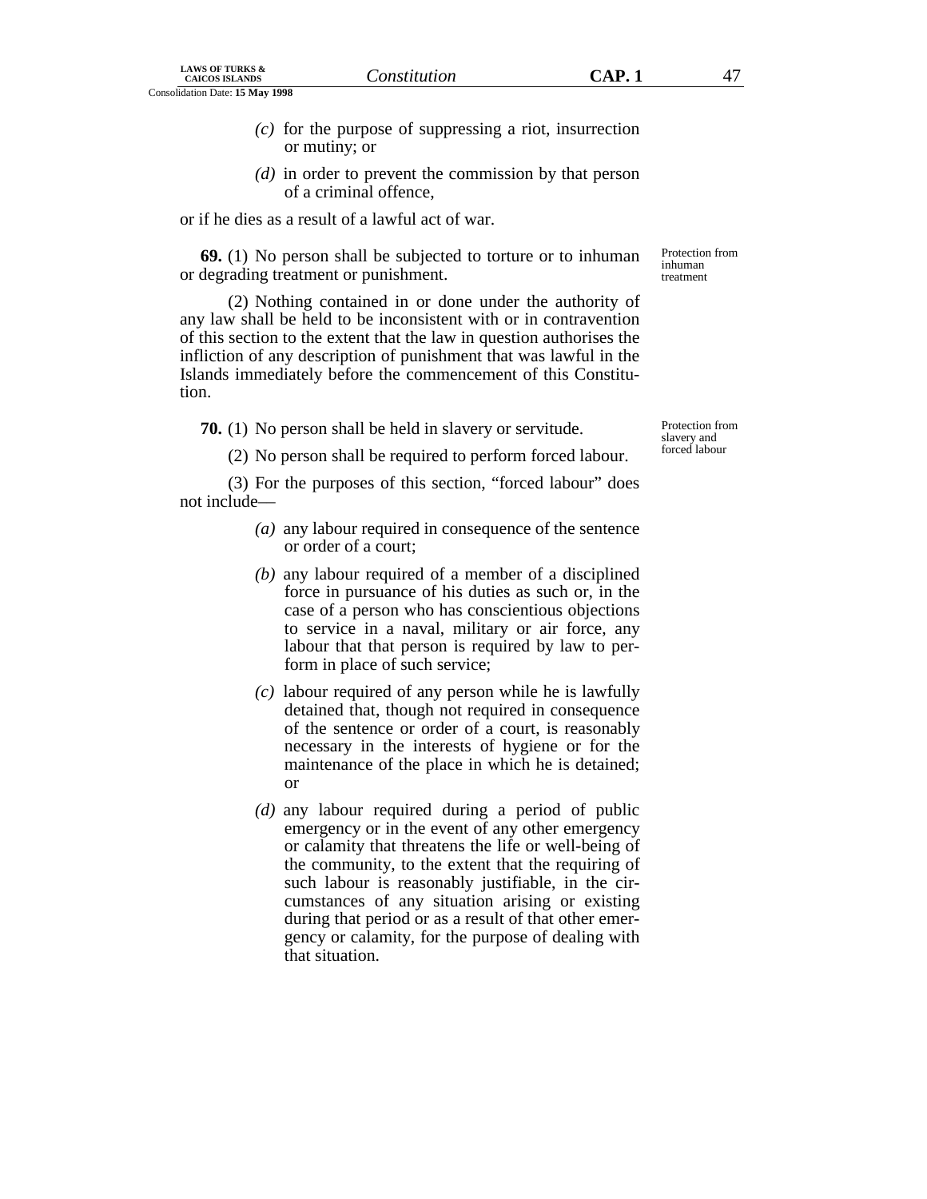- *(c)* for the purpose of suppressing a riot, insurrection or mutiny; or
- *(d)* in order to prevent the commission by that person of a criminal offence,

or if he dies as a result of a lawful act of war.

**69.** (1) No person shall be subjected to torture or to inhuman or degrading treatment or punishment.

 (2) Nothing contained in or done under the authority of any law shall be held to be inconsistent with or in contravention of this section to the extent that the law in question authorises the infliction of any description of punishment that was lawful in the Islands immediately before the commencement of this Constitution.

**70.** (1) No person shall be held in slavery or servitude.

(2) No person shall be required to perform forced labour.

 (3) For the purposes of this section, "forced labour" does not include––

- *(a)* any labour required in consequence of the sentence or order of a court;
- *(b)* any labour required of a member of a disciplined force in pursuance of his duties as such or, in the case of a person who has conscientious objections to service in a naval, military or air force, any labour that that person is required by law to perform in place of such service;
- *(c)* labour required of any person while he is lawfully detained that, though not required in consequence of the sentence or order of a court, is reasonably necessary in the interests of hygiene or for the maintenance of the place in which he is detained; or
- *(d)* any labour required during a period of public emergency or in the event of any other emergency or calamity that threatens the life or well-being of the community, to the extent that the requiring of such labour is reasonably justifiable, in the circumstances of any situation arising or existing during that period or as a result of that other emergency or calamity, for the purpose of dealing with that situation.

Protection from slavery and forced labour

Protection from inhuman treatment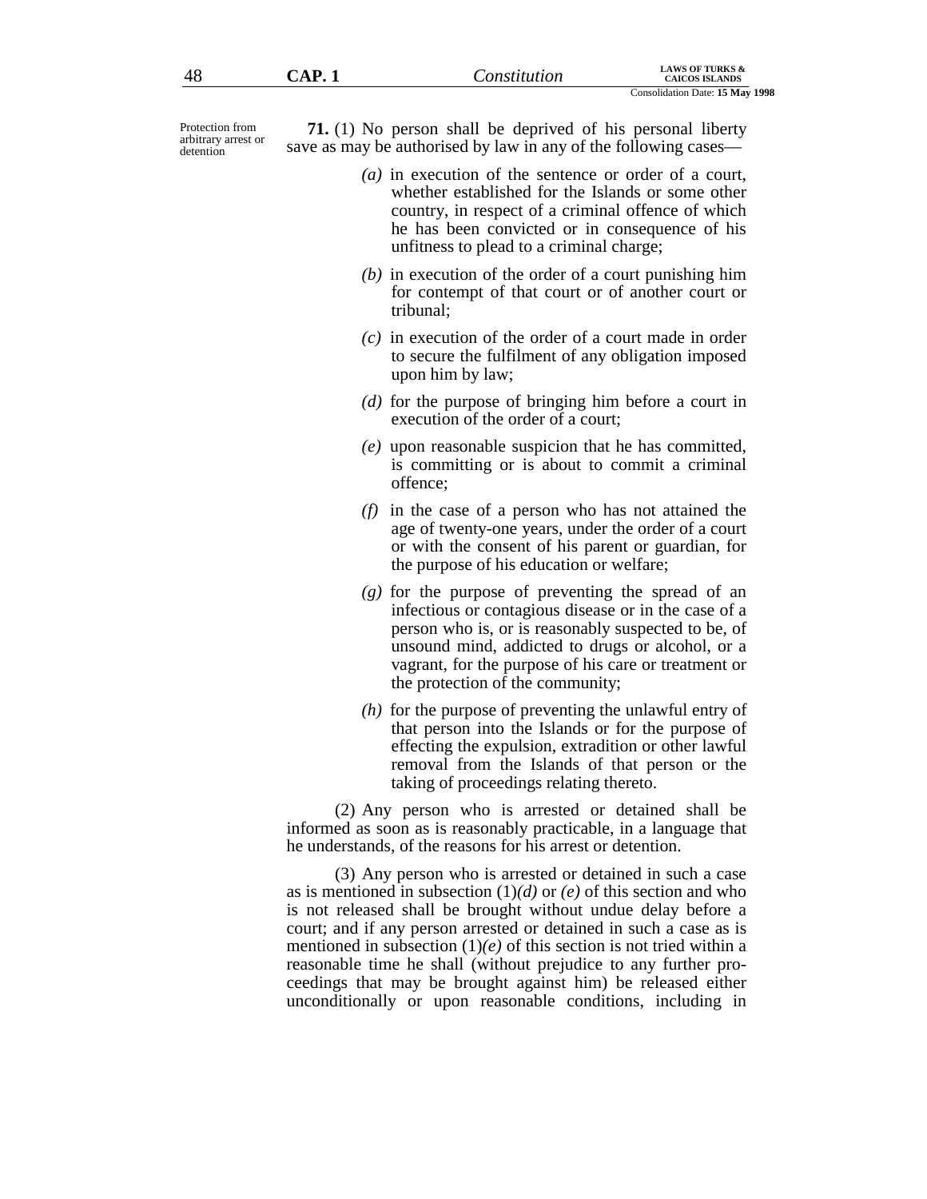| 48 | Constitution | <b>LAWS OF TURKS &amp;</b><br><b>CAICOS ISLANDS</b> |
|----|--------------|-----------------------------------------------------|
|    |              | Consolidation Date: 15 May 1998                     |

Protection from arbitrary arrest or detention

**71.** (1) No person shall be deprived of his personal liberty save as may be authorised by law in any of the following cases—

- *(a)* in execution of the sentence or order of a court, whether established for the Islands or some other country, in respect of a criminal offence of which he has been convicted or in consequence of his unfitness to plead to a criminal charge;
- *(b)* in execution of the order of a court punishing him for contempt of that court or of another court or tribunal;
- *(c)* in execution of the order of a court made in order to secure the fulfilment of any obligation imposed upon him by law;
- *(d)* for the purpose of bringing him before a court in execution of the order of a court;
- *(e)* upon reasonable suspicion that he has committed, is committing or is about to commit a criminal offence;
- *(f)* in the case of a person who has not attained the age of twenty-one years, under the order of a court or with the consent of his parent or guardian, for the purpose of his education or welfare;
- *(g)* for the purpose of preventing the spread of an infectious or contagious disease or in the case of a person who is, or is reasonably suspected to be, of unsound mind, addicted to drugs or alcohol, or a vagrant, for the purpose of his care or treatment or the protection of the community;
- *(h)* for the purpose of preventing the unlawful entry of that person into the Islands or for the purpose of effecting the expulsion, extradition or other lawful removal from the Islands of that person or the taking of proceedings relating thereto.

 (2) Any person who is arrested or detained shall be informed as soon as is reasonably practicable, in a language that he understands, of the reasons for his arrest or detention.

 (3) Any person who is arrested or detained in such a case as is mentioned in subsection (1)*(d)* or *(e)* of this section and who is not released shall be brought without undue delay before a court; and if any person arrested or detained in such a case as is mentioned in subsection (1)*(e)* of this section is not tried within a reasonable time he shall (without prejudice to any further proceedings that may be brought against him) be released either unconditionally or upon reasonable conditions, including in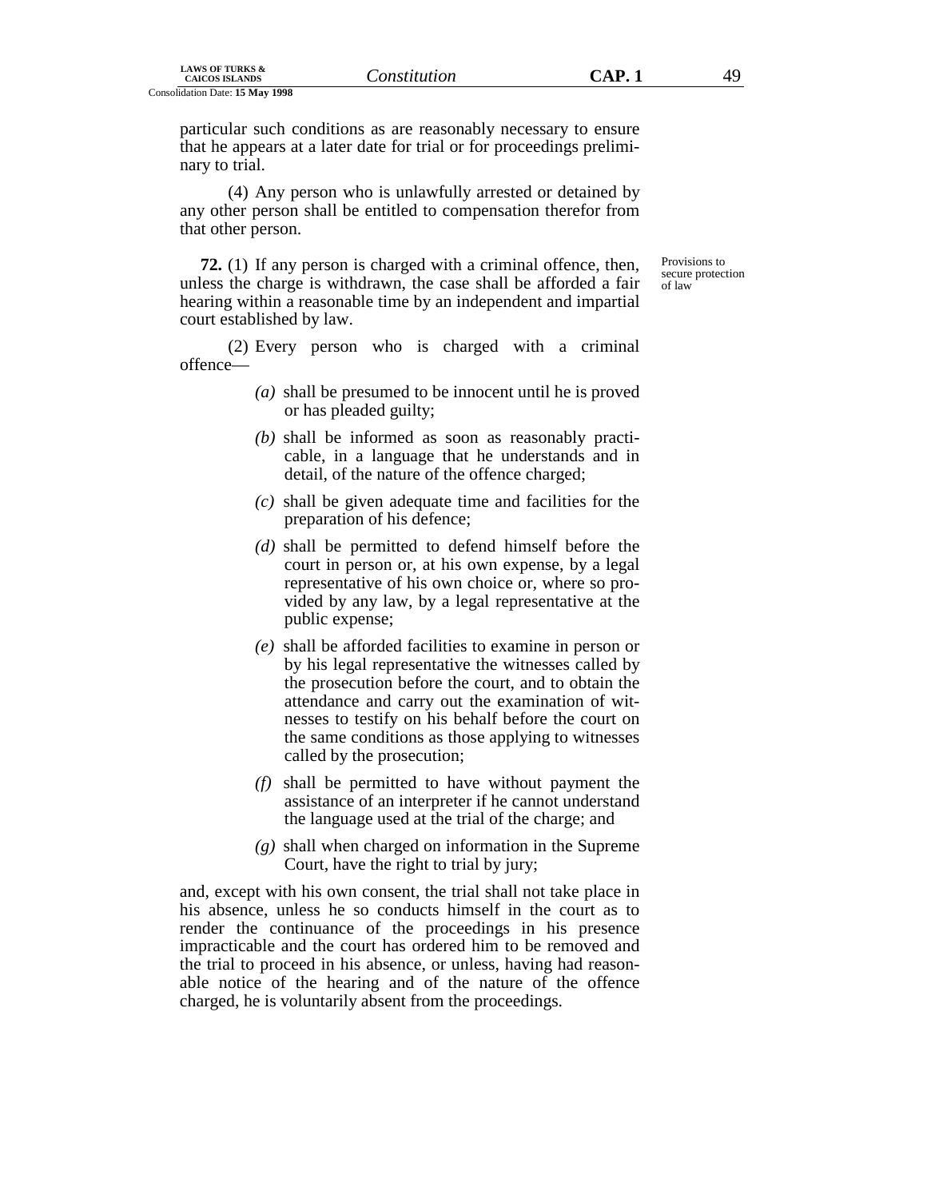| <b>LAWS OF TURKS &amp;</b><br><b>CAICOS ISLANDS</b> | onstitution_ | $\neg$ a d $\neg$ | Æ |
|-----------------------------------------------------|--------------|-------------------|---|
| Consolidation Date: 15 May 1998                     |              |                   |   |

particular such conditions as are reasonably necessary to ensure that he appears at a later date for trial or for proceedings preliminary to trial.

 (4) Any person who is unlawfully arrested or detained by any other person shall be entitled to compensation therefor from that other person.

**72.** (1) If any person is charged with a criminal offence, then, unless the charge is withdrawn, the case shall be afforded a fair hearing within a reasonable time by an independent and impartial court established by law.

 (2) Every person who is charged with a criminal offence—

> *(a)* shall be presumed to be innocent until he is proved or has pleaded guilty;

Provisions to secure protection of law

- *(b)* shall be informed as soon as reasonably practicable, in a language that he understands and in detail, of the nature of the offence charged;
- *(c)* shall be given adequate time and facilities for the preparation of his defence;
- *(d)* shall be permitted to defend himself before the court in person or, at his own expense, by a legal representative of his own choice or, where so provided by any law, by a legal representative at the public expense;
- *(e)* shall be afforded facilities to examine in person or by his legal representative the witnesses called by the prosecution before the court, and to obtain the attendance and carry out the examination of witnesses to testify on his behalf before the court on the same conditions as those applying to witnesses called by the prosecution;
- *(f)* shall be permitted to have without payment the assistance of an interpreter if he cannot understand the language used at the trial of the charge; and
- *(g)* shall when charged on information in the Supreme Court, have the right to trial by jury;

and, except with his own consent, the trial shall not take place in his absence, unless he so conducts himself in the court as to render the continuance of the proceedings in his presence impracticable and the court has ordered him to be removed and the trial to proceed in his absence, or unless, having had reasonable notice of the hearing and of the nature of the offence charged, he is voluntarily absent from the proceedings.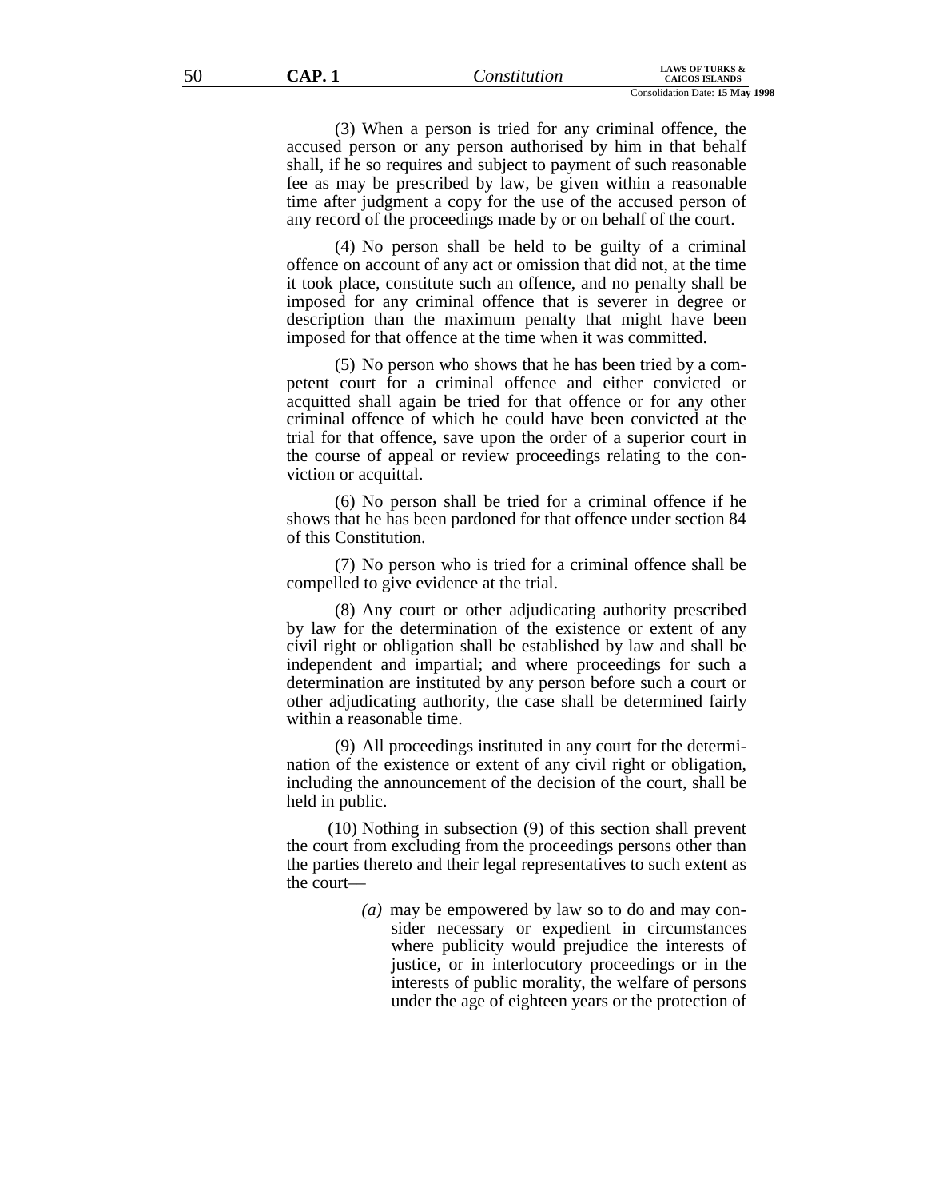(4) No person shall be held to be guilty of a criminal offence on account of any act or omission that did not, at the time it took place, constitute such an offence, and no penalty shall be imposed for any criminal offence that is severer in degree or description than the maximum penalty that might have been imposed for that offence at the time when it was committed.

 (5) No person who shows that he has been tried by a competent court for a criminal offence and either convicted or acquitted shall again be tried for that offence or for any other criminal offence of which he could have been convicted at the trial for that offence, save upon the order of a superior court in the course of appeal or review proceedings relating to the conviction or acquittal.

 (6) No person shall be tried for a criminal offence if he shows that he has been pardoned for that offence under section 84 of this Constitution.

 (7) No person who is tried for a criminal offence shall be compelled to give evidence at the trial.

 (8) Any court or other adjudicating authority prescribed by law for the determination of the existence or extent of any civil right or obligation shall be established by law and shall be independent and impartial; and where proceedings for such a determination are instituted by any person before such a court or other adjudicating authority, the case shall be determined fairly within a reasonable time.

 (9) All proceedings instituted in any court for the determination of the existence or extent of any civil right or obligation, including the announcement of the decision of the court, shall be held in public.

(10) Nothing in subsection (9) of this section shall prevent the court from excluding from the proceedings persons other than the parties thereto and their legal representatives to such extent as the court––

> *(a)* may be empowered by law so to do and may consider necessary or expedient in circumstances where publicity would prejudice the interests of justice, or in interlocutory proceedings or in the interests of public morality, the welfare of persons under the age of eighteen years or the protection of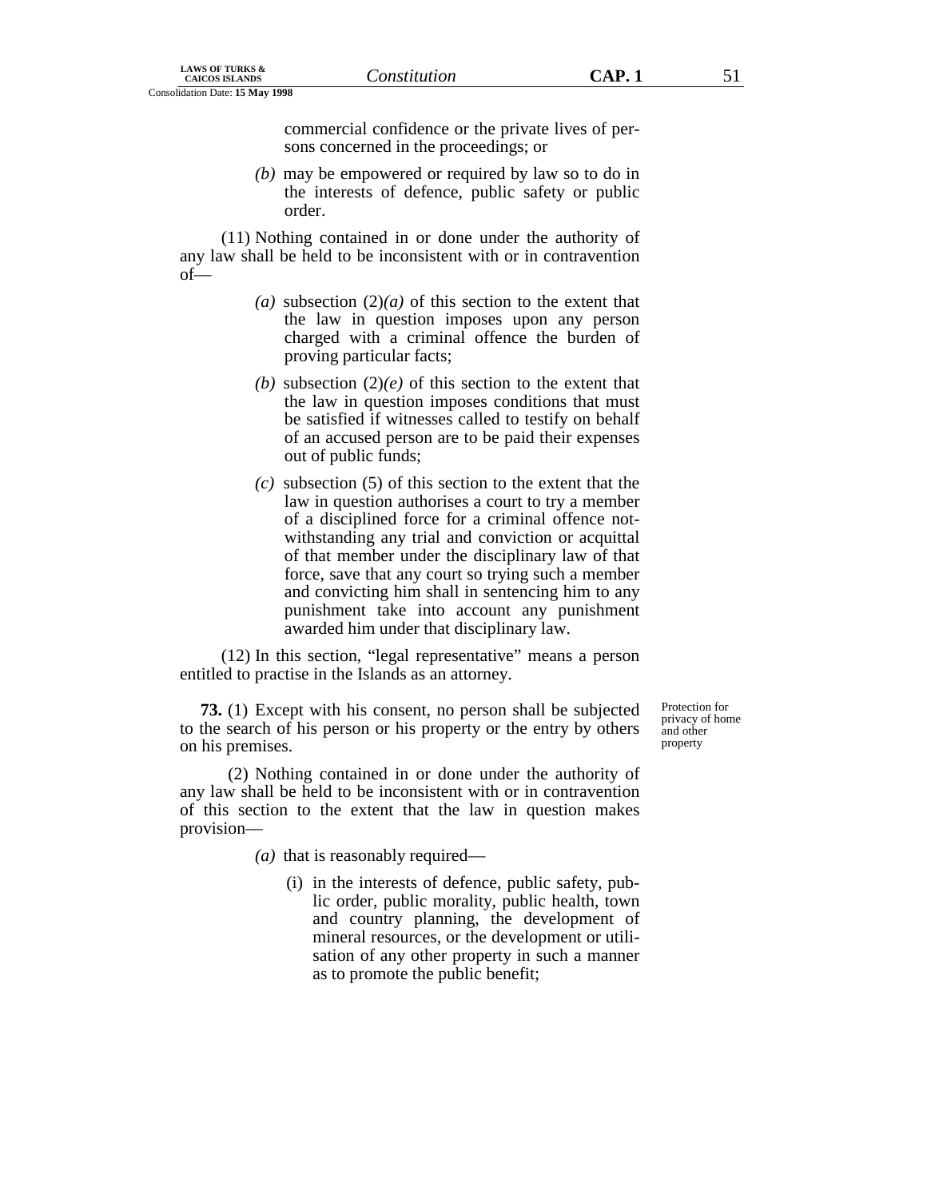commercial confidence or the private lives of persons concerned in the proceedings; or

*(b)* may be empowered or required by law so to do in the interests of defence, public safety or public order.

(11) Nothing contained in or done under the authority of any law shall be held to be inconsistent with or in contravention of––

- (a) subsection  $(2)(a)$  of this section to the extent that the law in question imposes upon any person charged with a criminal offence the burden of proving particular facts;
- *(b)* subsection  $(2)(e)$  of this section to the extent that the law in question imposes conditions that must be satisfied if witnesses called to testify on behalf of an accused person are to be paid their expenses out of public funds;
- *(c)* subsection (5) of this section to the extent that the law in question authorises a court to try a member of a disciplined force for a criminal offence notwithstanding any trial and conviction or acquittal of that member under the disciplinary law of that force, save that any court so trying such a member and convicting him shall in sentencing him to any punishment take into account any punishment awarded him under that disciplinary law.

(12) In this section, "legal representative" means a person entitled to practise in the Islands as an attorney.

**73.** (1) Except with his consent, no person shall be subjected to the search of his person or his property or the entry by others on his premises.

 (2) Nothing contained in or done under the authority of any law shall be held to be inconsistent with or in contravention of this section to the extent that the law in question makes provision––

- *(a)* that is reasonably required––
	- (i) in the interests of defence, public safety, public order, public morality, public health, town and country planning, the development of mineral resources, or the development or utilisation of any other property in such a manner as to promote the public benefit;

Protection for privacy of home and other property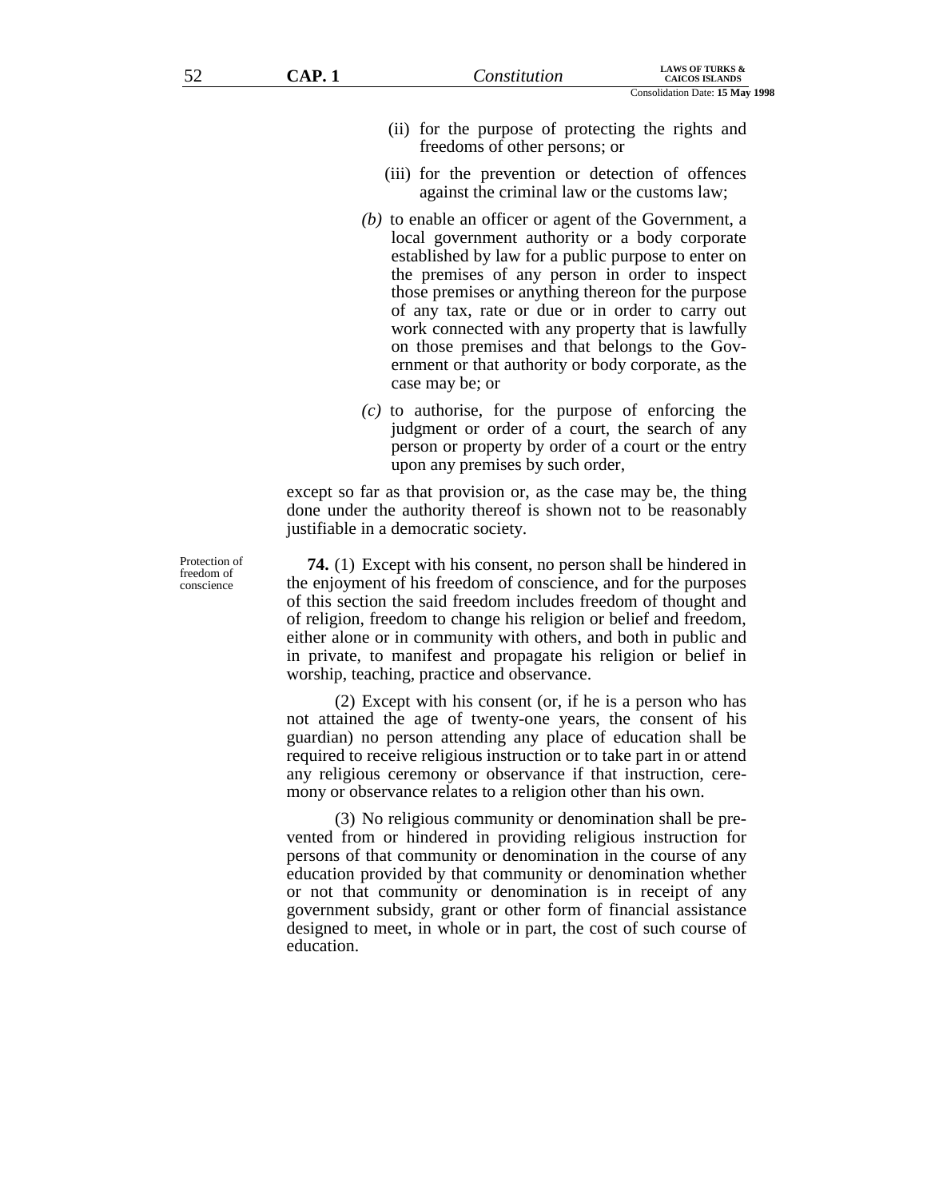- (ii) for the purpose of protecting the rights and freedoms of other persons; or
- (iii) for the prevention or detection of offences against the criminal law or the customs law;
- *(b)* to enable an officer or agent of the Government, a local government authority or a body corporate established by law for a public purpose to enter on the premises of any person in order to inspect those premises or anything thereon for the purpose of any tax, rate or due or in order to carry out work connected with any property that is lawfully on those premises and that belongs to the Government or that authority or body corporate, as the case may be; or
- *(c)* to authorise, for the purpose of enforcing the judgment or order of a court, the search of any person or property by order of a court or the entry upon any premises by such order,

except so far as that provision or, as the case may be, the thing done under the authority thereof is shown not to be reasonably justifiable in a democratic society.

**74.** (1) Except with his consent, no person shall be hindered in the enjoyment of his freedom of conscience, and for the purposes of this section the said freedom includes freedom of thought and of religion, freedom to change his religion or belief and freedom, either alone or in community with others, and both in public and in private, to manifest and propagate his religion or belief in worship, teaching, practice and observance.

 (2) Except with his consent (or, if he is a person who has not attained the age of twenty-one years, the consent of his guardian) no person attending any place of education shall be required to receive religious instruction or to take part in or attend any religious ceremony or observance if that instruction, ceremony or observance relates to a religion other than his own.

 (3) No religious community or denomination shall be prevented from or hindered in providing religious instruction for persons of that community or denomination in the course of any education provided by that community or denomination whether or not that community or denomination is in receipt of any government subsidy, grant or other form of financial assistance designed to meet, in whole or in part, the cost of such course of education.

Protection of freedom of conscience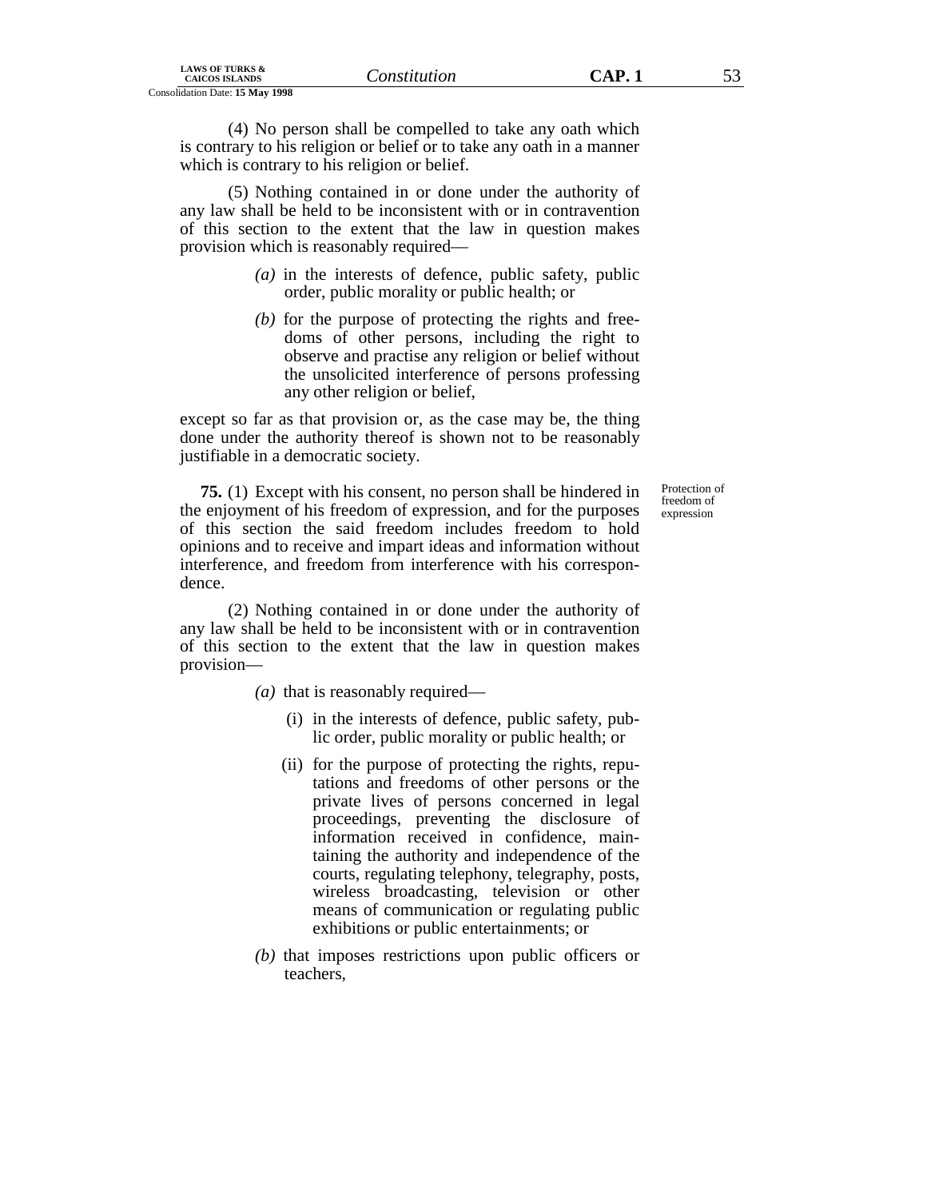| <b>LAWS OF TURKS &amp;</b><br><b>CAICOS ISLANDS</b> | Constitution | `AP. | . |
|-----------------------------------------------------|--------------|------|---|
| Consolidation Date: 15 May 1998                     |              |      |   |

 (4) No person shall be compelled to take any oath which is contrary to his religion or belief or to take any oath in a manner which is contrary to his religion or belief.

 (5) Nothing contained in or done under the authority of any law shall be held to be inconsistent with or in contravention of this section to the extent that the law in question makes provision which is reasonably required––

- *(a)* in the interests of defence, public safety, public order, public morality or public health; or
- *(b)* for the purpose of protecting the rights and freedoms of other persons, including the right to observe and practise any religion or belief without the unsolicited interference of persons professing any other religion or belief,

except so far as that provision or, as the case may be, the thing done under the authority thereof is shown not to be reasonably justifiable in a democratic society.

> Protection of freedom of expression

**75.** (1) Except with his consent, no person shall be hindered in the enjoyment of his freedom of expression, and for the purposes of this section the said freedom includes freedom to hold opinions and to receive and impart ideas and information without interference, and freedom from interference with his correspondence.

 (2) Nothing contained in or done under the authority of any law shall be held to be inconsistent with or in contravention of this section to the extent that the law in question makes provision––

- *(a)* that is reasonably required––
	- (i) in the interests of defence, public safety, public order, public morality or public health; or
	- (ii) for the purpose of protecting the rights, reputations and freedoms of other persons or the private lives of persons concerned in legal proceedings, preventing the disclosure of information received in confidence, maintaining the authority and independence of the courts, regulating telephony, telegraphy, posts, wireless broadcasting, television or other means of communication or regulating public exhibitions or public entertainments; or
- *(b)* that imposes restrictions upon public officers or teachers,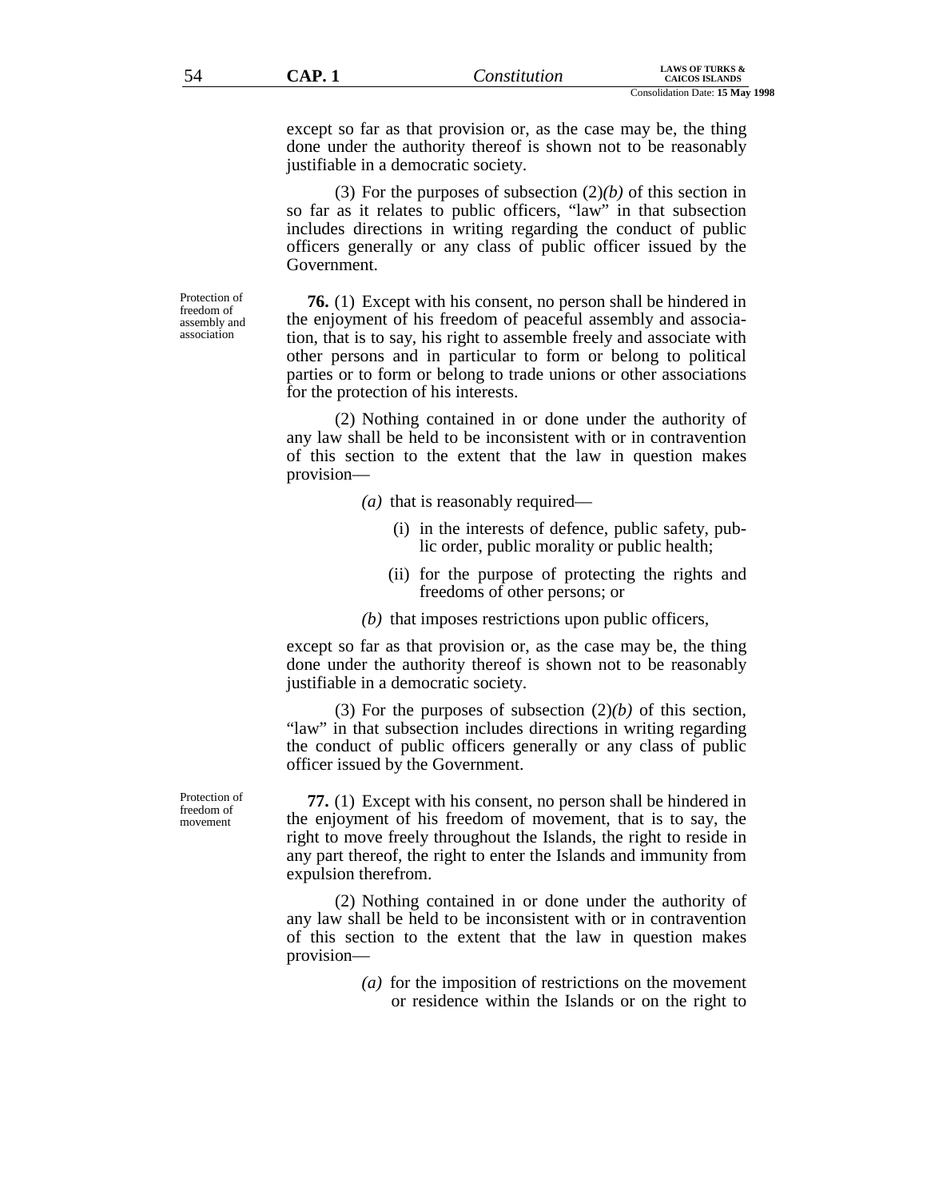except so far as that provision or, as the case may be, the thing done under the authority thereof is shown not to be reasonably justifiable in a democratic society.

 (3) For the purposes of subsection (2)*(b)* of this section in so far as it relates to public officers, "law" in that subsection includes directions in writing regarding the conduct of public officers generally or any class of public officer issued by the Government.

**76.** (1) Except with his consent, no person shall be hindered in the enjoyment of his freedom of peaceful assembly and association, that is to say, his right to assemble freely and associate with other persons and in particular to form or belong to political parties or to form or belong to trade unions or other associations for the protection of his interests.

 (2) Nothing contained in or done under the authority of any law shall be held to be inconsistent with or in contravention of this section to the extent that the law in question makes provision––

*(a)* that is reasonably required––

- (i) in the interests of defence, public safety, public order, public morality or public health;
- (ii) for the purpose of protecting the rights and freedoms of other persons; or
- *(b)* that imposes restrictions upon public officers,

except so far as that provision or, as the case may be, the thing done under the authority thereof is shown not to be reasonably justifiable in a democratic society.

 (3) For the purposes of subsection (2)*(b)* of this section, "law" in that subsection includes directions in writing regarding the conduct of public officers generally or any class of public officer issued by the Government.

**77.** (1) Except with his consent, no person shall be hindered in the enjoyment of his freedom of movement, that is to say, the right to move freely throughout the Islands, the right to reside in any part thereof, the right to enter the Islands and immunity from expulsion therefrom.

 (2) Nothing contained in or done under the authority of any law shall be held to be inconsistent with or in contravention of this section to the extent that the law in question makes provision––

> *(a)* for the imposition of restrictions on the movement or residence within the Islands or on the right to

Protection of freedom of assembly and association

Protection of freedom of movement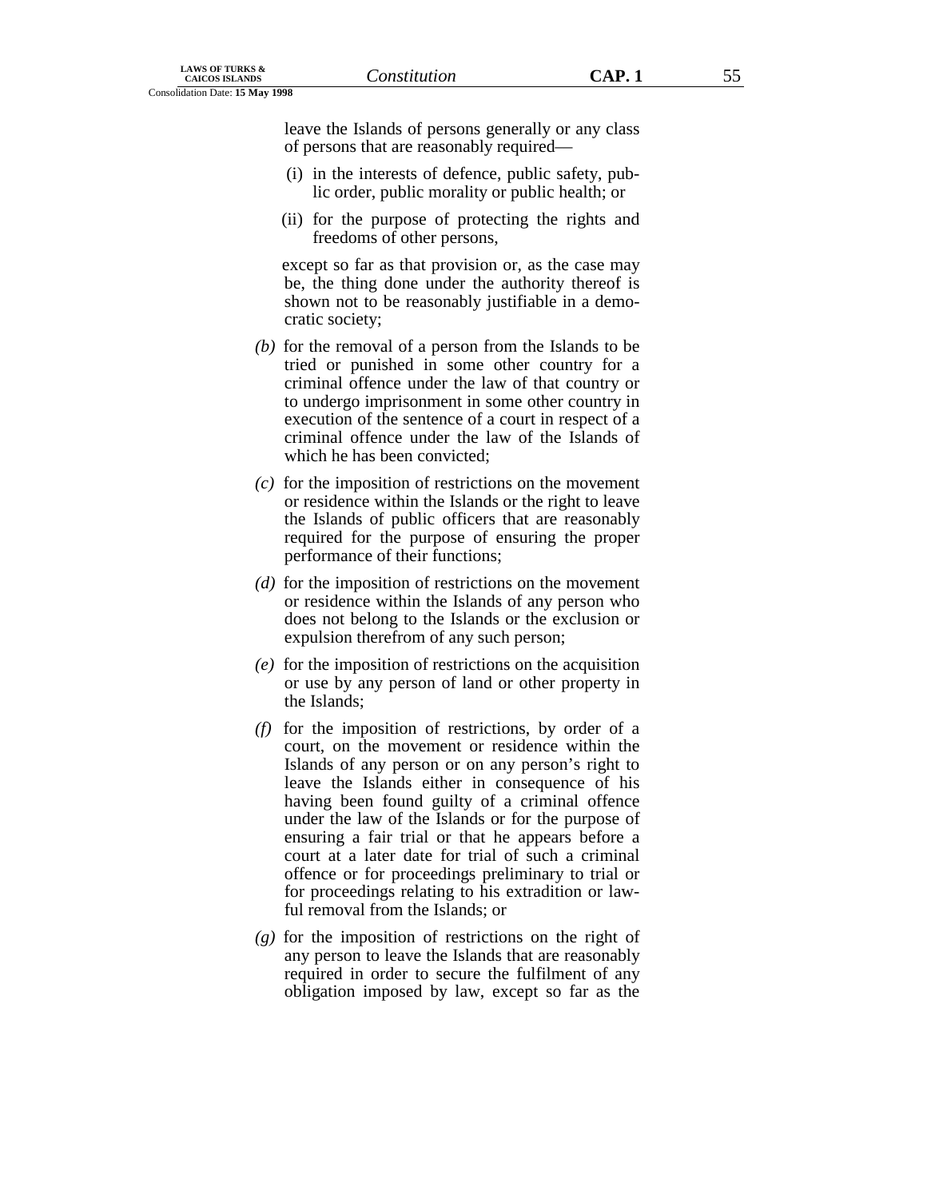leave the Islands of persons generally or any class of persons that are reasonably required––

- (i) in the interests of defence, public safety, public order, public morality or public health; or
- (ii) for the purpose of protecting the rights and freedoms of other persons,

 except so far as that provision or, as the case may be, the thing done under the authority thereof is shown not to be reasonably justifiable in a democratic society;

- *(b)* for the removal of a person from the Islands to be tried or punished in some other country for a criminal offence under the law of that country or to undergo imprisonment in some other country in execution of the sentence of a court in respect of a criminal offence under the law of the Islands of which he has been convicted;
- *(c)* for the imposition of restrictions on the movement or residence within the Islands or the right to leave the Islands of public officers that are reasonably required for the purpose of ensuring the proper performance of their functions;
- *(d)* for the imposition of restrictions on the movement or residence within the Islands of any person who does not belong to the Islands or the exclusion or expulsion therefrom of any such person;
- *(e)* for the imposition of restrictions on the acquisition or use by any person of land or other property in the Islands;
- *(f)* for the imposition of restrictions, by order of a court, on the movement or residence within the Islands of any person or on any person's right to leave the Islands either in consequence of his having been found guilty of a criminal offence under the law of the Islands or for the purpose of ensuring a fair trial or that he appears before a court at a later date for trial of such a criminal offence or for proceedings preliminary to trial or for proceedings relating to his extradition or lawful removal from the Islands; or
- *(g)* for the imposition of restrictions on the right of any person to leave the Islands that are reasonably required in order to secure the fulfilment of any obligation imposed by law, except so far as the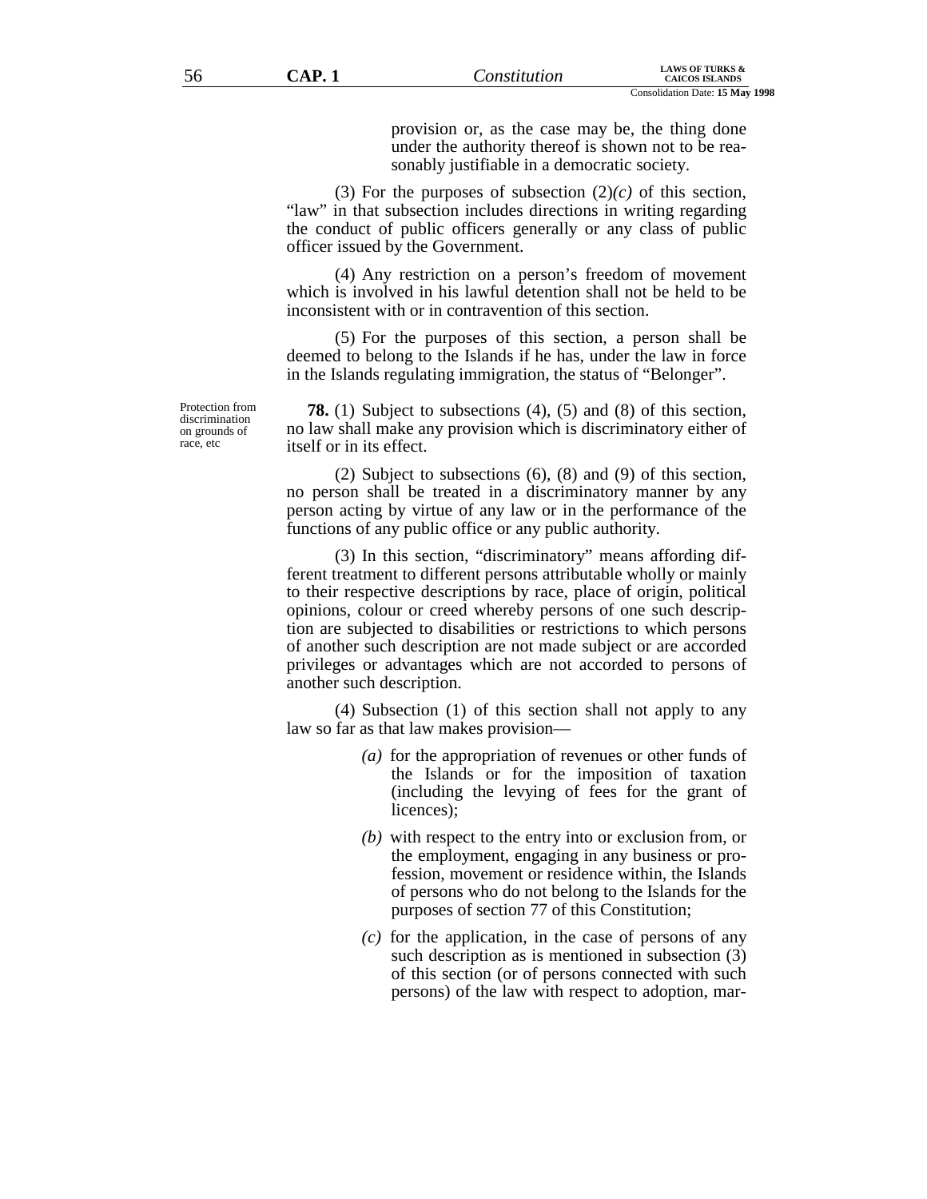provision or, as the case may be, the thing done under the authority thereof is shown not to be reasonably justifiable in a democratic society.

(3) For the purposes of subsection  $(2)(c)$  of this section, "law" in that subsection includes directions in writing regarding the conduct of public officers generally or any class of public officer issued by the Government.

 (4) Any restriction on a person's freedom of movement which is involved in his lawful detention shall not be held to be inconsistent with or in contravention of this section.

 (5) For the purposes of this section, a person shall be deemed to belong to the Islands if he has, under the law in force in the Islands regulating immigration, the status of "Belonger".

**78.** (1) Subject to subsections (4), (5) and (8) of this section, no law shall make any provision which is discriminatory either of itself or in its effect.

 (2) Subject to subsections (6), (8) and (9) of this section, no person shall be treated in a discriminatory manner by any person acting by virtue of any law or in the performance of the functions of any public office or any public authority.

 (3) In this section, "discriminatory" means affording different treatment to different persons attributable wholly or mainly to their respective descriptions by race, place of origin, political opinions, colour or creed whereby persons of one such description are subjected to disabilities or restrictions to which persons of another such description are not made subject or are accorded privileges or advantages which are not accorded to persons of another such description.

 (4) Subsection (1) of this section shall not apply to any law so far as that law makes provision––

- *(a)* for the appropriation of revenues or other funds of the Islands or for the imposition of taxation (including the levying of fees for the grant of licences);
- *(b)* with respect to the entry into or exclusion from, or the employment, engaging in any business or profession, movement or residence within, the Islands of persons who do not belong to the Islands for the purposes of section 77 of this Constitution;
- *(c)* for the application, in the case of persons of any such description as is mentioned in subsection (3) of this section (or of persons connected with such persons) of the law with respect to adoption, mar-

Protection from discrimination on grounds of race, etc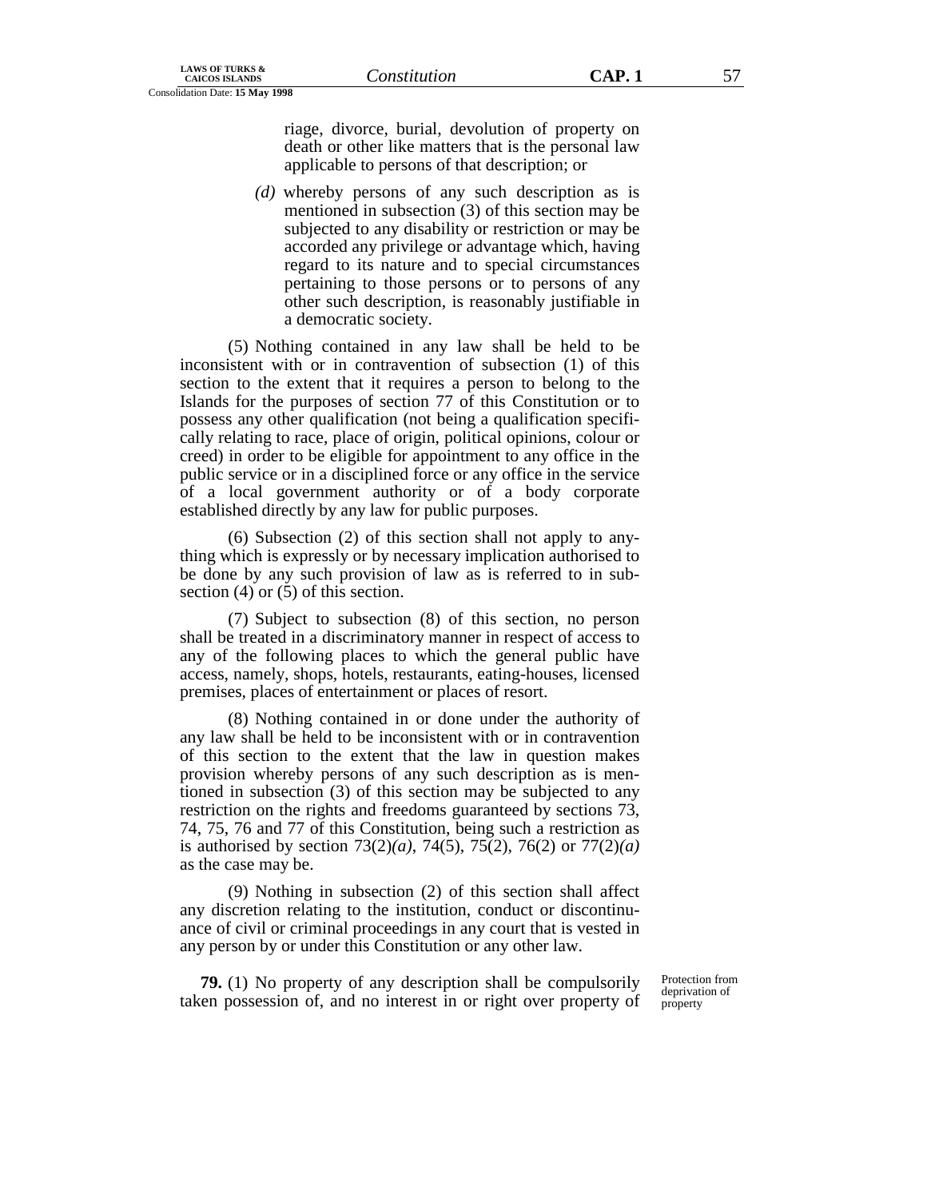riage, divorce, burial, devolution of property on death or other like matters that is the personal law applicable to persons of that description; or

*(d)* whereby persons of any such description as is mentioned in subsection (3) of this section may be subjected to any disability or restriction or may be accorded any privilege or advantage which, having regard to its nature and to special circumstances pertaining to those persons or to persons of any other such description, is reasonably justifiable in a democratic society.

 (5) Nothing contained in any law shall be held to be inconsistent with or in contravention of subsection (1) of this section to the extent that it requires a person to belong to the Islands for the purposes of section 77 of this Constitution or to possess any other qualification (not being a qualification specifically relating to race, place of origin, political opinions, colour or creed) in order to be eligible for appointment to any office in the public service or in a disciplined force or any office in the service of a local government authority or of a body corporate established directly by any law for public purposes.

 (6) Subsection (2) of this section shall not apply to anything which is expressly or by necessary implication authorised to be done by any such provision of law as is referred to in subsection (4) or (5) of this section.

 (7) Subject to subsection (8) of this section, no person shall be treated in a discriminatory manner in respect of access to any of the following places to which the general public have access, namely, shops, hotels, restaurants, eating-houses, licensed premises, places of entertainment or places of resort.

 (8) Nothing contained in or done under the authority of any law shall be held to be inconsistent with or in contravention of this section to the extent that the law in question makes provision whereby persons of any such description as is mentioned in subsection (3) of this section may be subjected to any restriction on the rights and freedoms guaranteed by sections 73, 74, 75, 76 and 77 of this Constitution, being such a restriction as is authorised by section 73(2)*(a)*, 74(5), 75(2), 76(2) or 77(2)*(a)* as the case may be.

 (9) Nothing in subsection (2) of this section shall affect any discretion relating to the institution, conduct or discontinuance of civil or criminal proceedings in any court that is vested in any person by or under this Constitution or any other law.

**79.** (1) No property of any description shall be compulsorily taken possession of, and no interest in or right over property of Protection from deprivation of property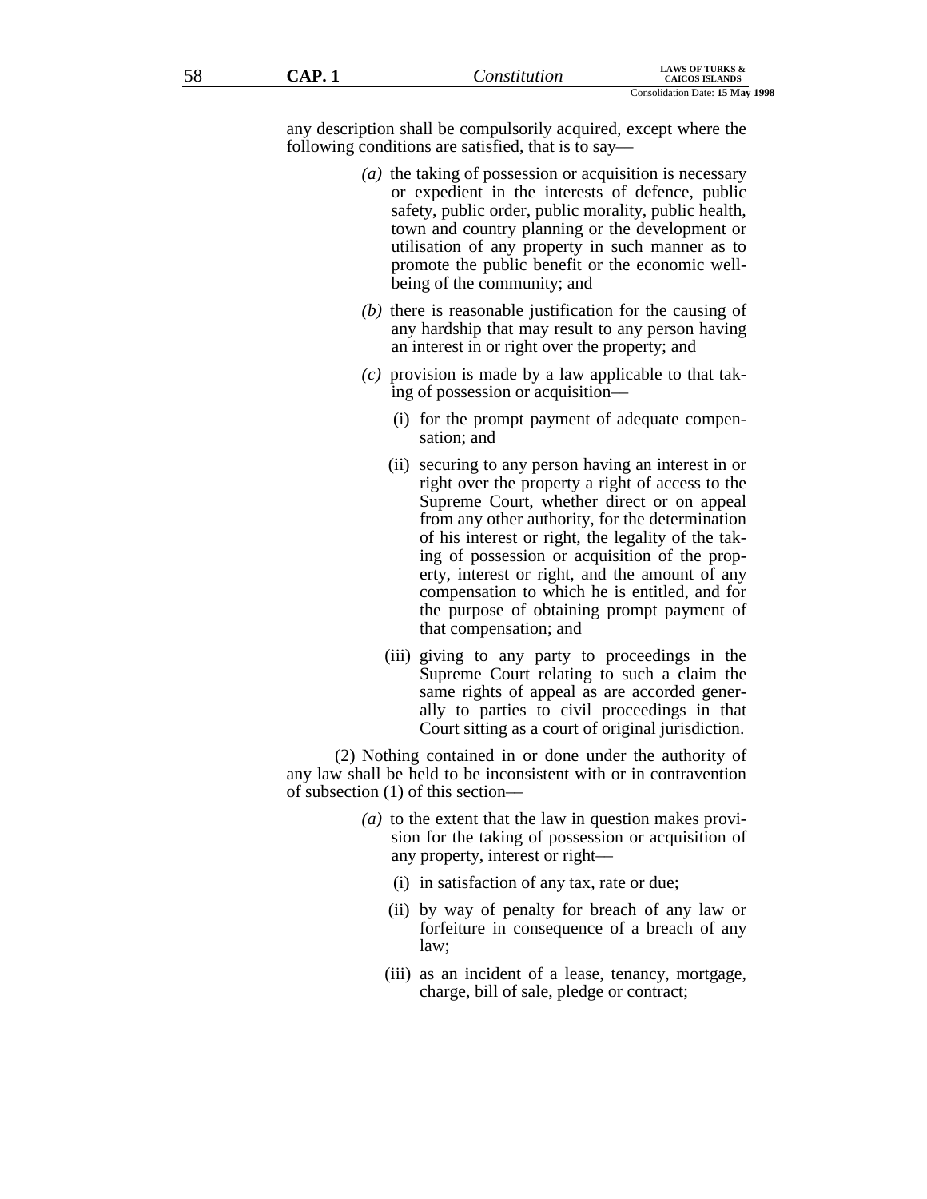| 58 | $A$ <b>P</b> | Constitution | <b>LAWS OF TURKS &amp;</b><br><b>CAICOS ISLANDS</b> |
|----|--------------|--------------|-----------------------------------------------------|
|    |              |              | Consolidation Date: 15 May 1998                     |

any description shall be compulsorily acquired, except where the following conditions are satisfied, that is to say––

- *(a)* the taking of possession or acquisition is necessary or expedient in the interests of defence, public safety, public order, public morality, public health, town and country planning or the development or utilisation of any property in such manner as to promote the public benefit or the economic wellbeing of the community; and
- *(b)* there is reasonable justification for the causing of any hardship that may result to any person having an interest in or right over the property; and
- *(c)* provision is made by a law applicable to that taking of possession or acquisition––
	- (i) for the prompt payment of adequate compensation; and
	- (ii) securing to any person having an interest in or right over the property a right of access to the Supreme Court, whether direct or on appeal from any other authority, for the determination of his interest or right, the legality of the taking of possession or acquisition of the property, interest or right, and the amount of any compensation to which he is entitled, and for the purpose of obtaining prompt payment of that compensation; and
	- (iii) giving to any party to proceedings in the Supreme Court relating to such a claim the same rights of appeal as are accorded generally to parties to civil proceedings in that Court sitting as a court of original jurisdiction.

 (2) Nothing contained in or done under the authority of any law shall be held to be inconsistent with or in contravention of subsection (1) of this section––

- *(a)* to the extent that the law in question makes provision for the taking of possession or acquisition of any property, interest or right––
	- (i) in satisfaction of any tax, rate or due;
	- (ii) by way of penalty for breach of any law or forfeiture in consequence of a breach of any law;
	- (iii) as an incident of a lease, tenancy, mortgage, charge, bill of sale, pledge or contract;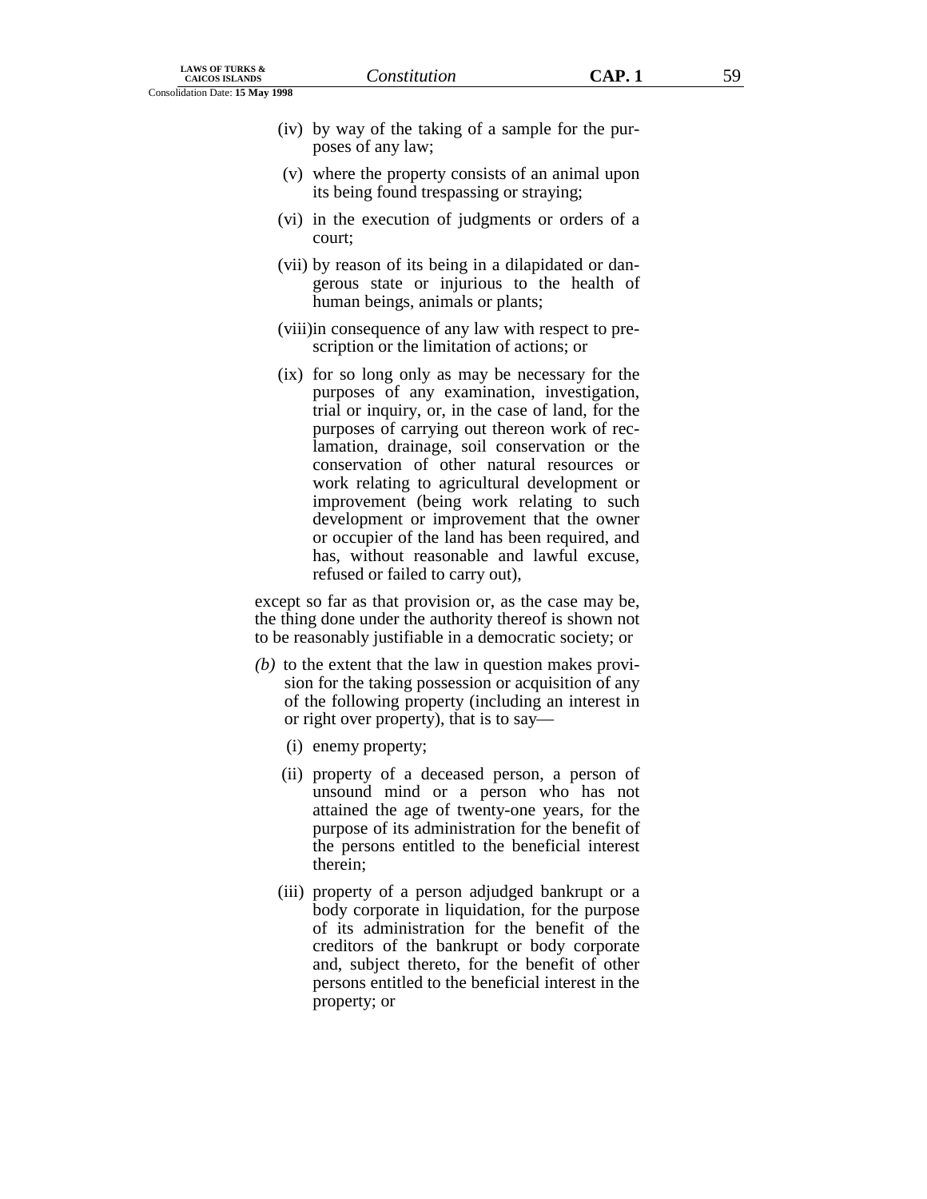- 
- (iv) by way of the taking of a sample for the purposes of any law;
- (v) where the property consists of an animal upon its being found trespassing or straying;
- (vi) in the execution of judgments or orders of a court;
- (vii) by reason of its being in a dilapidated or dangerous state or injurious to the health of human beings, animals or plants;
- (viii)in consequence of any law with respect to prescription or the limitation of actions; or
- (ix) for so long only as may be necessary for the purposes of any examination, investigation, trial or inquiry, or, in the case of land, for the purposes of carrying out thereon work of reclamation, drainage, soil conservation or the conservation of other natural resources or work relating to agricultural development or improvement (being work relating to such development or improvement that the owner or occupier of the land has been required, and has, without reasonable and lawful excuse, refused or failed to carry out),

except so far as that provision or, as the case may be, the thing done under the authority thereof is shown not to be reasonably justifiable in a democratic society; or

- *(b)* to the extent that the law in question makes provision for the taking possession or acquisition of any of the following property (including an interest in or right over property), that is to say—
	- (i) enemy property;
	- (ii) property of a deceased person, a person of unsound mind or a person who has not attained the age of twenty-one years, for the purpose of its administration for the benefit of the persons entitled to the beneficial interest therein;
	- (iii) property of a person adjudged bankrupt or a body corporate in liquidation, for the purpose of its administration for the benefit of the creditors of the bankrupt or body corporate and, subject thereto, for the benefit of other persons entitled to the beneficial interest in the property; or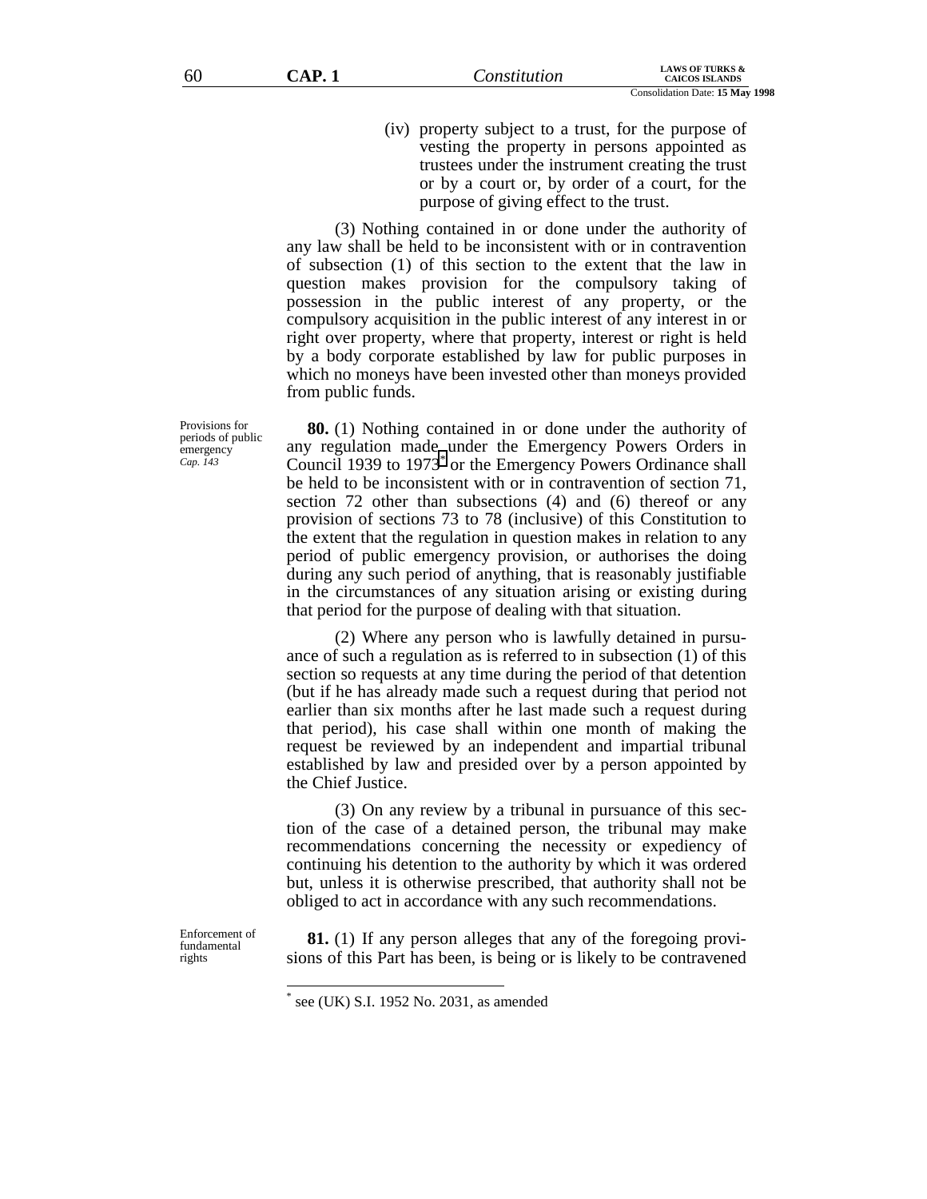(iv) property subject to a trust, for the purpose of vesting the property in persons appointed as trustees under the instrument creating the trust or by a court or, by order of a court, for the purpose of giving effect to the trust.

 (3) Nothing contained in or done under the authority of any law shall be held to be inconsistent with or in contravention of subsection (1) of this section to the extent that the law in question makes provision for the compulsory taking of possession in the public interest of any property, or the compulsory acquisition in the public interest of any interest in or right over property, where that property, interest or right is held by a body corporate established by law for public purposes in which no moneys have been invested other than moneys provided from public funds.

**80.** (1) Nothing contained in or done under the authority of any regulation made under the Emergency Powers Orders in Council 1939 to 1973<sup>\*</sup> or the Emergency Powers Ordinance shall be held to be inconsistent with or in contravention of section 71, section 72 other than subsections (4) and (6) thereof or any provision of sections 73 to 78 (inclusive) of this Constitution to the extent that the regulation in question makes in relation to any period of public emergency provision, or authorises the doing during any such period of anything, that is reasonably justifiable in the circumstances of any situation arising or existing during that period for the purpose of dealing with that situation.

 (2) Where any person who is lawfully detained in pursuance of such a regulation as is referred to in subsection (1) of this section so requests at any time during the period of that detention (but if he has already made such a request during that period not earlier than six months after he last made such a request during that period), his case shall within one month of making the request be reviewed by an independent and impartial tribunal established by law and presided over by a person appointed by the Chief Justice.

 (3) On any review by a tribunal in pursuance of this section of the case of a detained person, the tribunal may make recommendations concerning the necessity or expediency of continuing his detention to the authority by which it was ordered but, unless it is otherwise prescribed, that authority shall not be obliged to act in accordance with any such recommendations.

Enforcement of fundamental rights

1

**81.** (1) If any person alleges that any of the foregoing provisions of this Part has been, is being or is likely to be contravened

Provisions for periods of public emergency *Cap. 143*

<sup>\*</sup> see (UK) S.I. 1952 No. 2031, as amended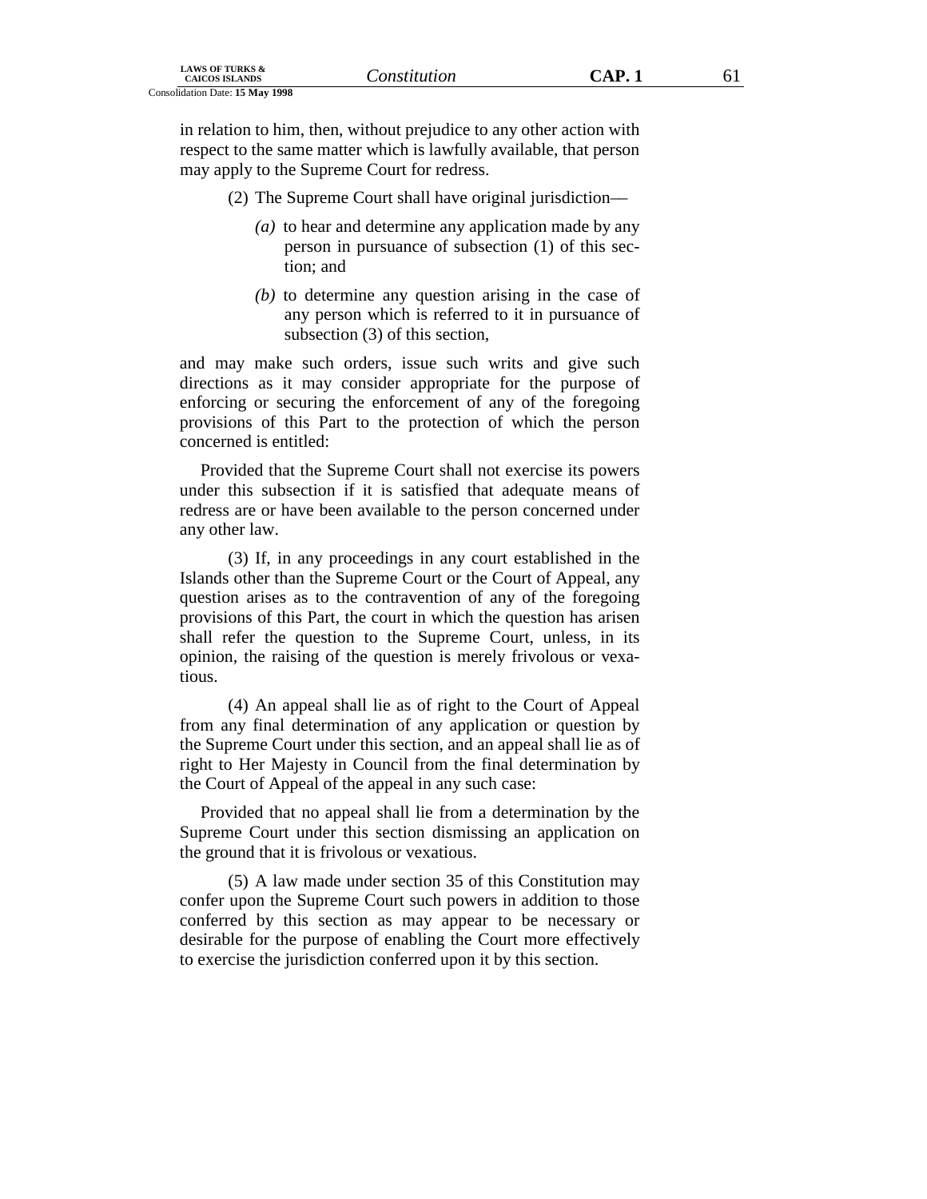| <b>LAWS OF TURKS &amp;</b><br><b>CAICOS ISLANDS</b> | constitution |  |
|-----------------------------------------------------|--------------|--|
| Consolidation Date: 15 May 1998                     |              |  |

in relation to him, then, without prejudice to any other action with respect to the same matter which is lawfully available, that person may apply to the Supreme Court for redress.

- (2) The Supreme Court shall have original jurisdiction––
	- *(a)* to hear and determine any application made by any person in pursuance of subsection (1) of this section; and
	- *(b)* to determine any question arising in the case of any person which is referred to it in pursuance of subsection (3) of this section,

and may make such orders, issue such writs and give such directions as it may consider appropriate for the purpose of enforcing or securing the enforcement of any of the foregoing provisions of this Part to the protection of which the person concerned is entitled:

Provided that the Supreme Court shall not exercise its powers under this subsection if it is satisfied that adequate means of redress are or have been available to the person concerned under any other law.

 (3) If, in any proceedings in any court established in the Islands other than the Supreme Court or the Court of Appeal, any question arises as to the contravention of any of the foregoing provisions of this Part, the court in which the question has arisen shall refer the question to the Supreme Court, unless, in its opinion, the raising of the question is merely frivolous or vexatious.

 (4) An appeal shall lie as of right to the Court of Appeal from any final determination of any application or question by the Supreme Court under this section, and an appeal shall lie as of right to Her Majesty in Council from the final determination by the Court of Appeal of the appeal in any such case:

Provided that no appeal shall lie from a determination by the Supreme Court under this section dismissing an application on the ground that it is frivolous or vexatious.

 (5) A law made under section 35 of this Constitution may confer upon the Supreme Court such powers in addition to those conferred by this section as may appear to be necessary or desirable for the purpose of enabling the Court more effectively to exercise the jurisdiction conferred upon it by this section.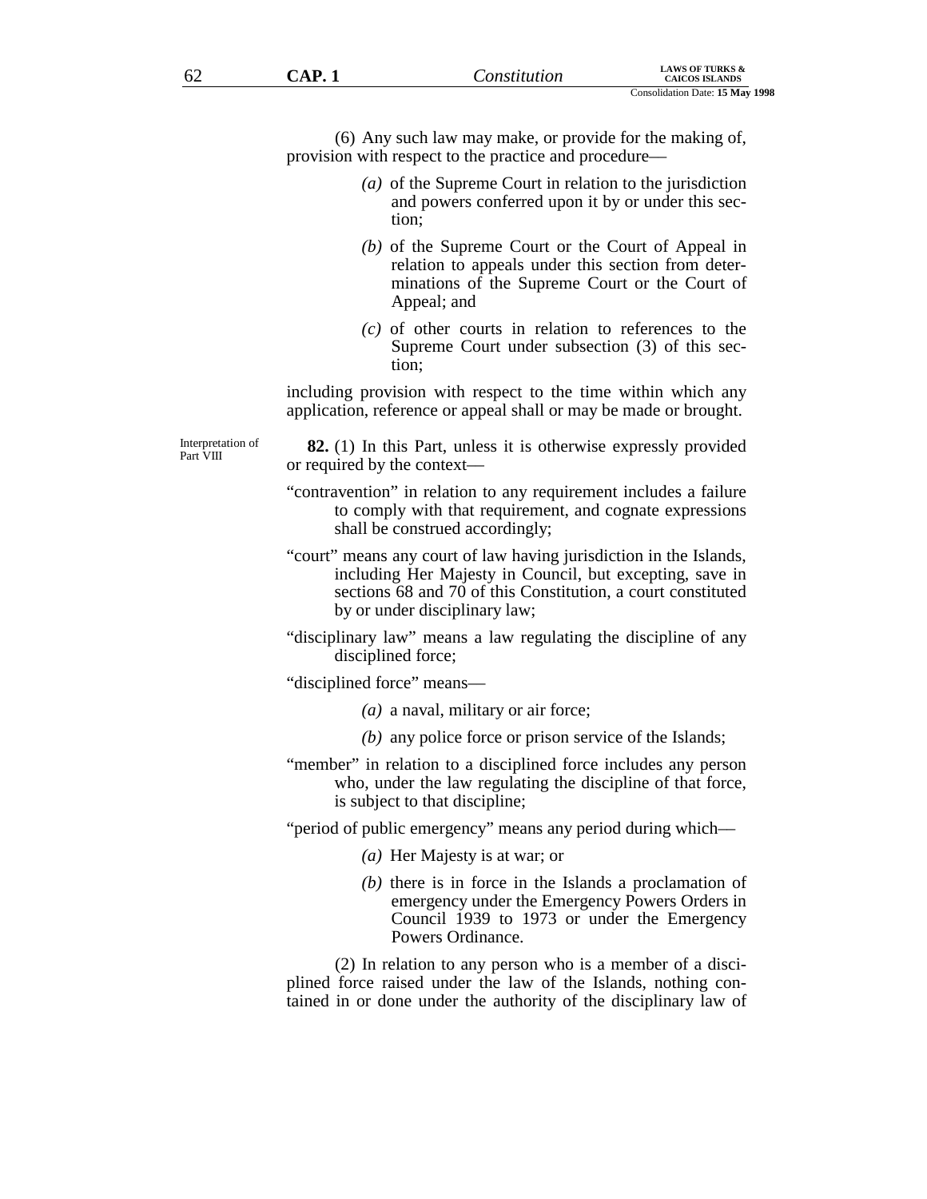| 62 | Constitution | <b>LAWS OF TURKS &amp;</b><br><b>CAICOS ISLANDS</b> |
|----|--------------|-----------------------------------------------------|
|    |              | Consolidation Date: 15 May 1998                     |

 (6) Any such law may make, or provide for the making of, provision with respect to the practice and procedure––

- *(a)* of the Supreme Court in relation to the jurisdiction and powers conferred upon it by or under this section;
- *(b)* of the Supreme Court or the Court of Appeal in relation to appeals under this section from determinations of the Supreme Court or the Court of Appeal; and
- *(c)* of other courts in relation to references to the Supreme Court under subsection (3) of this section;

including provision with respect to the time within which any application, reference or appeal shall or may be made or brought.

Interpretation of Part VIII

**82.** (1) In this Part, unless it is otherwise expressly provided or required by the context––

- "contravention" in relation to any requirement includes a failure to comply with that requirement, and cognate expressions shall be construed accordingly;
- "court" means any court of law having jurisdiction in the Islands, including Her Majesty in Council, but excepting, save in sections 68 and 70 of this Constitution, a court constituted by or under disciplinary law;
- "disciplinary law" means a law regulating the discipline of any disciplined force;
- "disciplined force" means––
	- *(a)* a naval, military or air force;
	- *(b)* any police force or prison service of the Islands;
- "member" in relation to a disciplined force includes any person who, under the law regulating the discipline of that force, is subject to that discipline;

"period of public emergency" means any period during which––

- *(a)* Her Majesty is at war; or
- *(b)* there is in force in the Islands a proclamation of emergency under the Emergency Powers Orders in Council 1939 to 1973 or under the Emergency Powers Ordinance.

 (2) In relation to any person who is a member of a disciplined force raised under the law of the Islands, nothing contained in or done under the authority of the disciplinary law of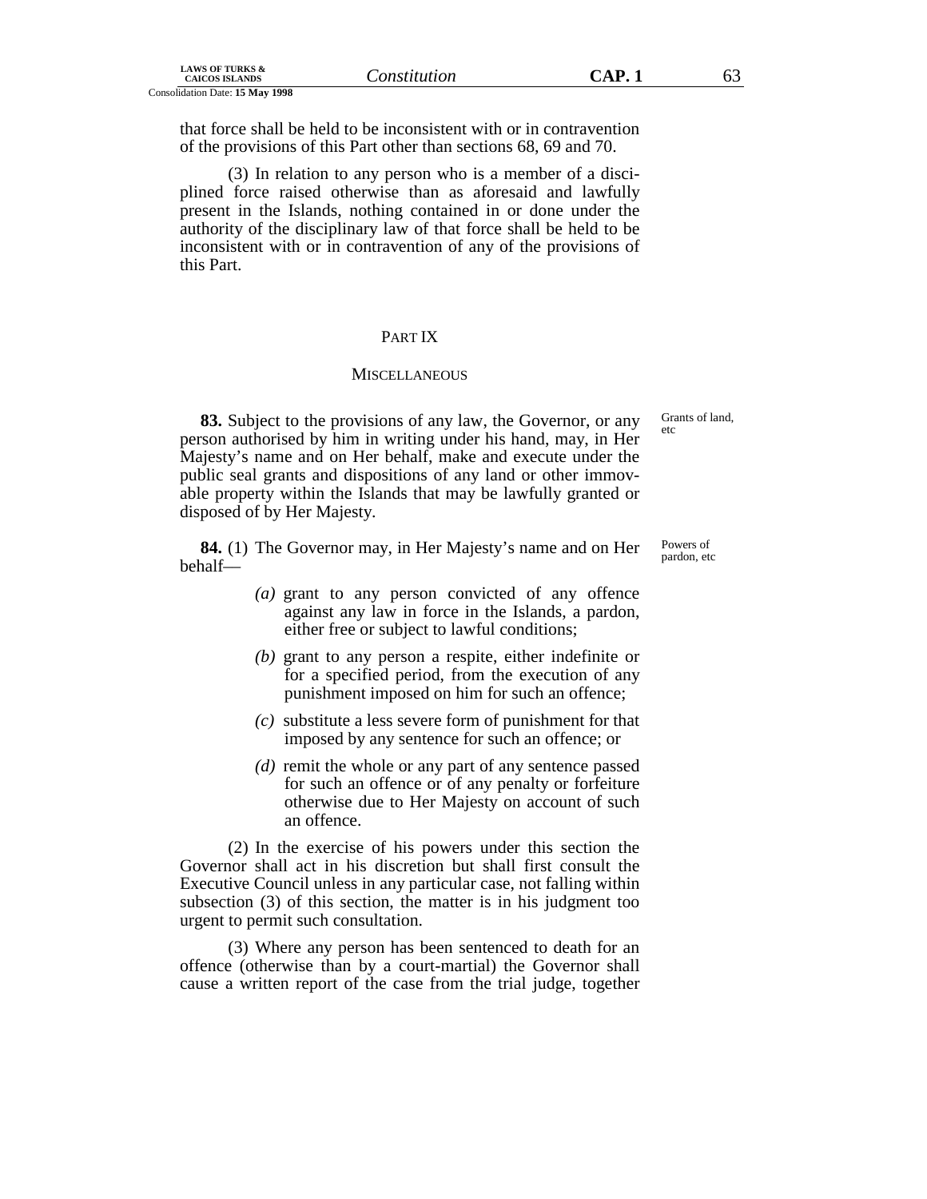| <b>LAWS OF TURKS &amp;</b><br><b>CAICOS ISLANDS</b> | Constitution | A. |  |
|-----------------------------------------------------|--------------|----|--|
| Consolidation Date: 15 May 1998                     |              |    |  |

that force shall be held to be inconsistent with or in contravention of the provisions of this Part other than sections 68, 69 and 70.

 (3) In relation to any person who is a member of a disciplined force raised otherwise than as aforesaid and lawfully present in the Islands, nothing contained in or done under the authority of the disciplinary law of that force shall be held to be inconsistent with or in contravention of any of the provisions of this Part.

## PART IX

### **MISCELLANEOUS**

Grants of land, etc

**83.** Subject to the provisions of any law, the Governor, or any person authorised by him in writing under his hand, may, in Her Majesty's name and on Her behalf, make and execute under the public seal grants and dispositions of any land or other immovable property within the Islands that may be lawfully granted or disposed of by Her Majesty.

**84.** (1) The Governor may, in Her Majesty's name and on Her behalf––

- *(a)* grant to any person convicted of any offence against any law in force in the Islands, a pardon, either free or subject to lawful conditions;
- *(b)* grant to any person a respite, either indefinite or for a specified period, from the execution of any punishment imposed on him for such an offence;
- *(c)* substitute a less severe form of punishment for that imposed by any sentence for such an offence; or
- *(d)* remit the whole or any part of any sentence passed for such an offence or of any penalty or forfeiture otherwise due to Her Majesty on account of such an offence.

 (2) In the exercise of his powers under this section the Governor shall act in his discretion but shall first consult the Executive Council unless in any particular case, not falling within subsection (3) of this section, the matter is in his judgment too urgent to permit such consultation.

 (3) Where any person has been sentenced to death for an offence (otherwise than by a court-martial) the Governor shall cause a written report of the case from the trial judge, together

Powers of pardon, etc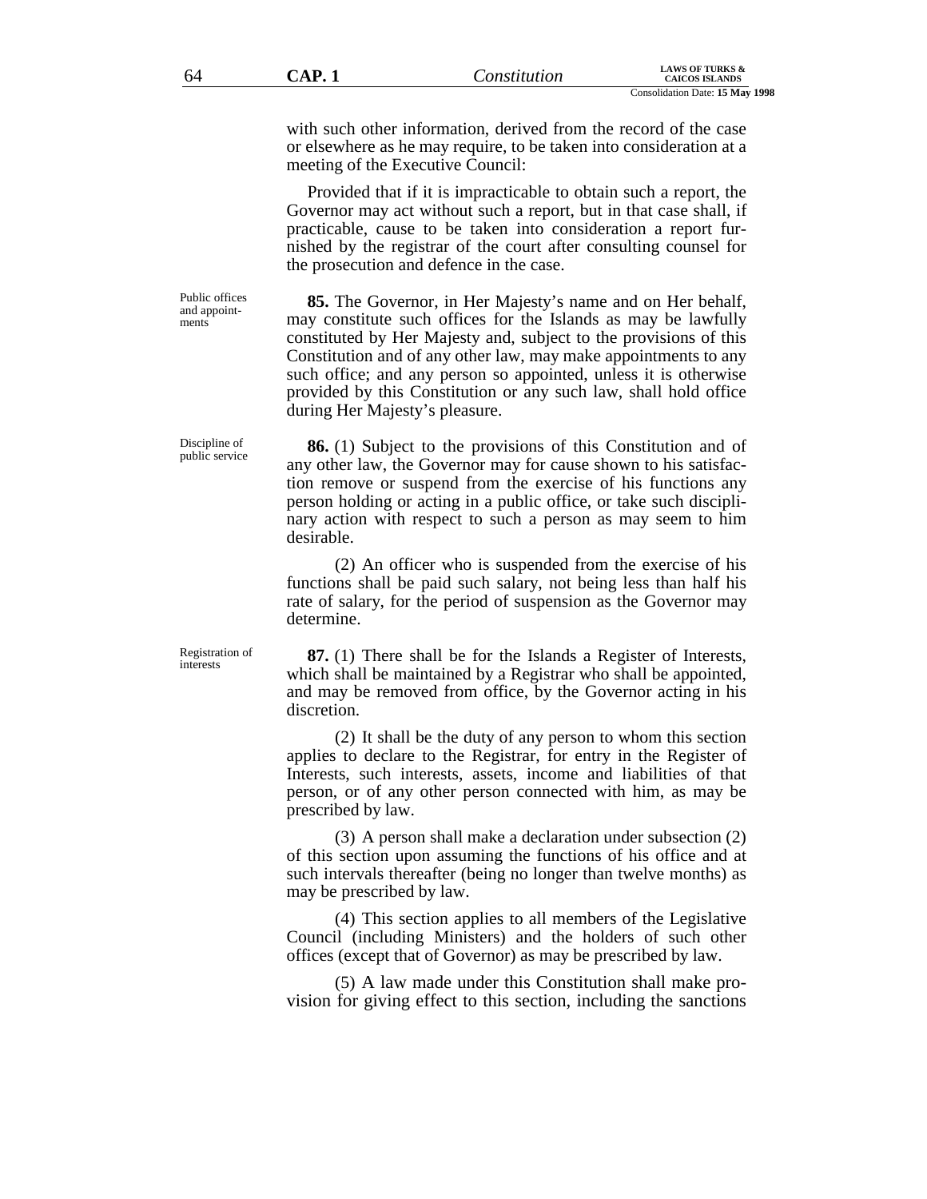with such other information, derived from the record of the case or elsewhere as he may require, to be taken into consideration at a meeting of the Executive Council:

Provided that if it is impracticable to obtain such a report, the Governor may act without such a report, but in that case shall, if practicable, cause to be taken into consideration a report furnished by the registrar of the court after consulting counsel for the prosecution and defence in the case.

**85.** The Governor, in Her Majesty's name and on Her behalf, may constitute such offices for the Islands as may be lawfully constituted by Her Majesty and, subject to the provisions of this Constitution and of any other law, may make appointments to any such office; and any person so appointed, unless it is otherwise provided by this Constitution or any such law, shall hold office during Her Majesty's pleasure.

**86.** (1) Subject to the provisions of this Constitution and of any other law, the Governor may for cause shown to his satisfaction remove or suspend from the exercise of his functions any person holding or acting in a public office, or take such disciplinary action with respect to such a person as may seem to him desirable.

 (2) An officer who is suspended from the exercise of his functions shall be paid such salary, not being less than half his rate of salary, for the period of suspension as the Governor may determine.

**87.** (1) There shall be for the Islands a Register of Interests, which shall be maintained by a Registrar who shall be appointed, and may be removed from office, by the Governor acting in his discretion.

 (2) It shall be the duty of any person to whom this section applies to declare to the Registrar, for entry in the Register of Interests, such interests, assets, income and liabilities of that person, or of any other person connected with him, as may be prescribed by law.

 (3) A person shall make a declaration under subsection (2) of this section upon assuming the functions of his office and at such intervals thereafter (being no longer than twelve months) as may be prescribed by law.

 (4) This section applies to all members of the Legislative Council (including Ministers) and the holders of such other offices (except that of Governor) as may be prescribed by law.

 (5) A law made under this Constitution shall make provision for giving effect to this section, including the sanctions

Public offices and appointments

Discipline of public service

Registration of interests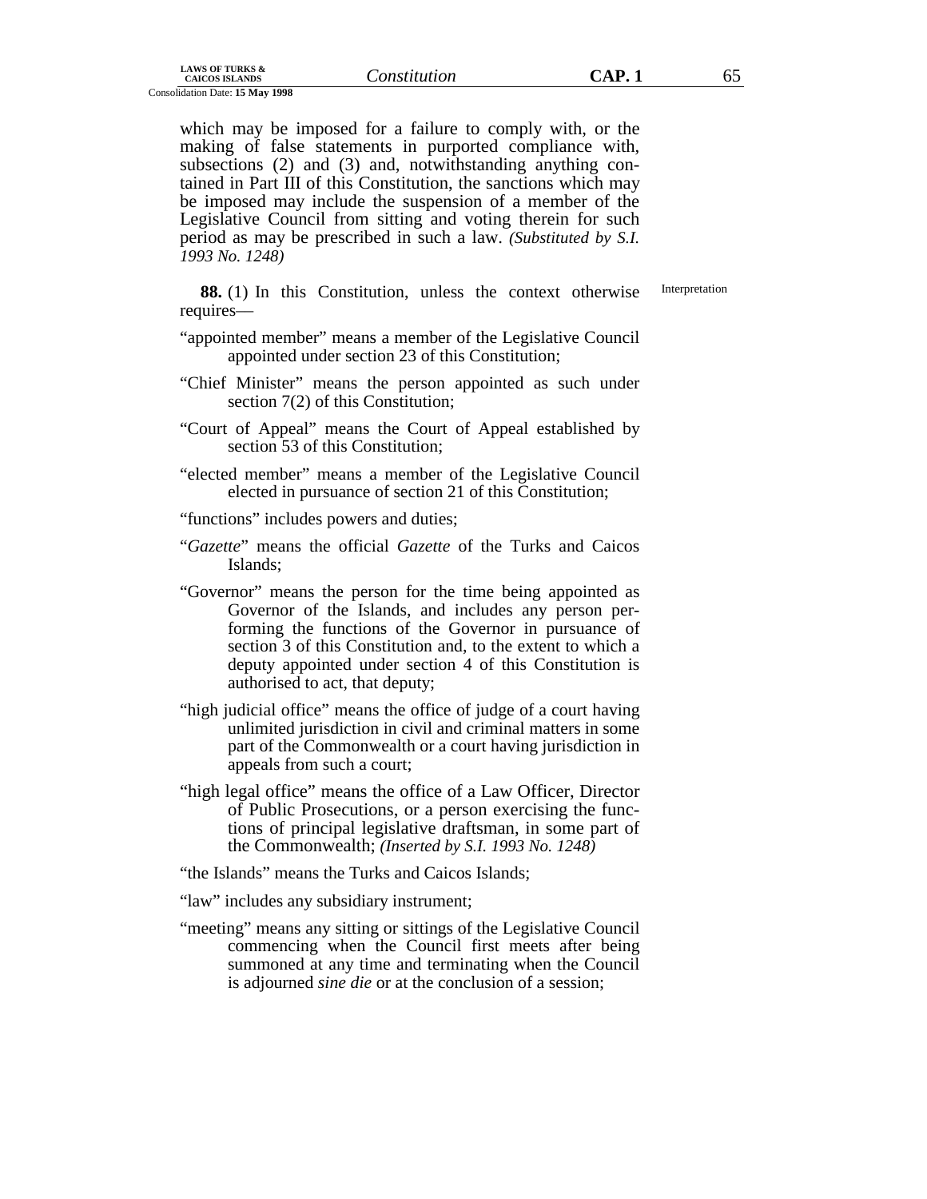| <b>LAWS OF TURKS &amp;</b><br><b>CAICOS ISLANDS</b> | Constitution | Al |  |
|-----------------------------------------------------|--------------|----|--|
| Consolidation Date: 15 May 1998                     |              |    |  |

which may be imposed for a failure to comply with, or the making of false statements in purported compliance with, subsections (2) and (3) and, notwithstanding anything contained in Part III of this Constitution, the sanctions which may be imposed may include the suspension of a member of the Legislative Council from sitting and voting therein for such period as may be prescribed in such a law. *(Substituted by S.I. 1993 No. 1248)*

**88.** (1) In this Constitution, unless the context otherwise requires––

Interpretation

- "appointed member" means a member of the Legislative Council appointed under section 23 of this Constitution;
- "Chief Minister" means the person appointed as such under section 7(2) of this Constitution;
- "Court of Appeal" means the Court of Appeal established by section 53 of this Constitution;
- "elected member" means a member of the Legislative Council elected in pursuance of section 21 of this Constitution;
- "functions" includes powers and duties;
- "*Gazette*" means the official *Gazette* of the Turks and Caicos Islands;
- "Governor" means the person for the time being appointed as Governor of the Islands, and includes any person performing the functions of the Governor in pursuance of section 3 of this Constitution and, to the extent to which a deputy appointed under section 4 of this Constitution is authorised to act, that deputy;
- "high judicial office" means the office of judge of a court having unlimited jurisdiction in civil and criminal matters in some part of the Commonwealth or a court having jurisdiction in appeals from such a court;
- "high legal office" means the office of a Law Officer, Director of Public Prosecutions, or a person exercising the functions of principal legislative draftsman, in some part of the Commonwealth; *(Inserted by S.I. 1993 No. 1248)*

"the Islands" means the Turks and Caicos Islands;

- "law" includes any subsidiary instrument;
- "meeting" means any sitting or sittings of the Legislative Council commencing when the Council first meets after being summoned at any time and terminating when the Council is adjourned *sine die* or at the conclusion of a session;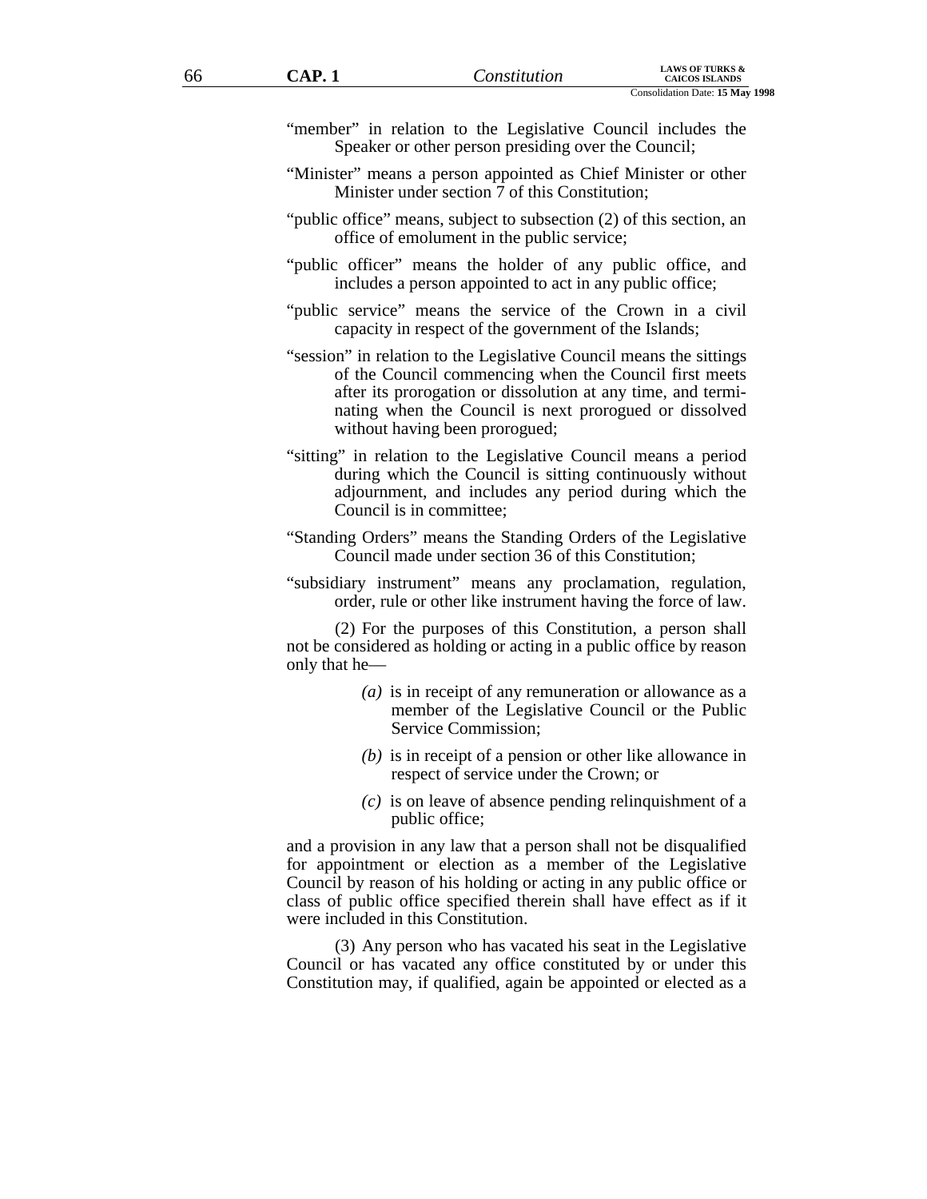"member" in relation to the Legislative Council includes the Speaker or other person presiding over the Council;

- "Minister" means a person appointed as Chief Minister or other Minister under section  $\overline{7}$  of this Constitution;
- "public office" means, subject to subsection (2) of this section, an office of emolument in the public service;
- "public officer" means the holder of any public office, and includes a person appointed to act in any public office;
- "public service" means the service of the Crown in a civil capacity in respect of the government of the Islands;
- "session" in relation to the Legislative Council means the sittings of the Council commencing when the Council first meets after its prorogation or dissolution at any time, and terminating when the Council is next prorogued or dissolved without having been prorogued;
- "sitting" in relation to the Legislative Council means a period during which the Council is sitting continuously without adjournment, and includes any period during which the Council is in committee;
- "Standing Orders" means the Standing Orders of the Legislative Council made under section 36 of this Constitution;
- "subsidiary instrument" means any proclamation, regulation, order, rule or other like instrument having the force of law.

 (2) For the purposes of this Constitution, a person shall not be considered as holding or acting in a public office by reason only that he––

- *(a)* is in receipt of any remuneration or allowance as a member of the Legislative Council or the Public Service Commission;
- *(b)* is in receipt of a pension or other like allowance in respect of service under the Crown; or
- *(c)* is on leave of absence pending relinquishment of a public office;

and a provision in any law that a person shall not be disqualified for appointment or election as a member of the Legislative Council by reason of his holding or acting in any public office or class of public office specified therein shall have effect as if it were included in this Constitution.

 (3) Any person who has vacated his seat in the Legislative Council or has vacated any office constituted by or under this Constitution may, if qualified, again be appointed or elected as a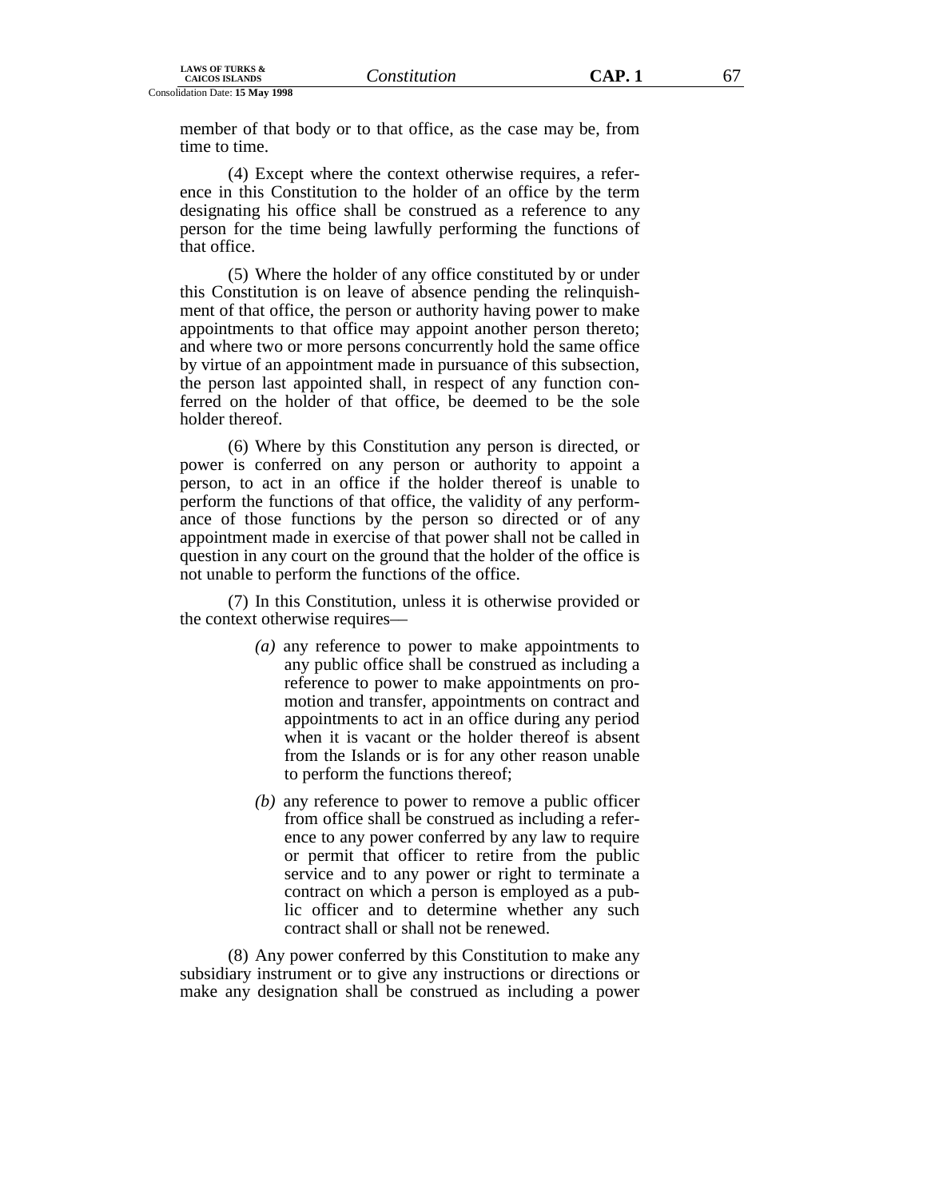member of that body or to that office, as the case may be, from time to time.

 (4) Except where the context otherwise requires, a reference in this Constitution to the holder of an office by the term designating his office shall be construed as a reference to any person for the time being lawfully performing the functions of that office.

 (5) Where the holder of any office constituted by or under this Constitution is on leave of absence pending the relinquishment of that office, the person or authority having power to make appointments to that office may appoint another person thereto; and where two or more persons concurrently hold the same office by virtue of an appointment made in pursuance of this subsection, the person last appointed shall, in respect of any function conferred on the holder of that office, be deemed to be the sole holder thereof.

 (6) Where by this Constitution any person is directed, or power is conferred on any person or authority to appoint a person, to act in an office if the holder thereof is unable to perform the functions of that office, the validity of any performance of those functions by the person so directed or of any appointment made in exercise of that power shall not be called in question in any court on the ground that the holder of the office is not unable to perform the functions of the office.

 (7) In this Constitution, unless it is otherwise provided or the context otherwise requires––

- *(a)* any reference to power to make appointments to any public office shall be construed as including a reference to power to make appointments on promotion and transfer, appointments on contract and appointments to act in an office during any period when it is vacant or the holder thereof is absent from the Islands or is for any other reason unable to perform the functions thereof;
- *(b)* any reference to power to remove a public officer from office shall be construed as including a reference to any power conferred by any law to require or permit that officer to retire from the public service and to any power or right to terminate a contract on which a person is employed as a public officer and to determine whether any such contract shall or shall not be renewed.

 (8) Any power conferred by this Constitution to make any subsidiary instrument or to give any instructions or directions or make any designation shall be construed as including a power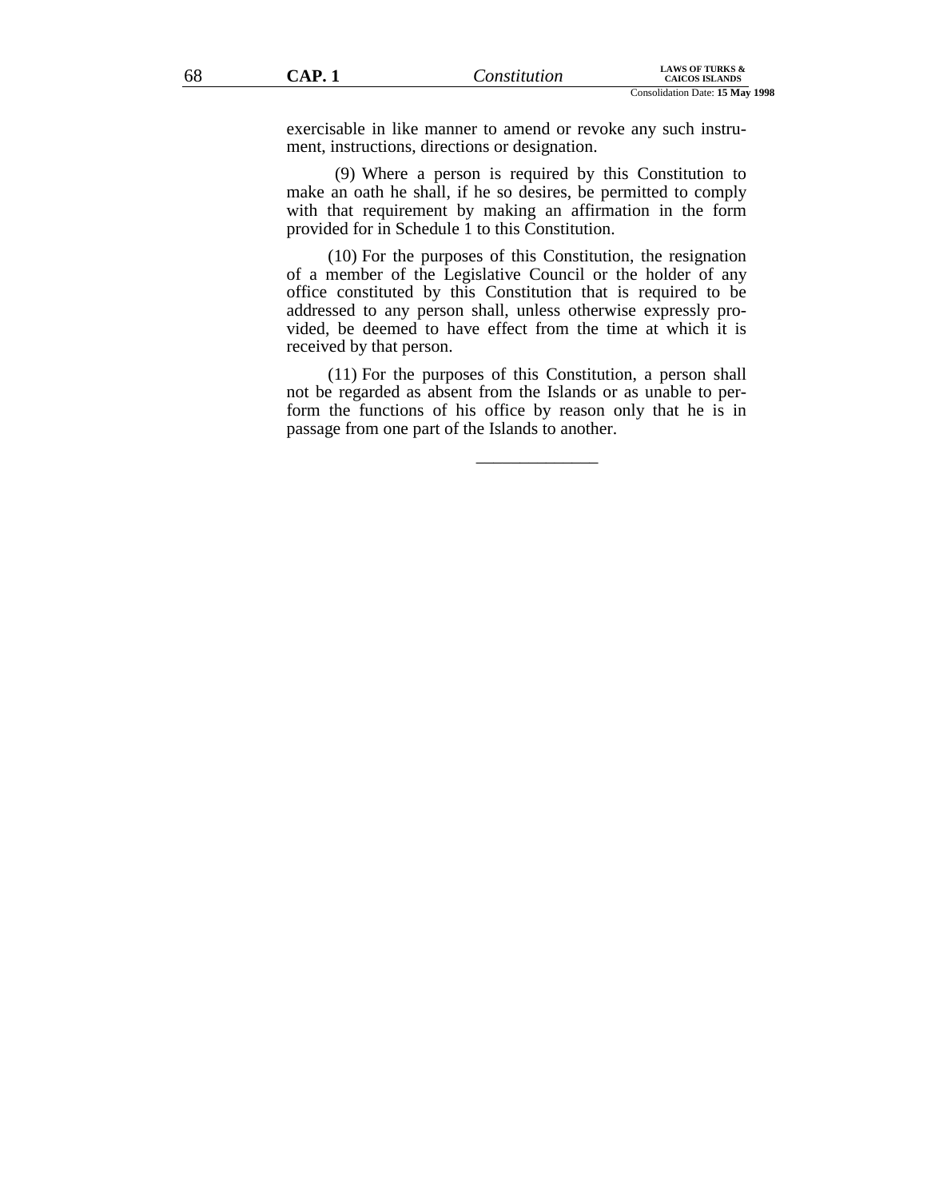exercisable in like manner to amend or revoke any such instrument, instructions, directions or designation.

 (9) Where a person is required by this Constitution to make an oath he shall, if he so desires, be permitted to comply with that requirement by making an affirmation in the form provided for in Schedule 1 to this Constitution.

(10) For the purposes of this Constitution, the resignation of a member of the Legislative Council or the holder of any office constituted by this Constitution that is required to be addressed to any person shall, unless otherwise expressly provided, be deemed to have effect from the time at which it is received by that person.

(11) For the purposes of this Constitution, a person shall not be regarded as absent from the Islands or as unable to perform the functions of his office by reason only that he is in passage from one part of the Islands to another.

\_\_\_\_\_\_\_\_\_\_\_\_\_\_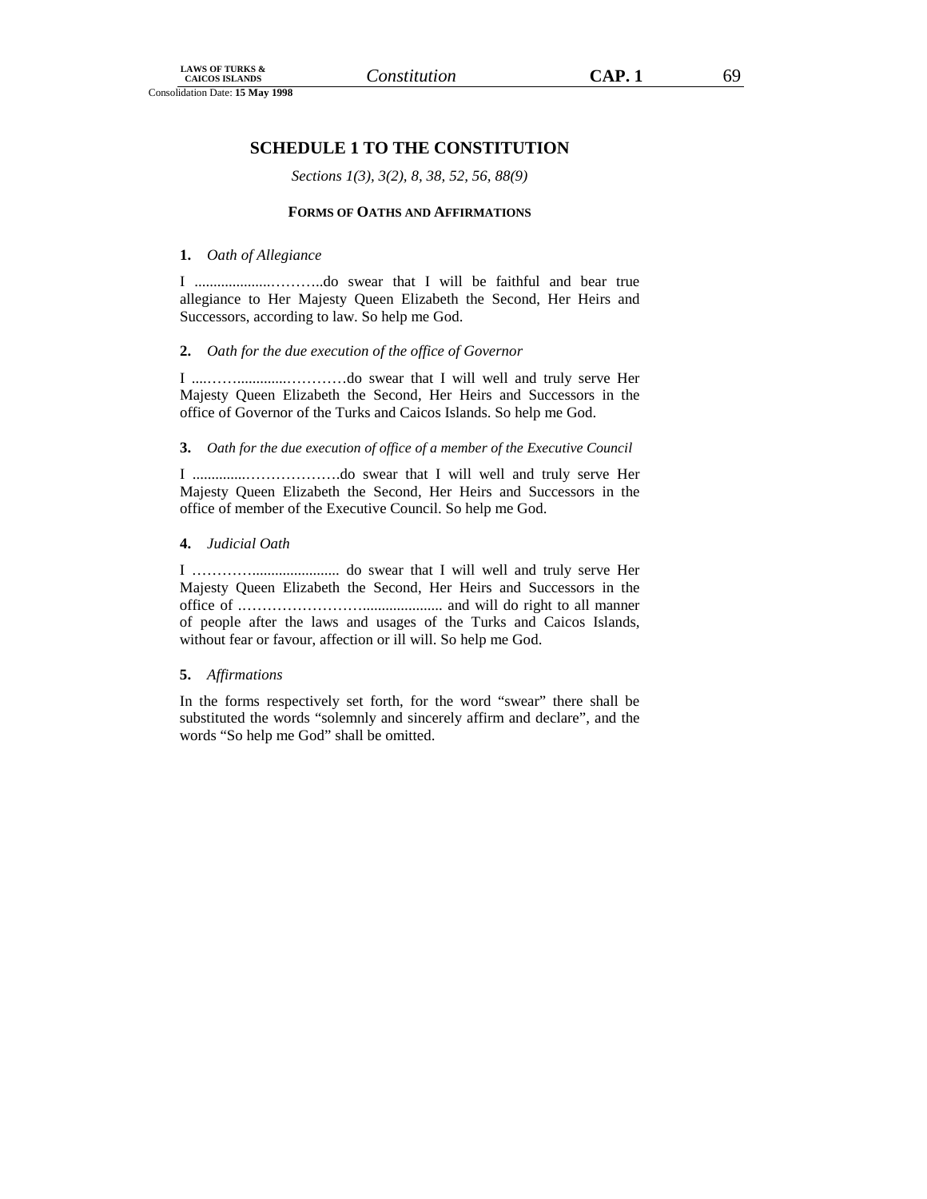# **SCHEDULE 1 TO THE CONSTITUTION**

*Sections 1(3), 3(2), 8, 38, 52, 56, 88(9)* 

### **FORMS OF OATHS AND AFFIRMATIONS**

### **1.** *Oath of Allegiance*

I ....................………..do swear that I will be faithful and bear true allegiance to Her Majesty Queen Elizabeth the Second, Her Heirs and Successors, according to law. So help me God.

### **2.** *Oath for the due execution of the office of Governor*

I ....…….............…………do swear that I will well and truly serve Her Majesty Queen Elizabeth the Second, Her Heirs and Successors in the office of Governor of the Turks and Caicos Islands. So help me God.

### **3.** *Oath for the due execution of office of a member of the Executive Council*

I ..............……………….do swear that I will well and truly serve Her Majesty Queen Elizabeth the Second, Her Heirs and Successors in the office of member of the Executive Council. So help me God.

### **4.** *Judicial Oath*

I …………....................... do swear that I will well and truly serve Her Majesty Queen Elizabeth the Second, Her Heirs and Successors in the office of .……………………..................... and will do right to all manner of people after the laws and usages of the Turks and Caicos Islands, without fear or favour, affection or ill will. So help me God.

### **5.** *Affirmations*

In the forms respectively set forth, for the word "swear" there shall be substituted the words "solemnly and sincerely affirm and declare", and the words "So help me God" shall be omitted.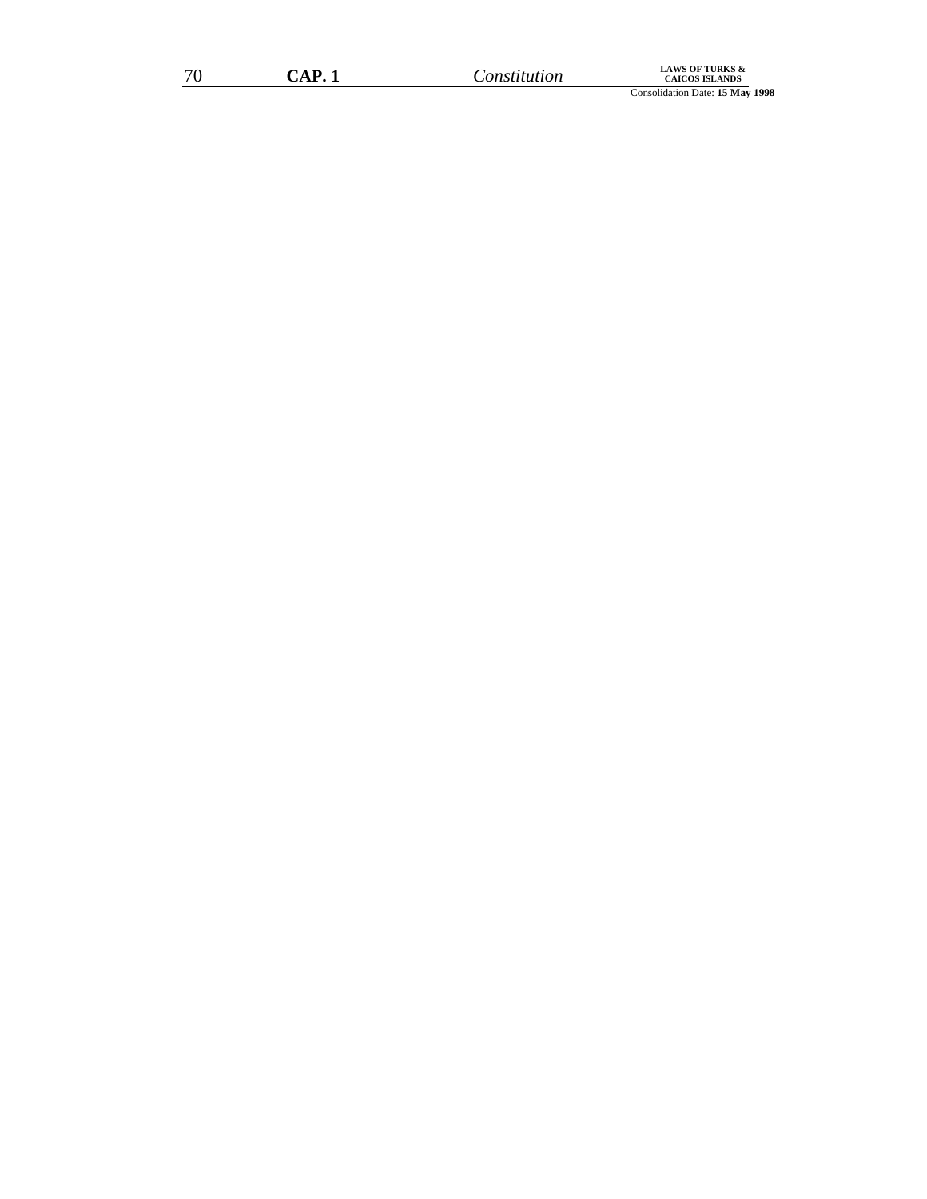| 70 | $\mathbb{C}AP$ | Constitution | <b>LAWS OF TURKS &amp;</b><br><b>CAICOS ISLANDS</b> |
|----|----------------|--------------|-----------------------------------------------------|
|    |                |              | Consolidation Date: 15 May 1998                     |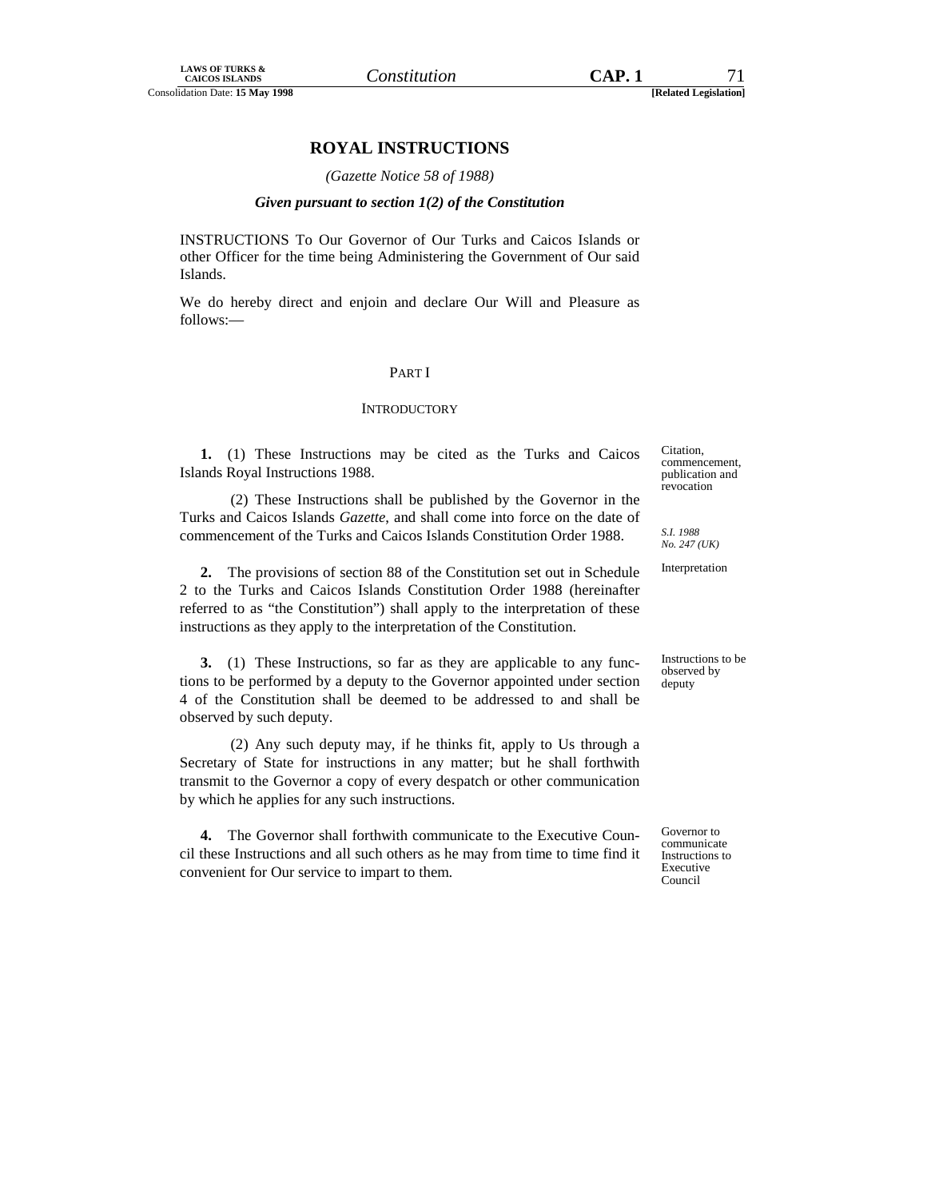## **ROYAL INSTRUCTIONS**

#### *(Gazette Notice 58 of 1988)*

#### *Given pursuant to section 1(2) of the Constitution*

INSTRUCTIONS To Our Governor of Our Turks and Caicos Islands or other Officer for the time being Administering the Government of Our said Islands.

We do hereby direct and enjoin and declare Our Will and Pleasure as follows:—

### PART I

#### **INTRODUCTORY**

**1.** (1) These Instructions may be cited as the Turks and Caicos Islands Royal Instructions 1988.

 (2) These Instructions shall be published by the Governor in the Turks and Caicos Islands *Gazette*, and shall come into force on the date of commencement of the Turks and Caicos Islands Constitution Order 1988.

**2.** The provisions of section 88 of the Constitution set out in Schedule 2 to the Turks and Caicos Islands Constitution Order 1988 (hereinafter referred to as "the Constitution") shall apply to the interpretation of these instructions as they apply to the interpretation of the Constitution.

**3.** (1) These Instructions, so far as they are applicable to any functions to be performed by a deputy to the Governor appointed under section 4 of the Constitution shall be deemed to be addressed to and shall be observed by such deputy.

 (2) Any such deputy may, if he thinks fit, apply to Us through a Secretary of State for instructions in any matter; but he shall forthwith transmit to the Governor a copy of every despatch or other communication by which he applies for any such instructions.

**4.** The Governor shall forthwith communicate to the Executive Council these Instructions and all such others as he may from time to time find it convenient for Our service to impart to them.

Citation, commencement, publication and revocation

*S.I. 1988 No. 247 (UK)* 

Interpretation

Instructions to be observed by deputy

Governor to communicate Instructions to Executive Council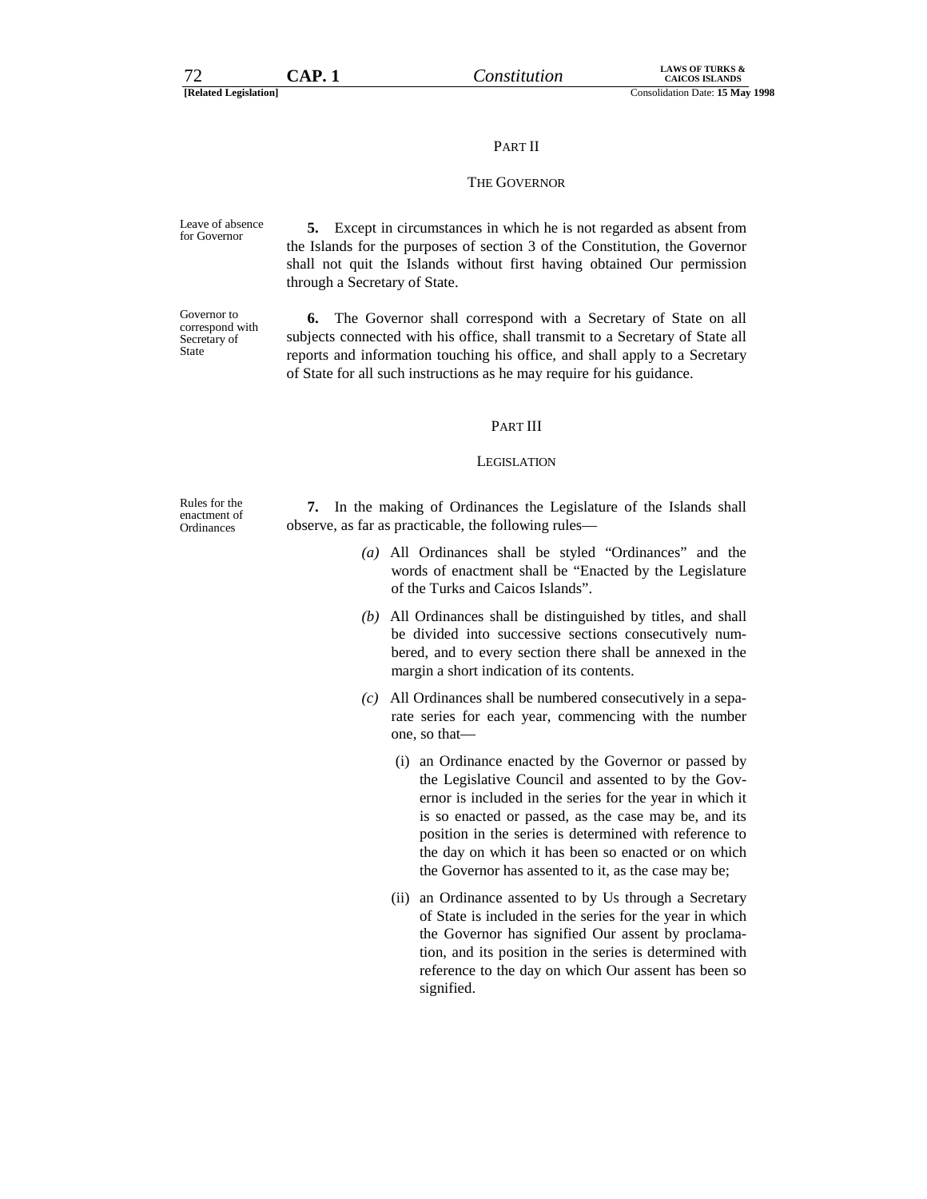### PART II

#### THE GOVERNOR

Leave of absence for Governor

Governor to correspond with Secretary of State

**5.** Except in circumstances in which he is not regarded as absent from the Islands for the purposes of section 3 of the Constitution, the Governor shall not quit the Islands without first having obtained Our permission through a Secretary of State.

**6.** The Governor shall correspond with a Secretary of State on all subjects connected with his office, shall transmit to a Secretary of State all reports and information touching his office, and shall apply to a Secretary of State for all such instructions as he may require for his guidance.

#### PART III

#### LEGISLATION

Rules for the enactment of **Ordinances** 

**7.** In the making of Ordinances the Legislature of the Islands shall observe, as far as practicable, the following rules—

- *(a)* All Ordinances shall be styled "Ordinances" and the words of enactment shall be "Enacted by the Legislature of the Turks and Caicos Islands".
- *(b)* All Ordinances shall be distinguished by titles, and shall be divided into successive sections consecutively numbered, and to every section there shall be annexed in the margin a short indication of its contents.
- *(c)* All Ordinances shall be numbered consecutively in a separate series for each year, commencing with the number one, so that––
	- (i) an Ordinance enacted by the Governor or passed by the Legislative Council and assented to by the Governor is included in the series for the year in which it is so enacted or passed, as the case may be, and its position in the series is determined with reference to the day on which it has been so enacted or on which the Governor has assented to it, as the case may be;
	- (ii) an Ordinance assented to by Us through a Secretary of State is included in the series for the year in which the Governor has signified Our assent by proclamation, and its position in the series is determined with reference to the day on which Our assent has been so signified.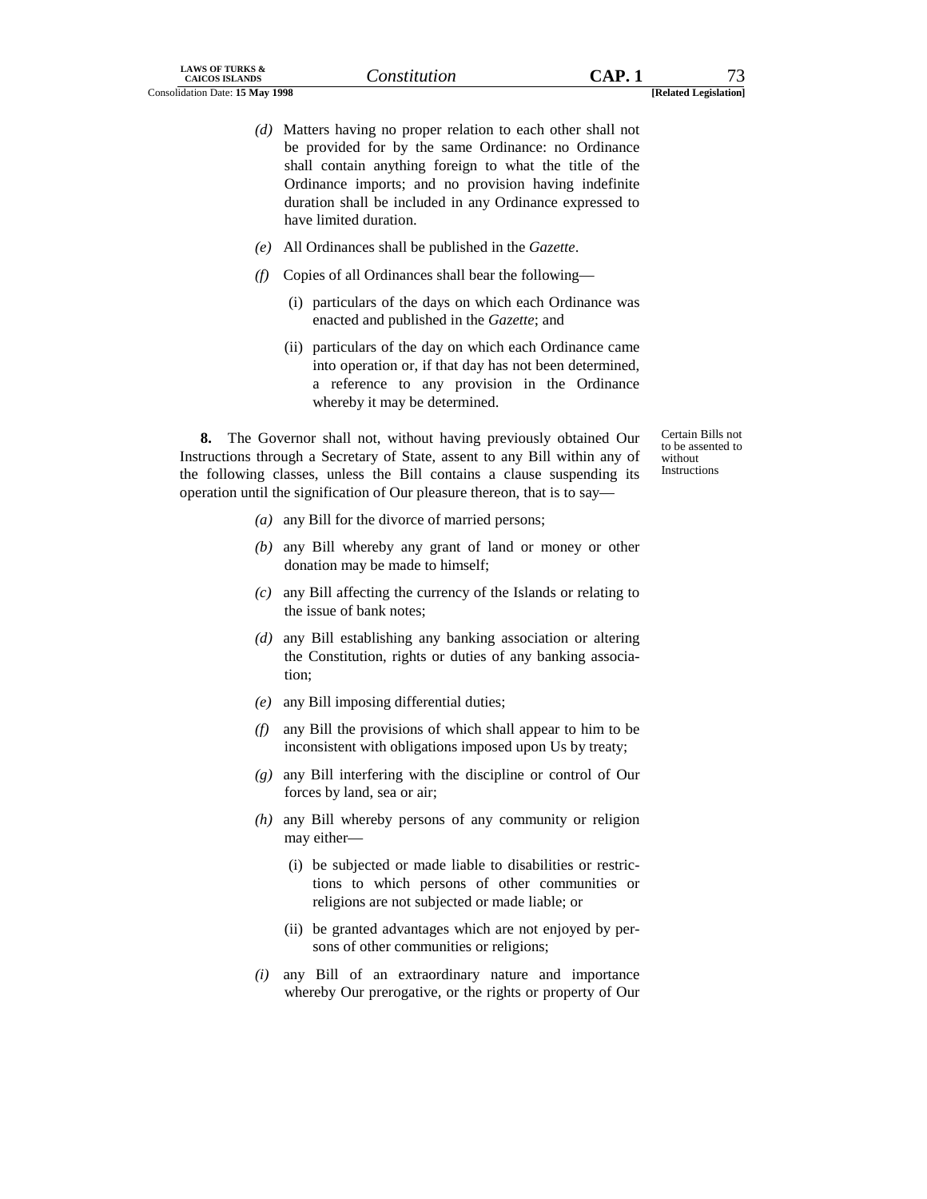- *(d)* Matters having no proper relation to each other shall not be provided for by the same Ordinance: no Ordinance shall contain anything foreign to what the title of the Ordinance imports; and no provision having indefinite duration shall be included in any Ordinance expressed to have limited duration.
- *(e)* All Ordinances shall be published in the *Gazette*.
- *(f)* Copies of all Ordinances shall bear the following—
	- (i) particulars of the days on which each Ordinance was enacted and published in the *Gazette*; and
	- (ii) particulars of the day on which each Ordinance came into operation or, if that day has not been determined, a reference to any provision in the Ordinance whereby it may be determined.

**8.** The Governor shall not, without having previously obtained Our Instructions through a Secretary of State, assent to any Bill within any of the following classes, unless the Bill contains a clause suspending its operation until the signification of Our pleasure thereon, that is to sayCertain Bills not to be assented to without Instructions

- *(a)* any Bill for the divorce of married persons;
- *(b)* any Bill whereby any grant of land or money or other donation may be made to himself;
- *(c)* any Bill affecting the currency of the Islands or relating to the issue of bank notes;
- *(d)* any Bill establishing any banking association or altering the Constitution, rights or duties of any banking association;
- *(e)* any Bill imposing differential duties;
- *(f)* any Bill the provisions of which shall appear to him to be inconsistent with obligations imposed upon Us by treaty;
- *(g)* any Bill interfering with the discipline or control of Our forces by land, sea or air;
- *(h)* any Bill whereby persons of any community or religion may either—
	- (i) be subjected or made liable to disabilities or restrictions to which persons of other communities or religions are not subjected or made liable; or
	- (ii) be granted advantages which are not enjoyed by persons of other communities or religions;
- *(i)* any Bill of an extraordinary nature and importance whereby Our prerogative, or the rights or property of Our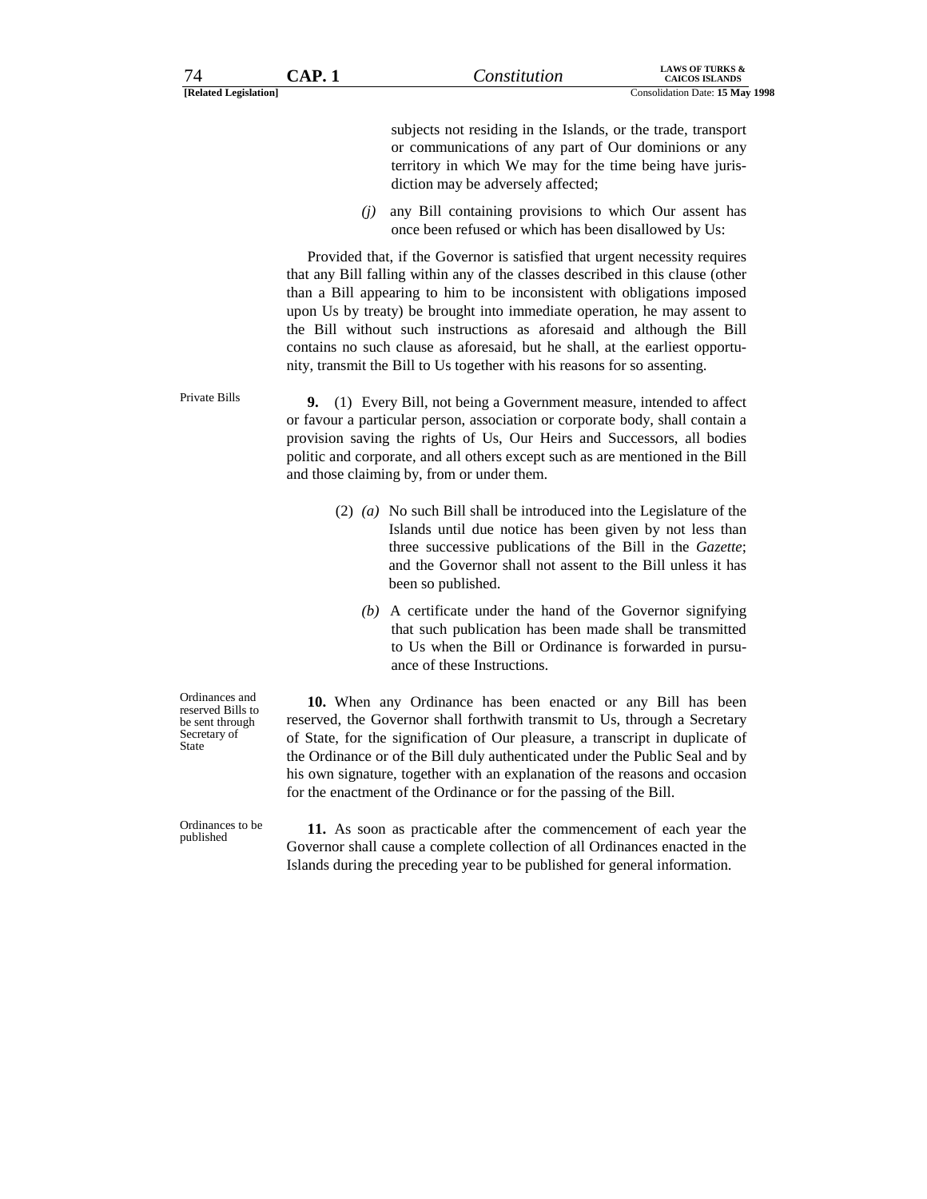subjects not residing in the Islands, or the trade, transport or communications of any part of Our dominions or any territory in which We may for the time being have jurisdiction may be adversely affected;

*(j)* any Bill containing provisions to which Our assent has once been refused or which has been disallowed by Us:

Provided that, if the Governor is satisfied that urgent necessity requires that any Bill falling within any of the classes described in this clause (other than a Bill appearing to him to be inconsistent with obligations imposed upon Us by treaty) be brought into immediate operation, he may assent to the Bill without such instructions as aforesaid and although the Bill contains no such clause as aforesaid, but he shall, at the earliest opportunity, transmit the Bill to Us together with his reasons for so assenting.

Private Bills

**9.** (1) Every Bill, not being a Government measure, intended to affect or favour a particular person, association or corporate body, shall contain a provision saving the rights of Us, Our Heirs and Successors, all bodies politic and corporate, and all others except such as are mentioned in the Bill and those claiming by, from or under them.

- (2) *(a)* No such Bill shall be introduced into the Legislature of the Islands until due notice has been given by not less than three successive publications of the Bill in the *Gazette*; and the Governor shall not assent to the Bill unless it has been so published.
	- *(b)* A certificate under the hand of the Governor signifying that such publication has been made shall be transmitted to Us when the Bill or Ordinance is forwarded in pursuance of these Instructions.

**10.** When any Ordinance has been enacted or any Bill has been reserved, the Governor shall forthwith transmit to Us, through a Secretary of State, for the signification of Our pleasure, a transcript in duplicate of the Ordinance or of the Bill duly authenticated under the Public Seal and by his own signature, together with an explanation of the reasons and occasion for the enactment of the Ordinance or for the passing of the Bill.

Ordinances to be published

**11.** As soon as practicable after the commencement of each year the Governor shall cause a complete collection of all Ordinances enacted in the Islands during the preceding year to be published for general information.

Ordinances and reserved Bills to be sent through Secretary of State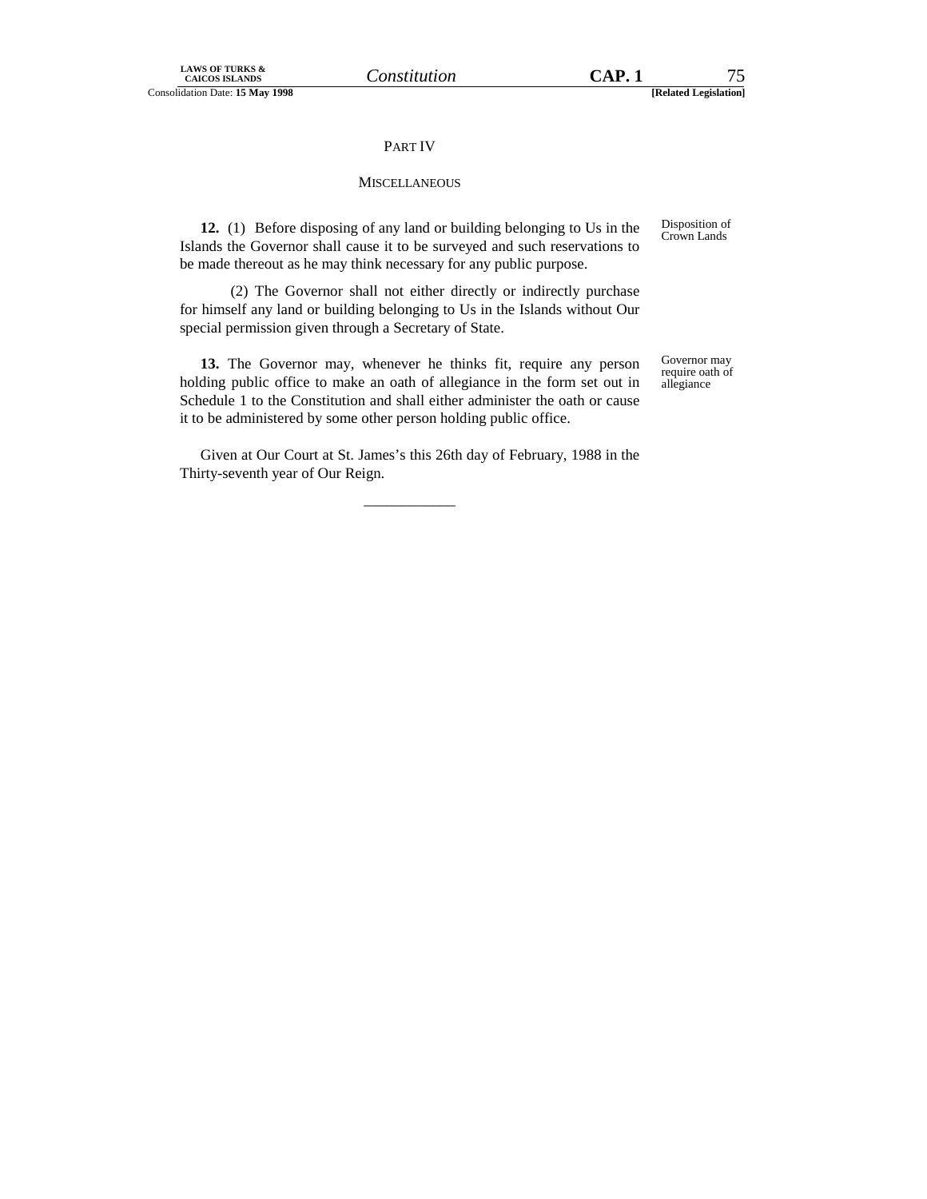**Consolidation Date: 15 May 1998** 

## PART IV

### MISCELLANEOUS

**12.** (1) Before disposing of any land or building belonging to Us in the Islands the Governor shall cause it to be surveyed and such reservations to be made thereout as he may think necessary for any public purpose.

 (2) The Governor shall not either directly or indirectly purchase for himself any land or building belonging to Us in the Islands without Our special permission given through a Secretary of State.

**13.** The Governor may, whenever he thinks fit, require any person holding public office to make an oath of allegiance in the form set out in Schedule 1 to the Constitution and shall either administer the oath or cause it to be administered by some other person holding public office.

Given at Our Court at St. James's this 26th day of February, 1988 in the Thirty-seventh year of Our Reign.

\_\_\_\_\_\_\_\_\_\_\_\_

Disposition of Crown Lands

Governor may require oath of allegiance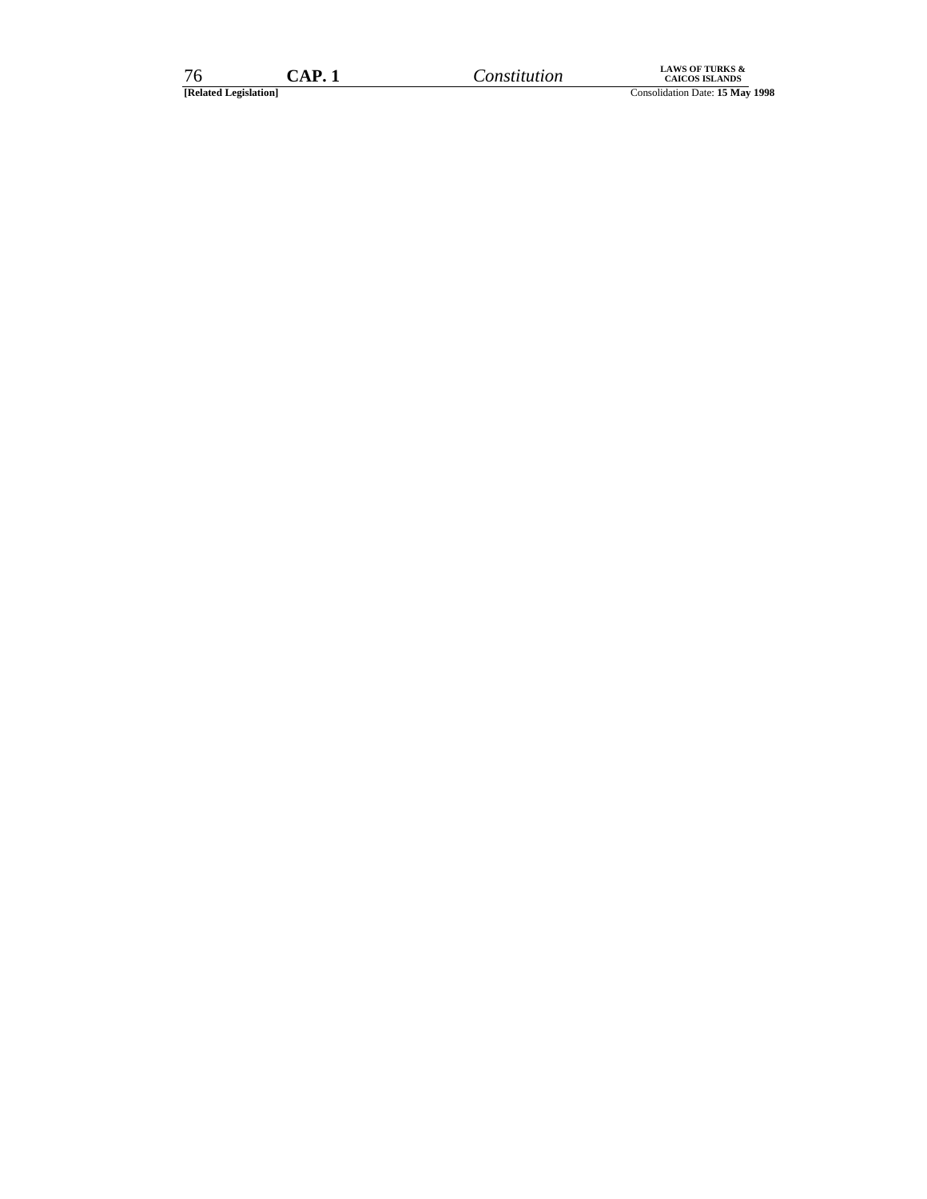| 76                    | CAP. | Constitution | <b>LAWS OF TURKS &amp;</b><br>CAICOS ISLANDS |
|-----------------------|------|--------------|----------------------------------------------|
| [Related Legislation] |      |              | Consolidation Date: 15 May 1998              |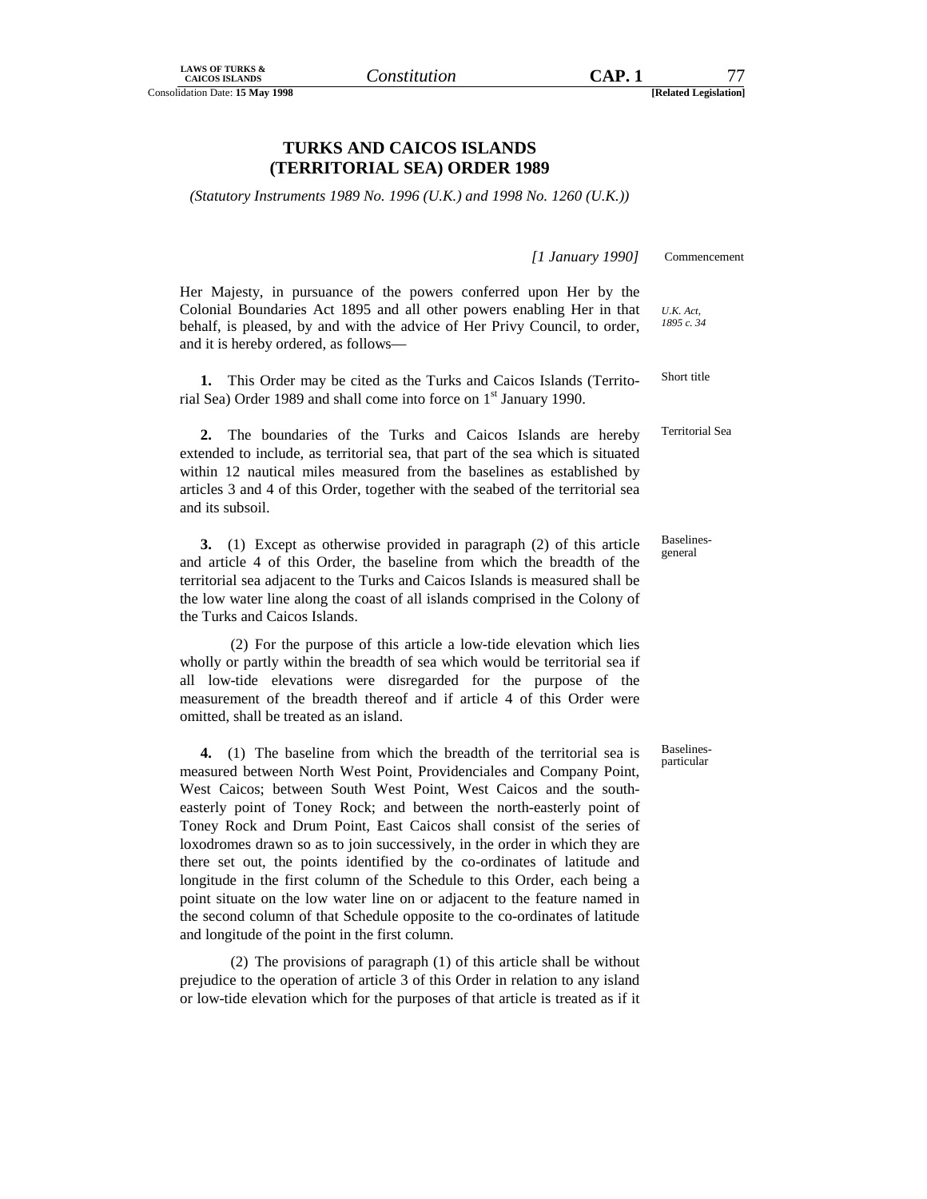<span id="page-76-0"></span>**Consolidation Date: 15 May 1998 LAWS OF TURKS & CAICOS ISLANDS** 

## **TURKS AND CAICOS ISLANDS (TERRITORIAL SEA) ORDER 1989**

*(Statutory Instruments 1989 No. 1996 (U.K.) and 1998 No. 1260 (U.K.))* 

*[1 January 1990]*  Her Majesty, in pursuance of the powers conferred upon Her by the Colonial Boundaries Act 1895 and all other powers enabling Her in that behalf, is pleased, by and with the advice of Her Privy Council, to order, and it is hereby ordered, as follows— **1.** This Order may be cited as the Turks and Caicos Islands (Territorial Sea) Order 1989 and shall come into force on  $1<sup>st</sup>$  January 1990. **2.** The boundaries of the Turks and Caicos Islands are hereby extended to include, as territorial sea, that part of the sea which is situated within 12 nautical miles measured from the baselines as established by articles 3 and 4 of this Order, together with the seabed of the territorial sea and its subsoil.

**3.** (1) Except as otherwise provided in paragraph (2) of this article and article 4 of this Order, the baseline from which the breadth of the territorial sea adjacent to the Turks and Caicos Islands is measured shall be the low water line along the coast of all islands comprised in the Colony of the Turks and Caicos Islands.

 (2) For the purpose of this article a low-tide elevation which lies wholly or partly within the breadth of sea which would be territorial sea if all low-tide elevations were disregarded for the purpose of the measurement of the breadth thereof and if article 4 of this Order were omitted, shall be treated as an island.

**4.** (1) The baseline from which the breadth of the territorial sea is measured between North West Point, Providenciales and Company Point, West Caicos; between South West Point, West Caicos and the southeasterly point of Toney Rock; and between the north-easterly point of Toney Rock and Drum Point, East Caicos shall consist of the series of loxodromes drawn so as to join successively, in the order in which they are there set out, the points identified by the co-ordinates of latitude and longitude in the first column of the Schedule to this Order, each being a point situate on the low water line on or adjacent to the feature named in the second column of that Schedule opposite to the co-ordinates of latitude and longitude of the point in the first column.

 (2) The provisions of paragraph (1) of this article shall be without prejudice to the operation of article 3 of this Order in relation to any island or low-tide elevation which for the purposes of that article is treated as if it

**Commencement** 

*U.K. Act, 1895 c. 34* 

Short title

Territorial Sea

Baselinesgeneral

Baselinesparticular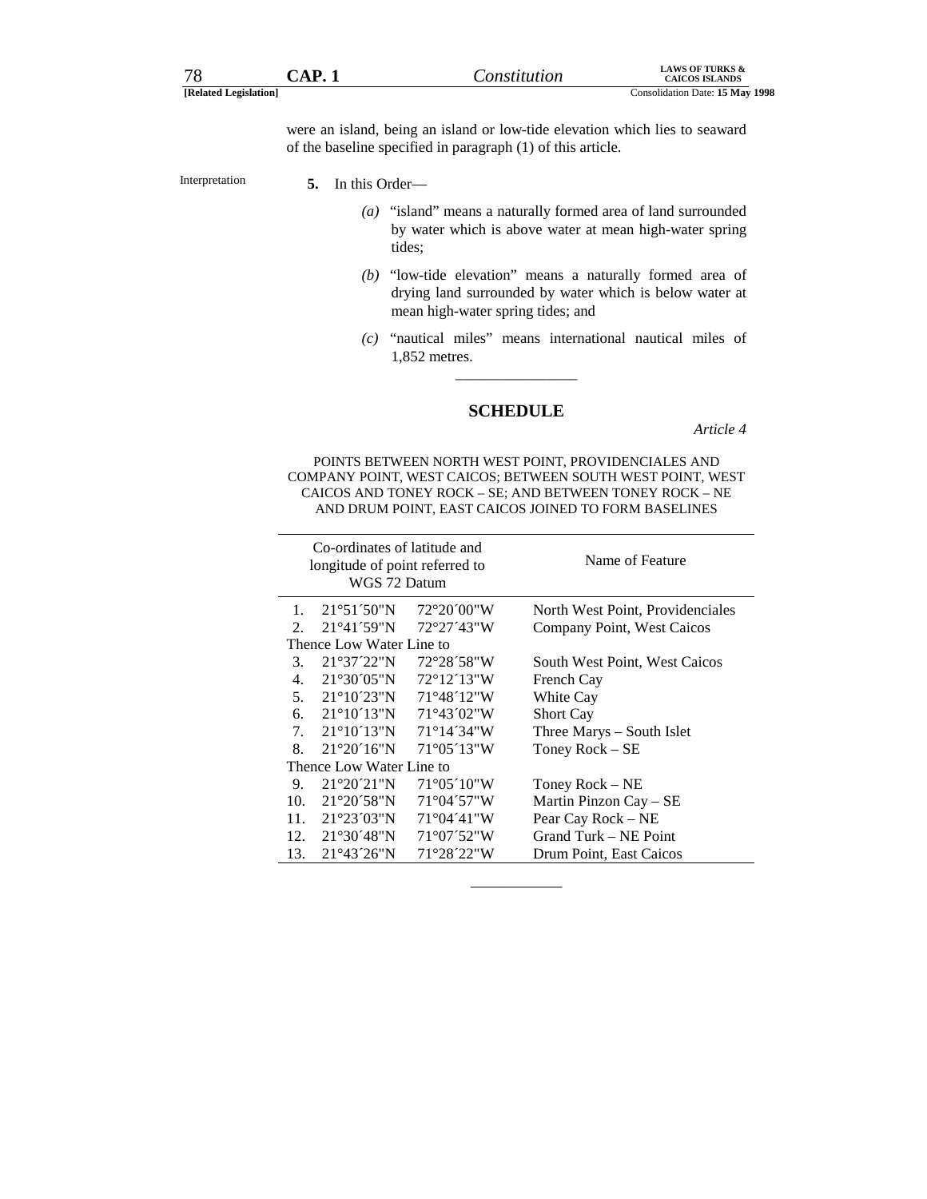| 78                    | $\mathbb{C}AP.$ | Constitution | <b>LAWS OF TURKS &amp;</b><br><b>CAICOS ISLANDS</b> |
|-----------------------|-----------------|--------------|-----------------------------------------------------|
| [Related Legislation] |                 |              | Consolidation Date: 15 May 1998                     |

were an island, being an island or low-tide elevation which lies to seaward of the baseline specified in paragraph (1) of this article.

Interpretation

**5.** In this Order—

- *(a)* "island" means a naturally formed area of land surrounded by water which is above water at mean high-water spring tides;
- *(b)* "low-tide elevation" means a naturally formed area of drying land surrounded by water which is below water at mean high-water spring tides; and
- *(c)* "nautical miles" means international nautical miles of 1,852 metres.

# **SCHEDULE**

\_\_\_\_\_\_\_\_\_\_\_\_\_\_\_\_

*Article 4* 

POINTS BETWEEN NORTH WEST POINT, PROVIDENCIALES AND COMPANY POINT, WEST CAICOS; BETWEEN SOUTH WEST POINT, WEST CAICOS AND TONEY ROCK – SE; AND BETWEEN TONEY ROCK – NE AND DRUM POINT, EAST CAICOS JOINED TO FORM BASELINES

| Co-ordinates of latitude and<br>longitude of point referred to<br>WGS 72 Datum |                                           |                      | Name of Feature                  |
|--------------------------------------------------------------------------------|-------------------------------------------|----------------------|----------------------------------|
| $1_{-}$                                                                        | $21^{\circ}51'50''$ N                     | 72°20′00″W           | North West Point, Providenciales |
| 2.                                                                             | $21^{\circ}41'59''N$                      | $72^{\circ}27'43''W$ | Company Point, West Caicos       |
| Thence Low Water Line to                                                       |                                           |                      |                                  |
| 3.                                                                             | 21°37'22"N                                | 72°28′58″W           | South West Point, West Caicos    |
|                                                                                | 4. $21^{\circ}30'05''N$                   | $72^{\circ}12'13''W$ | <b>French Cay</b>                |
|                                                                                | 5. $21^{\circ}10'23''N$                   | 71°48'12"W           | White Cay                        |
|                                                                                | 6. $21^{\circ}10'13''N$                   | $71^{\circ}43'02''W$ | <b>Short Cay</b>                 |
|                                                                                | 7. $21^{\circ}10'13''N$                   | $71^{\circ}14'34''W$ | Three Marys – South Islet        |
| 8.                                                                             | $21^{\circ}20'16''N$                      | $71^{\circ}05'13''W$ | Toney Rock - SE                  |
| Thence Low Water Line to                                                       |                                           |                      |                                  |
| 9.                                                                             | $21^{\circ}20^{\prime}21^{\prime\prime}N$ | $71^{\circ}05'10''W$ | Toney Rock – NE                  |
|                                                                                | $10. \quad 21^{\circ}20'58''N$            | $71^{\circ}04'57''W$ | Martin Pinzon Cay – SE           |
|                                                                                | $11. \quad 21^{\circ}23'03''N$            | $71^{\circ}04'41''W$ | Pear Cay Rock – NE               |
|                                                                                | $12. \quad 21^{\circ}30'48''N$            | $71^{\circ}07'52''W$ | Grand Turk – NE Point            |
| 13.                                                                            | $21^{\circ}43^{\prime}26^{\prime\prime}N$ | 71°28′22″W           | Drum Point, East Caicos          |

\_\_\_\_\_\_\_\_\_\_\_\_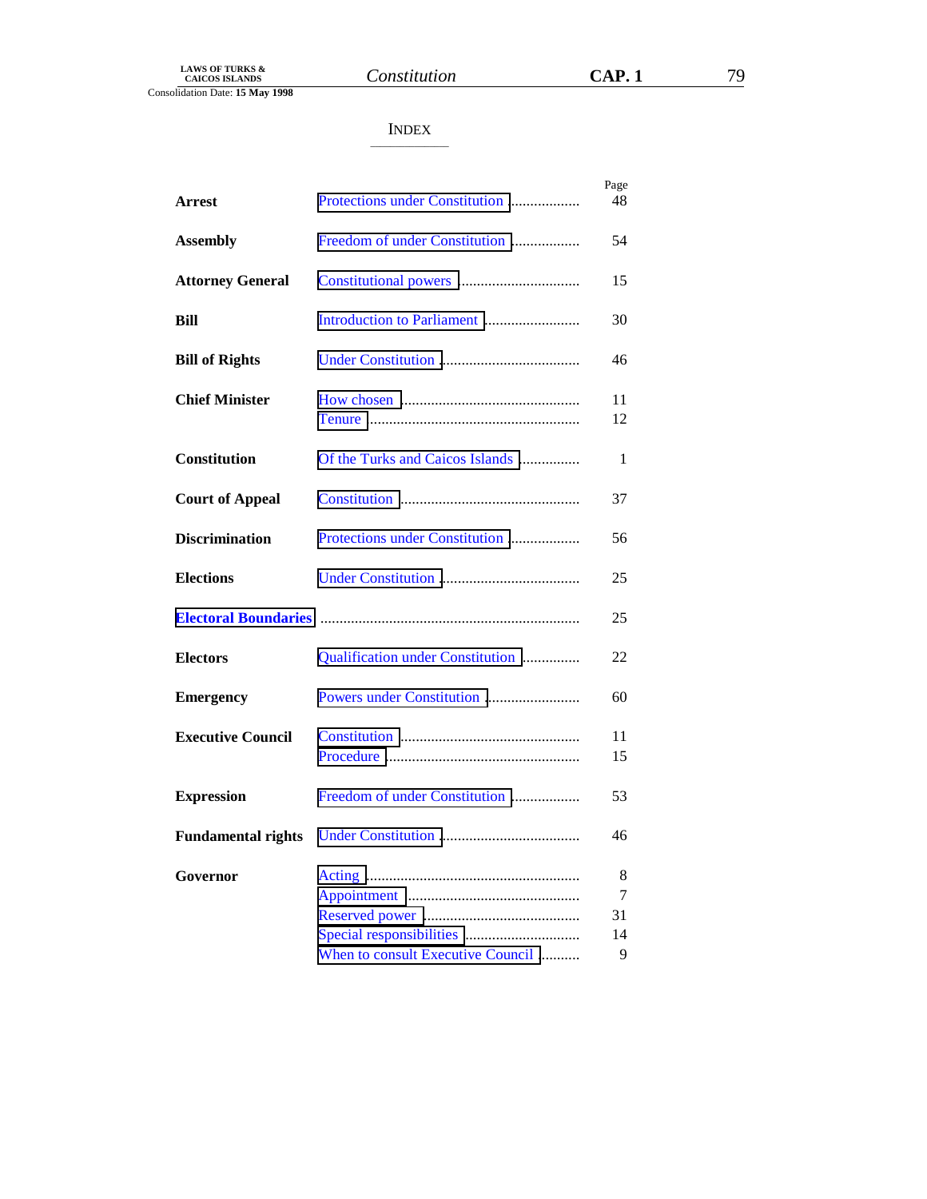*Constitution* **CAP. 1** 79

#### INDEX  $\overline{\phantom{a}}$  , where  $\overline{\phantom{a}}$

| <b>Arrest</b>             | Protections under Constitution    | Page<br>48              |
|---------------------------|-----------------------------------|-------------------------|
| <b>Assembly</b>           | Freedom of under Constitution     | 54                      |
| <b>Attorney General</b>   |                                   | 15                      |
| Bill                      |                                   | 30                      |
| <b>Bill of Rights</b>     |                                   | 46                      |
| <b>Chief Minister</b>     |                                   | 11<br>12                |
| <b>Constitution</b>       | Of the Turks and Caicos Islands   | 1                       |
| <b>Court of Appeal</b>    |                                   | 37                      |
| <b>Discrimination</b>     | Protections under Constitution    | 56                      |
| <b>Elections</b>          |                                   | 25                      |
|                           |                                   | 25                      |
| <b>Electors</b>           | Qualification under Constitution  | 22                      |
| <b>Emergency</b>          |                                   | 60                      |
| <b>Executive Council</b>  |                                   | 11<br>15                |
| <b>Expression</b>         | Freedom of under Constitution     | 53                      |
| <b>Fundamental rights</b> |                                   | 46                      |
| Governor                  | When to consult Executive Council | 8<br>7<br>31<br>14<br>9 |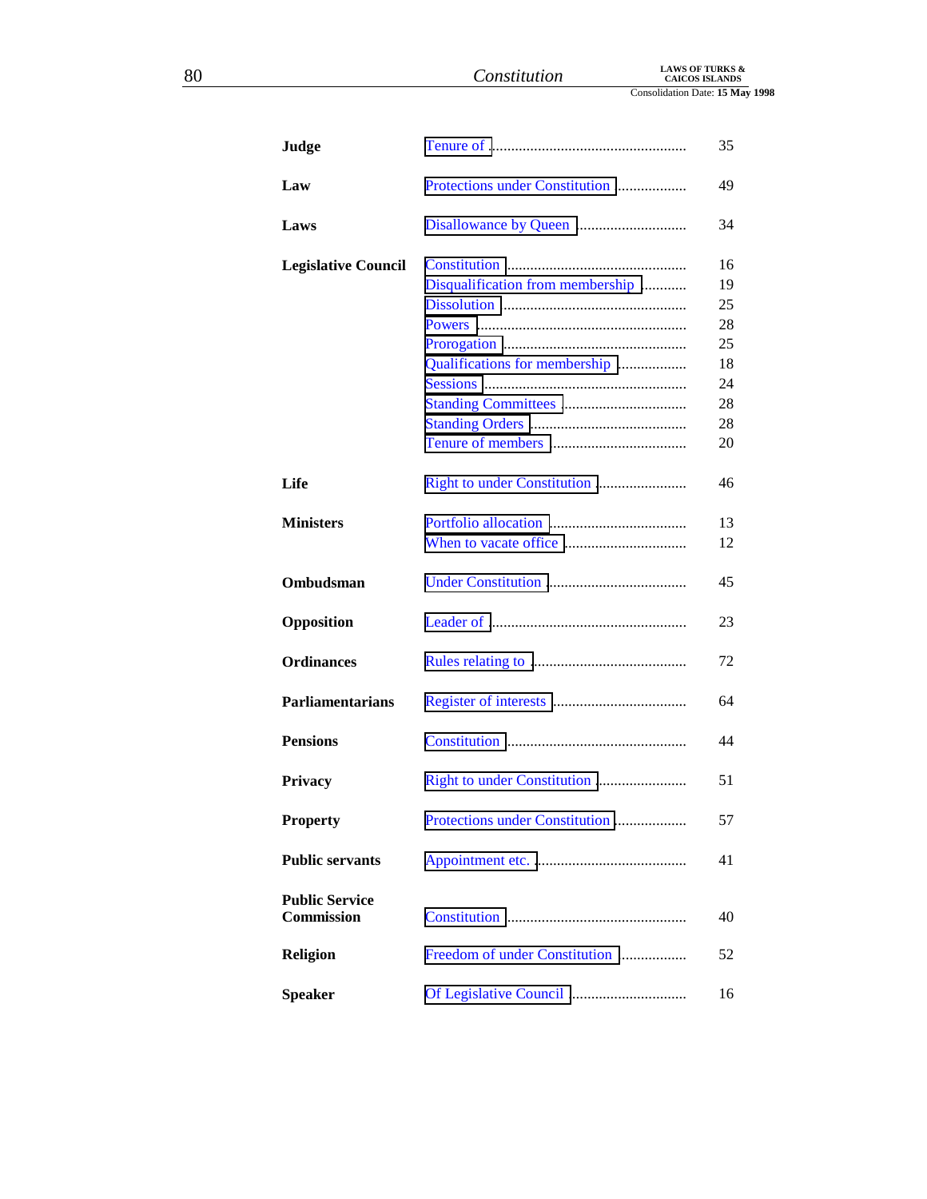| Judge                                      |                                  | 35 |
|--------------------------------------------|----------------------------------|----|
| Law                                        | Protections under Constitution   | 49 |
| Laws                                       |                                  | 34 |
| <b>Legislative Council</b>                 |                                  | 16 |
|                                            | Disqualification from membership | 19 |
|                                            |                                  | 25 |
|                                            |                                  | 28 |
|                                            |                                  | 25 |
|                                            | Qualifications for membership    | 18 |
|                                            |                                  | 24 |
|                                            |                                  | 28 |
|                                            |                                  | 28 |
|                                            |                                  | 20 |
| Life                                       |                                  | 46 |
| <b>Ministers</b>                           |                                  | 13 |
|                                            |                                  | 12 |
|                                            |                                  |    |
| Ombudsman                                  |                                  | 45 |
| Opposition                                 |                                  | 23 |
| <b>Ordinances</b>                          |                                  | 72 |
| <b>Parliamentarians</b>                    |                                  | 64 |
| <b>Pensions</b>                            |                                  | 44 |
| <b>Privacy</b>                             |                                  | 51 |
| <b>Property</b>                            | Protections under Constitution   | 57 |
| <b>Public servants</b>                     |                                  | 41 |
| <b>Public Service</b><br><b>Commission</b> |                                  | 40 |
| <b>Religion</b>                            | Freedom of under Constitution    | 52 |
| <b>Speaker</b>                             |                                  | 16 |